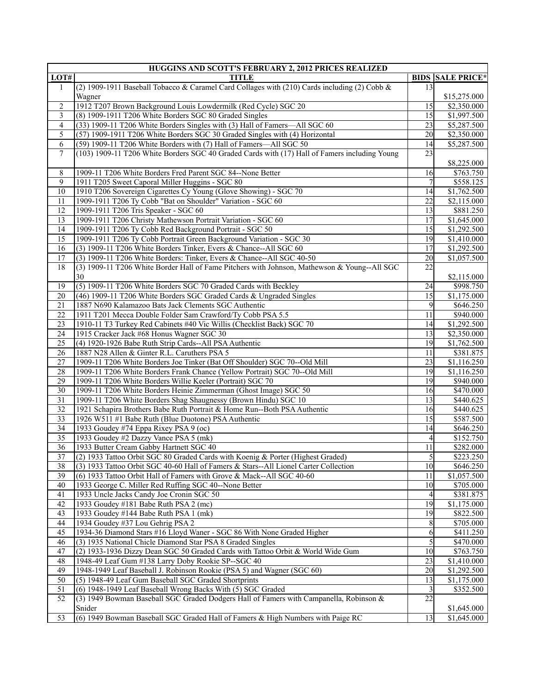|                 | HUGGINS AND SCOTT'S FEBRUARY 2, 2012 PRICES REALIZED                                          |                 |                         |
|-----------------|-----------------------------------------------------------------------------------------------|-----------------|-------------------------|
| LOT#            | <b>TITLE</b>                                                                                  |                 | <b>BIDS SALE PRICE*</b> |
| 1               | (2) 1909-1911 Baseball Tobacco & Caramel Card Collages with (210) Cards including (2) Cobb &  | 13              |                         |
|                 | Wagner                                                                                        |                 | \$15,275.000            |
| 2               | 1912 T207 Brown Background Louis Lowdermilk (Red Cycle) SGC 20                                | 15              | \$2,350.000             |
| 3               | (8) 1909-1911 T206 White Borders SGC 80 Graded Singles                                        | $\overline{15}$ | \$1,997.500             |
| $\overline{4}$  | (33) 1909-11 T206 White Borders Singles with (3) Hall of Famers—All SGC 60                    | 23              | \$5,287.500             |
| 5               | (57) 1909-1911 T206 White Borders SGC 30 Graded Singles with (4) Horizontal                   | 20              | \$2,350.000             |
|                 |                                                                                               |                 |                         |
| 6               | (59) 1909-11 T206 White Borders with (7) Hall of Famers-All SGC 50                            | 14              | \$5,287.500             |
| $\tau$          | (103) 1909-11 T206 White Borders SGC 40 Graded Cards with (17) Hall of Famers including Young | 23              |                         |
|                 |                                                                                               |                 | \$8,225.000             |
| 8               | 1909-11 T206 White Borders Fred Parent SGC 84--None Better                                    | 16              | \$763.750               |
| 9               | 1911 T205 Sweet Caporal Miller Huggins - SGC 80                                               |                 | \$558.125               |
| 10              | 1910 T206 Sovereign Cigarettes Cy Young (Glove Showing) - SGC 70                              | 14              | \$1,762.500             |
| 11              | 1909-1911 T206 Ty Cobb "Bat on Shoulder" Variation - SGC 60                                   | $\overline{22}$ | \$2,115.000             |
| 12              | 1909-1911 T206 Tris Speaker - SGC 60                                                          | 13              | \$881.250               |
| 13              | 1909-1911 T206 Christy Mathewson Portrait Variation - SGC 60                                  | 17              | \$1,645.000             |
| 14              | 1909-1911 T206 Ty Cobb Red Background Portrait - SGC 50                                       | 15              | \$1,292.500             |
| 15              | 1909-1911 T206 Ty Cobb Portrait Green Background Variation - SGC 30                           | 19              | \$1,410.000             |
| 16              | (3) 1909-11 T206 White Borders Tinker, Evers & Chance--All SGC 60                             | 17              | \$1,292.500             |
| 17              | (3) 1909-11 T206 White Borders: Tinker, Evers & Chance--All SGC 40-50                         | 20              | \$1,057.500             |
| 18              | (3) 1909-11 T206 White Border Hall of Fame Pitchers with Johnson, Mathewson & Young--All SGC  | 22              |                         |
|                 |                                                                                               |                 |                         |
|                 | 30                                                                                            |                 | \$2,115.000             |
| 19              | (5) 1909-11 T206 White Borders SGC 70 Graded Cards with Beckley                               | 24              | \$998.750               |
| 20              | (46) 1909-11 T206 White Borders SGC Graded Cards & Ungraded Singles                           | 15              | $\overline{1,175.000}$  |
| 21              | 1887 N690 Kalamazoo Bats Jack Clements SGC Authentic                                          | 9               | \$646.250               |
| 22              | 1911 T201 Mecca Double Folder Sam Crawford/Ty Cobb PSA 5.5                                    | 11              | \$940.000               |
| $\overline{23}$ | 1910-11 T3 Turkey Red Cabinets #40 Vic Willis (Checklist Back) SGC 70                         | 14              | \$1,292.500             |
| 24              | 1915 Cracker Jack #68 Honus Wagner SGC 30                                                     | 13              | \$2,350.000             |
| 25              | (4) 1920-1926 Babe Ruth Strip Cards--All PSA Authentic                                        | 19              | \$1,762.500             |
| 26              | 1887 N28 Allen & Ginter R.L. Caruthers PSA 5                                                  | 11              | \$381.875               |
| 27              | 1909-11 T206 White Borders Joe Tinker (Bat Off Shoulder) SGC 70--Old Mill                     | 23              | \$1,116.250             |
| 28              | 1909-11 T206 White Borders Frank Chance (Yellow Portrait) SGC 70--Old Mill                    | 19              | \$1,116.250             |
| 29              | 1909-11 T206 White Borders Willie Keeler (Portrait) SGC 70                                    | 19              | \$940.000               |
| 30              | 1909-11 T206 White Borders Heinie Zimmerman (Ghost Image) SGC 50                              | 16              | $\overline{$470.000}$   |
| 31              | 1909-11 T206 White Borders Shag Shaugnessy (Brown Hindu) SGC 10                               | 13              | \$440.625               |
| $\overline{32}$ | 1921 Schapira Brothers Babe Ruth Portrait & Home Run--Both PSA Authentic                      | 16              | \$440.625               |
|                 |                                                                                               |                 |                         |
| $\overline{33}$ | 1926 W511 #1 Babe Ruth (Blue Duotone) PSA Authentic                                           | $\overline{15}$ | \$587.500               |
| 34              | 1933 Goudey #74 Eppa Rixey PSA 9 (oc)                                                         | 14              | \$646.250               |
| $\overline{35}$ | 1933 Goudey #2 Dazzy Vance PSA 5 (mk)                                                         | 4               | \$152.750               |
| $\overline{36}$ | 1933 Butter Cream Gabby Hartnett SGC 40                                                       | 11              | \$282.000               |
| $\overline{37}$ | (2) 1933 Tattoo Orbit SGC 80 Graded Cards with Koenig & Porter (Highest Graded)               | $\overline{5}$  | \$223.250               |
| 38              | (3) 1933 Tattoo Orbit SGC 40-60 Hall of Famers & Stars--All Lionel Carter Collection          | 10              | \$646.250               |
| 39              | (6) 1933 Tattoo Orbit Hall of Famers with Grove & Mack--All SGC 40-60                         | 11              | \$1,057.500             |
| 40              | 1933 George C. Miller Red Ruffing SGC 40--None Better                                         | 10              | \$705.000               |
| 41              | 1933 Uncle Jacks Candy Joe Cronin SGC 50                                                      | 4               | \$381.875               |
| 42              | 1933 Goudey #181 Babe Ruth PSA 2 (mc)                                                         | 19              | \$1,175.000             |
| 43              | 1933 Goudey #144 Babe Ruth PSA 1 (mk)                                                         | 19              | \$822.500               |
| 44              | 1934 Goudey #37 Lou Gehrig PSA 2                                                              | 8               | \$705.000               |
| 45              | 1934-36 Diamond Stars #16 Lloyd Waner - SGC 86 With None Graded Higher                        | 6               | \$411.250               |
| 46              | (3) 1935 National Chicle Diamond Star PSA 8 Graded Singles                                    | 5               | \$470.000               |
| 47              | (2) 1933-1936 Dizzy Dean SGC 50 Graded Cards with Tattoo Orbit & World Wide Gum               | 10              |                         |
|                 |                                                                                               |                 | \$763.750               |
| 48              | 1948-49 Leaf Gum #138 Larry Doby Rookie SP--SGC 40                                            | 23              | \$1,410.000             |
| 49              | 1948-1949 Leaf Baseball J. Robinson Rookie (PSA 5) and Wagner (SGC 60)                        | 20              | \$1,292.500             |
| 50              | (5) 1948-49 Leaf Gum Baseball SGC Graded Shortprints                                          | 13              | \$1,175.000             |
| 51              | (6) 1948-1949 Leaf Baseball Wrong Backs With (5) SGC Graded                                   | 3               | \$352.500               |
| 52              | (3) 1949 Bowman Baseball SGC Graded Dodgers Hall of Famers with Campanella, Robinson &        | 22              |                         |
|                 | Snider                                                                                        |                 | \$1,645.000             |
| 53              | (6) 1949 Bowman Baseball SGC Graded Hall of Famers & High Numbers with Paige RC               | 13              | \$1,645.000             |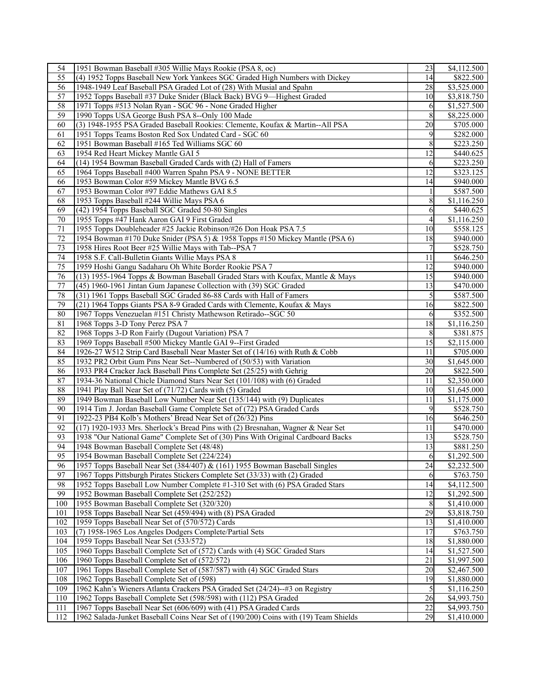| 55<br>(4) 1952 Topps Baseball New York Yankees SGC Graded High Numbers with Dickey<br>14<br>\$822.500<br>56<br>\$3,525.000<br>1948-1949 Leaf Baseball PSA Graded Lot of (28) With Musial and Spahn<br>28<br>57<br>1952 Topps Baseball #37 Duke Snider (Black Back) BVG 9—Highest Graded<br>10<br>\$3,818.750<br>58<br>1971 Topps #513 Nolan Ryan - SGC 96 - None Graded Higher<br>6<br>\$1,527.500<br>59<br>8<br>\$8,225.000<br>1990 Topps USA George Bush PSA 8--Only 100 Made<br>(3) 1948-1955 PSA Graded Baseball Rookies: Clemente, Koufax & Martin--All PSA<br>20<br>60<br>\$705.000<br>61<br>\$282.000<br>1951 Topps Teams Boston Red Sox Undated Card - SGC 60<br>9<br>62<br>1951 Bowman Baseball #165 Ted Williams SGC 60<br>8<br>\$223.250<br>63<br>1954 Red Heart Mickey Mantle GAI 5<br>12<br>\$440.625<br>64<br>(14) 1954 Bowman Baseball Graded Cards with (2) Hall of Famers<br>\$223.250<br>6<br>65<br>1964 Topps Baseball #400 Warren Spahn PSA 9 - NONE BETTER<br>12<br>\$323.125<br>66<br>1953 Bowman Color #59 Mickey Mantle BVG 6.5<br>14<br>\$940.000<br>67<br>1953 Bowman Color #97 Eddie Mathews GAI 8.5<br>\$587.500<br>68<br>1953 Topps Baseball #244 Willie Mays PSA 6<br>8<br>\$1,116.250<br>69<br>(42) 1954 Topps Baseball SGC Graded 50-80 Singles<br>6<br>\$440.625<br>70<br>1955 Topps #47 Hank Aaron GAI 9 First Graded<br>\$1,116.250<br>4<br>71<br>1955 Topps Doubleheader #25 Jackie Robinson/#26 Don Hoak PSA 7.5<br>10<br>\$558.125<br>72<br>1954 Bowman #170 Duke Snider (PSA 5) & 1958 Topps #150 Mickey Mantle (PSA 6)<br>18<br>\$940.000<br>73<br>1958 Hires Root Beer #25 Willie Mays with Tab--PSA 7<br>7<br>\$528.750<br>74<br>11<br>1958 S.F. Call-Bulletin Giants Willie Mays PSA 8<br>\$646.250<br>$\overline{75}$<br>12<br>1959 Hoshi Gangu Sadaharu Oh White Border Rookie PSA 7<br>\$940.000<br>76<br>(13) 1955-1964 Topps & Bowman Baseball Graded Stars with Koufax, Mantle & Mays<br>15<br>\$940.000<br>$77 \,$<br>\$470.000<br>(45) 1960-1961 Jintan Gum Japanese Collection with (39) SGC Graded<br>13<br>78<br>(31) 1961 Topps Baseball SGC Graded 86-88 Cards with Hall of Famers<br>5<br>\$587.500<br>79<br>(21) 1964 Topps Giants PSA 8-9 Graded Cards with Clemente, Koufax & Mays<br>16<br>\$822.500<br>80<br>1967 Topps Venezuelan #151 Christy Mathewson Retirado--SGC 50<br>\$352.500<br>6<br>81<br>18<br>1968 Topps 3-D Tony Perez PSA 7<br>\$1,116.250<br>82<br>\$381.875<br>1968 Topps 3-D Ron Fairly (Dugout Variation) PSA 7<br>8<br>83<br>1969 Topps Baseball #500 Mickey Mantle GAI 9--First Graded<br>15<br>\$2,115.000<br>84<br>1926-27 W512 Strip Card Baseball Near Master Set of (14/16) with Ruth & Cobb<br>11<br>\$705.000<br>85<br>30<br>\$1,645.000<br>1932 PR2 Orbit Gum Pins Near Set--Numbered of (50/53) with Variation<br>86<br>1933 PR4 Cracker Jack Baseball Pins Complete Set (25/25) with Gehrig<br>20<br>\$822.500<br>87<br>\$2,350.000<br>1934-36 National Chicle Diamond Stars Near Set (101/108) with (6) Graded<br>11<br>88<br>1941 Play Ball Near Set of (71/72) Cards with (5) Graded<br>10<br>\$1,645.000<br>89<br>1949 Bowman Baseball Low Number Near Set (135/144) with (9) Duplicates<br>11<br>\$1,175.000<br>90<br>9<br>1914 Tim J. Jordan Baseball Game Complete Set of (72) PSA Graded Cards<br>\$528.750<br>91<br>1922-23 PB4 Kolb's Mothers' Bread Near Set of (26/32) Pins<br>16<br>\$646.250<br>92<br>(17) 1920-1933 Mrs. Sherlock's Bread Pins with (2) Bresnahan, Wagner & Near Set<br>11<br>\$470.000<br>93<br>1938 "Our National Game" Complete Set of (30) Pins With Original Cardboard Backs<br>13<br>\$528.750<br>94<br>1948 Bowman Baseball Complete Set (48/48)<br>13<br>\$881.250<br>$\overline{95}$<br>\$1,292.500<br>1954 Bowman Baseball Complete Set (224/224)<br>6<br>24<br>96<br>1957 Topps Baseball Near Set (384/407) & (161) 1955 Bowman Baseball Singles<br>\$2,232.500<br>97<br>1967 Topps Pittsburgh Pirates Stickers Complete Set (33/33) with (2) Graded<br>\$763.750<br>6<br>98<br>1952 Topps Baseball Low Number Complete #1-310 Set with (6) PSA Graded Stars<br>14<br>\$4,112.500<br>12<br>99<br>1952 Bowman Baseball Complete Set (252/252)<br>\$1,292.500<br>100<br>\$1,410.000<br>1955 Bowman Baseball Complete Set (320/320)<br>8<br>101<br>29<br>1958 Topps Baseball Near Set (459/494) with (8) PSA Graded<br>\$3,818.750<br>102<br>1959 Topps Baseball Near Set of (570/572) Cards<br>13<br>\$1,410.000<br>103<br>17<br>(7) 1958-1965 Los Angeles Dodgers Complete/Partial Sets<br>\$763.750<br>1959 Topps Baseball Near Set (533/572)<br>18<br>\$1,880.000<br>104<br>1960 Topps Baseball Complete Set of (572) Cards with (4) SGC Graded Stars<br>105<br>14<br>\$1,527.500<br>106<br>1960 Topps Baseball Complete Set of (572/572)<br>21<br>\$1,997.500<br>107<br>1961 Topps Baseball Complete Set of (587/587) with (4) SGC Graded Stars<br>20<br>\$2,467.500<br>108<br>19<br>1962 Topps Baseball Complete Set of (598)<br>\$1,880.000<br>1962 Kahn's Wieners Atlanta Crackers PSA Graded Set (24/24)-+#3 on Registry<br>5<br>109<br>\$1,116.250<br>26<br>110<br>1962 Topps Baseball Complete Set (598/598) with (112) PSA Graded<br>\$4,993.750<br>111<br>1967 Topps Baseball Near Set (606/609) with (41) PSA Graded Cards<br>\$4,993.750<br>22<br>112<br>1962 Salada-Junket Baseball Coins Near Set of (190/200) Coins with (19) Team Shields<br>\$1,410.000<br>29 | 54 | 1951 Bowman Baseball #305 Willie Mays Rookie (PSA 8, oc) | 23 | \$4,112.500 |
|------------------------------------------------------------------------------------------------------------------------------------------------------------------------------------------------------------------------------------------------------------------------------------------------------------------------------------------------------------------------------------------------------------------------------------------------------------------------------------------------------------------------------------------------------------------------------------------------------------------------------------------------------------------------------------------------------------------------------------------------------------------------------------------------------------------------------------------------------------------------------------------------------------------------------------------------------------------------------------------------------------------------------------------------------------------------------------------------------------------------------------------------------------------------------------------------------------------------------------------------------------------------------------------------------------------------------------------------------------------------------------------------------------------------------------------------------------------------------------------------------------------------------------------------------------------------------------------------------------------------------------------------------------------------------------------------------------------------------------------------------------------------------------------------------------------------------------------------------------------------------------------------------------------------------------------------------------------------------------------------------------------------------------------------------------------------------------------------------------------------------------------------------------------------------------------------------------------------------------------------------------------------------------------------------------------------------------------------------------------------------------------------------------------------------------------------------------------------------------------------------------------------------------------------------------------------------------------------------------------------------------------------------------------------------------------------------------------------------------------------------------------------------------------------------------------------------------------------------------------------------------------------------------------------------------------------------------------------------------------------------------------------------------------------------------------------------------------------------------------------------------------------------------------------------------------------------------------------------------------------------------------------------------------------------------------------------------------------------------------------------------------------------------------------------------------------------------------------------------------------------------------------------------------------------------------------------------------------------------------------------------------------------------------------------------------------------------------------------------------------------------------------------------------------------------------------------------------------------------------------------------------------------------------------------------------------------------------------------------------------------------------------------------------------------------------------------------------------------------------------------------------------------------------------------------------------------------------------------------------------------------------------------------------------------------------------------------------------------------------------------------------------------------------------------------------------------------------------------------------------------------------------------------------------------------------------------------------------------------------------------------------------------------------------------------------------------------------------------------------------------------------------------------------------------------------------------------------------------------------------------------------------------------------------------------------------------------------------------------------------------------------------------------------------------------------------------------------------------------------------------------------------------------------------------------------------------------------------------------------------------------------------------------------------------------------------------------------------------------------------------------------------------------------------|----|----------------------------------------------------------|----|-------------|
|                                                                                                                                                                                                                                                                                                                                                                                                                                                                                                                                                                                                                                                                                                                                                                                                                                                                                                                                                                                                                                                                                                                                                                                                                                                                                                                                                                                                                                                                                                                                                                                                                                                                                                                                                                                                                                                                                                                                                                                                                                                                                                                                                                                                                                                                                                                                                                                                                                                                                                                                                                                                                                                                                                                                                                                                                                                                                                                                                                                                                                                                                                                                                                                                                                                                                                                                                                                                                                                                                                                                                                                                                                                                                                                                                                                                                                                                                                                                                                                                                                                                                                                                                                                                                                                                                                                                                                                                                                                                                                                                                                                                                                                                                                                                                                                                                                                                                                                                                                                                                                                                                                                                                                                                                                                                                                                                                                                                                        |    |                                                          |    |             |
|                                                                                                                                                                                                                                                                                                                                                                                                                                                                                                                                                                                                                                                                                                                                                                                                                                                                                                                                                                                                                                                                                                                                                                                                                                                                                                                                                                                                                                                                                                                                                                                                                                                                                                                                                                                                                                                                                                                                                                                                                                                                                                                                                                                                                                                                                                                                                                                                                                                                                                                                                                                                                                                                                                                                                                                                                                                                                                                                                                                                                                                                                                                                                                                                                                                                                                                                                                                                                                                                                                                                                                                                                                                                                                                                                                                                                                                                                                                                                                                                                                                                                                                                                                                                                                                                                                                                                                                                                                                                                                                                                                                                                                                                                                                                                                                                                                                                                                                                                                                                                                                                                                                                                                                                                                                                                                                                                                                                                        |    |                                                          |    |             |
|                                                                                                                                                                                                                                                                                                                                                                                                                                                                                                                                                                                                                                                                                                                                                                                                                                                                                                                                                                                                                                                                                                                                                                                                                                                                                                                                                                                                                                                                                                                                                                                                                                                                                                                                                                                                                                                                                                                                                                                                                                                                                                                                                                                                                                                                                                                                                                                                                                                                                                                                                                                                                                                                                                                                                                                                                                                                                                                                                                                                                                                                                                                                                                                                                                                                                                                                                                                                                                                                                                                                                                                                                                                                                                                                                                                                                                                                                                                                                                                                                                                                                                                                                                                                                                                                                                                                                                                                                                                                                                                                                                                                                                                                                                                                                                                                                                                                                                                                                                                                                                                                                                                                                                                                                                                                                                                                                                                                                        |    |                                                          |    |             |
|                                                                                                                                                                                                                                                                                                                                                                                                                                                                                                                                                                                                                                                                                                                                                                                                                                                                                                                                                                                                                                                                                                                                                                                                                                                                                                                                                                                                                                                                                                                                                                                                                                                                                                                                                                                                                                                                                                                                                                                                                                                                                                                                                                                                                                                                                                                                                                                                                                                                                                                                                                                                                                                                                                                                                                                                                                                                                                                                                                                                                                                                                                                                                                                                                                                                                                                                                                                                                                                                                                                                                                                                                                                                                                                                                                                                                                                                                                                                                                                                                                                                                                                                                                                                                                                                                                                                                                                                                                                                                                                                                                                                                                                                                                                                                                                                                                                                                                                                                                                                                                                                                                                                                                                                                                                                                                                                                                                                                        |    |                                                          |    |             |
|                                                                                                                                                                                                                                                                                                                                                                                                                                                                                                                                                                                                                                                                                                                                                                                                                                                                                                                                                                                                                                                                                                                                                                                                                                                                                                                                                                                                                                                                                                                                                                                                                                                                                                                                                                                                                                                                                                                                                                                                                                                                                                                                                                                                                                                                                                                                                                                                                                                                                                                                                                                                                                                                                                                                                                                                                                                                                                                                                                                                                                                                                                                                                                                                                                                                                                                                                                                                                                                                                                                                                                                                                                                                                                                                                                                                                                                                                                                                                                                                                                                                                                                                                                                                                                                                                                                                                                                                                                                                                                                                                                                                                                                                                                                                                                                                                                                                                                                                                                                                                                                                                                                                                                                                                                                                                                                                                                                                                        |    |                                                          |    |             |
|                                                                                                                                                                                                                                                                                                                                                                                                                                                                                                                                                                                                                                                                                                                                                                                                                                                                                                                                                                                                                                                                                                                                                                                                                                                                                                                                                                                                                                                                                                                                                                                                                                                                                                                                                                                                                                                                                                                                                                                                                                                                                                                                                                                                                                                                                                                                                                                                                                                                                                                                                                                                                                                                                                                                                                                                                                                                                                                                                                                                                                                                                                                                                                                                                                                                                                                                                                                                                                                                                                                                                                                                                                                                                                                                                                                                                                                                                                                                                                                                                                                                                                                                                                                                                                                                                                                                                                                                                                                                                                                                                                                                                                                                                                                                                                                                                                                                                                                                                                                                                                                                                                                                                                                                                                                                                                                                                                                                                        |    |                                                          |    |             |
|                                                                                                                                                                                                                                                                                                                                                                                                                                                                                                                                                                                                                                                                                                                                                                                                                                                                                                                                                                                                                                                                                                                                                                                                                                                                                                                                                                                                                                                                                                                                                                                                                                                                                                                                                                                                                                                                                                                                                                                                                                                                                                                                                                                                                                                                                                                                                                                                                                                                                                                                                                                                                                                                                                                                                                                                                                                                                                                                                                                                                                                                                                                                                                                                                                                                                                                                                                                                                                                                                                                                                                                                                                                                                                                                                                                                                                                                                                                                                                                                                                                                                                                                                                                                                                                                                                                                                                                                                                                                                                                                                                                                                                                                                                                                                                                                                                                                                                                                                                                                                                                                                                                                                                                                                                                                                                                                                                                                                        |    |                                                          |    |             |
|                                                                                                                                                                                                                                                                                                                                                                                                                                                                                                                                                                                                                                                                                                                                                                                                                                                                                                                                                                                                                                                                                                                                                                                                                                                                                                                                                                                                                                                                                                                                                                                                                                                                                                                                                                                                                                                                                                                                                                                                                                                                                                                                                                                                                                                                                                                                                                                                                                                                                                                                                                                                                                                                                                                                                                                                                                                                                                                                                                                                                                                                                                                                                                                                                                                                                                                                                                                                                                                                                                                                                                                                                                                                                                                                                                                                                                                                                                                                                                                                                                                                                                                                                                                                                                                                                                                                                                                                                                                                                                                                                                                                                                                                                                                                                                                                                                                                                                                                                                                                                                                                                                                                                                                                                                                                                                                                                                                                                        |    |                                                          |    |             |
|                                                                                                                                                                                                                                                                                                                                                                                                                                                                                                                                                                                                                                                                                                                                                                                                                                                                                                                                                                                                                                                                                                                                                                                                                                                                                                                                                                                                                                                                                                                                                                                                                                                                                                                                                                                                                                                                                                                                                                                                                                                                                                                                                                                                                                                                                                                                                                                                                                                                                                                                                                                                                                                                                                                                                                                                                                                                                                                                                                                                                                                                                                                                                                                                                                                                                                                                                                                                                                                                                                                                                                                                                                                                                                                                                                                                                                                                                                                                                                                                                                                                                                                                                                                                                                                                                                                                                                                                                                                                                                                                                                                                                                                                                                                                                                                                                                                                                                                                                                                                                                                                                                                                                                                                                                                                                                                                                                                                                        |    |                                                          |    |             |
|                                                                                                                                                                                                                                                                                                                                                                                                                                                                                                                                                                                                                                                                                                                                                                                                                                                                                                                                                                                                                                                                                                                                                                                                                                                                                                                                                                                                                                                                                                                                                                                                                                                                                                                                                                                                                                                                                                                                                                                                                                                                                                                                                                                                                                                                                                                                                                                                                                                                                                                                                                                                                                                                                                                                                                                                                                                                                                                                                                                                                                                                                                                                                                                                                                                                                                                                                                                                                                                                                                                                                                                                                                                                                                                                                                                                                                                                                                                                                                                                                                                                                                                                                                                                                                                                                                                                                                                                                                                                                                                                                                                                                                                                                                                                                                                                                                                                                                                                                                                                                                                                                                                                                                                                                                                                                                                                                                                                                        |    |                                                          |    |             |
|                                                                                                                                                                                                                                                                                                                                                                                                                                                                                                                                                                                                                                                                                                                                                                                                                                                                                                                                                                                                                                                                                                                                                                                                                                                                                                                                                                                                                                                                                                                                                                                                                                                                                                                                                                                                                                                                                                                                                                                                                                                                                                                                                                                                                                                                                                                                                                                                                                                                                                                                                                                                                                                                                                                                                                                                                                                                                                                                                                                                                                                                                                                                                                                                                                                                                                                                                                                                                                                                                                                                                                                                                                                                                                                                                                                                                                                                                                                                                                                                                                                                                                                                                                                                                                                                                                                                                                                                                                                                                                                                                                                                                                                                                                                                                                                                                                                                                                                                                                                                                                                                                                                                                                                                                                                                                                                                                                                                                        |    |                                                          |    |             |
|                                                                                                                                                                                                                                                                                                                                                                                                                                                                                                                                                                                                                                                                                                                                                                                                                                                                                                                                                                                                                                                                                                                                                                                                                                                                                                                                                                                                                                                                                                                                                                                                                                                                                                                                                                                                                                                                                                                                                                                                                                                                                                                                                                                                                                                                                                                                                                                                                                                                                                                                                                                                                                                                                                                                                                                                                                                                                                                                                                                                                                                                                                                                                                                                                                                                                                                                                                                                                                                                                                                                                                                                                                                                                                                                                                                                                                                                                                                                                                                                                                                                                                                                                                                                                                                                                                                                                                                                                                                                                                                                                                                                                                                                                                                                                                                                                                                                                                                                                                                                                                                                                                                                                                                                                                                                                                                                                                                                                        |    |                                                          |    |             |
|                                                                                                                                                                                                                                                                                                                                                                                                                                                                                                                                                                                                                                                                                                                                                                                                                                                                                                                                                                                                                                                                                                                                                                                                                                                                                                                                                                                                                                                                                                                                                                                                                                                                                                                                                                                                                                                                                                                                                                                                                                                                                                                                                                                                                                                                                                                                                                                                                                                                                                                                                                                                                                                                                                                                                                                                                                                                                                                                                                                                                                                                                                                                                                                                                                                                                                                                                                                                                                                                                                                                                                                                                                                                                                                                                                                                                                                                                                                                                                                                                                                                                                                                                                                                                                                                                                                                                                                                                                                                                                                                                                                                                                                                                                                                                                                                                                                                                                                                                                                                                                                                                                                                                                                                                                                                                                                                                                                                                        |    |                                                          |    |             |
|                                                                                                                                                                                                                                                                                                                                                                                                                                                                                                                                                                                                                                                                                                                                                                                                                                                                                                                                                                                                                                                                                                                                                                                                                                                                                                                                                                                                                                                                                                                                                                                                                                                                                                                                                                                                                                                                                                                                                                                                                                                                                                                                                                                                                                                                                                                                                                                                                                                                                                                                                                                                                                                                                                                                                                                                                                                                                                                                                                                                                                                                                                                                                                                                                                                                                                                                                                                                                                                                                                                                                                                                                                                                                                                                                                                                                                                                                                                                                                                                                                                                                                                                                                                                                                                                                                                                                                                                                                                                                                                                                                                                                                                                                                                                                                                                                                                                                                                                                                                                                                                                                                                                                                                                                                                                                                                                                                                                                        |    |                                                          |    |             |
|                                                                                                                                                                                                                                                                                                                                                                                                                                                                                                                                                                                                                                                                                                                                                                                                                                                                                                                                                                                                                                                                                                                                                                                                                                                                                                                                                                                                                                                                                                                                                                                                                                                                                                                                                                                                                                                                                                                                                                                                                                                                                                                                                                                                                                                                                                                                                                                                                                                                                                                                                                                                                                                                                                                                                                                                                                                                                                                                                                                                                                                                                                                                                                                                                                                                                                                                                                                                                                                                                                                                                                                                                                                                                                                                                                                                                                                                                                                                                                                                                                                                                                                                                                                                                                                                                                                                                                                                                                                                                                                                                                                                                                                                                                                                                                                                                                                                                                                                                                                                                                                                                                                                                                                                                                                                                                                                                                                                                        |    |                                                          |    |             |
|                                                                                                                                                                                                                                                                                                                                                                                                                                                                                                                                                                                                                                                                                                                                                                                                                                                                                                                                                                                                                                                                                                                                                                                                                                                                                                                                                                                                                                                                                                                                                                                                                                                                                                                                                                                                                                                                                                                                                                                                                                                                                                                                                                                                                                                                                                                                                                                                                                                                                                                                                                                                                                                                                                                                                                                                                                                                                                                                                                                                                                                                                                                                                                                                                                                                                                                                                                                                                                                                                                                                                                                                                                                                                                                                                                                                                                                                                                                                                                                                                                                                                                                                                                                                                                                                                                                                                                                                                                                                                                                                                                                                                                                                                                                                                                                                                                                                                                                                                                                                                                                                                                                                                                                                                                                                                                                                                                                                                        |    |                                                          |    |             |
|                                                                                                                                                                                                                                                                                                                                                                                                                                                                                                                                                                                                                                                                                                                                                                                                                                                                                                                                                                                                                                                                                                                                                                                                                                                                                                                                                                                                                                                                                                                                                                                                                                                                                                                                                                                                                                                                                                                                                                                                                                                                                                                                                                                                                                                                                                                                                                                                                                                                                                                                                                                                                                                                                                                                                                                                                                                                                                                                                                                                                                                                                                                                                                                                                                                                                                                                                                                                                                                                                                                                                                                                                                                                                                                                                                                                                                                                                                                                                                                                                                                                                                                                                                                                                                                                                                                                                                                                                                                                                                                                                                                                                                                                                                                                                                                                                                                                                                                                                                                                                                                                                                                                                                                                                                                                                                                                                                                                                        |    |                                                          |    |             |
|                                                                                                                                                                                                                                                                                                                                                                                                                                                                                                                                                                                                                                                                                                                                                                                                                                                                                                                                                                                                                                                                                                                                                                                                                                                                                                                                                                                                                                                                                                                                                                                                                                                                                                                                                                                                                                                                                                                                                                                                                                                                                                                                                                                                                                                                                                                                                                                                                                                                                                                                                                                                                                                                                                                                                                                                                                                                                                                                                                                                                                                                                                                                                                                                                                                                                                                                                                                                                                                                                                                                                                                                                                                                                                                                                                                                                                                                                                                                                                                                                                                                                                                                                                                                                                                                                                                                                                                                                                                                                                                                                                                                                                                                                                                                                                                                                                                                                                                                                                                                                                                                                                                                                                                                                                                                                                                                                                                                                        |    |                                                          |    |             |
|                                                                                                                                                                                                                                                                                                                                                                                                                                                                                                                                                                                                                                                                                                                                                                                                                                                                                                                                                                                                                                                                                                                                                                                                                                                                                                                                                                                                                                                                                                                                                                                                                                                                                                                                                                                                                                                                                                                                                                                                                                                                                                                                                                                                                                                                                                                                                                                                                                                                                                                                                                                                                                                                                                                                                                                                                                                                                                                                                                                                                                                                                                                                                                                                                                                                                                                                                                                                                                                                                                                                                                                                                                                                                                                                                                                                                                                                                                                                                                                                                                                                                                                                                                                                                                                                                                                                                                                                                                                                                                                                                                                                                                                                                                                                                                                                                                                                                                                                                                                                                                                                                                                                                                                                                                                                                                                                                                                                                        |    |                                                          |    |             |
|                                                                                                                                                                                                                                                                                                                                                                                                                                                                                                                                                                                                                                                                                                                                                                                                                                                                                                                                                                                                                                                                                                                                                                                                                                                                                                                                                                                                                                                                                                                                                                                                                                                                                                                                                                                                                                                                                                                                                                                                                                                                                                                                                                                                                                                                                                                                                                                                                                                                                                                                                                                                                                                                                                                                                                                                                                                                                                                                                                                                                                                                                                                                                                                                                                                                                                                                                                                                                                                                                                                                                                                                                                                                                                                                                                                                                                                                                                                                                                                                                                                                                                                                                                                                                                                                                                                                                                                                                                                                                                                                                                                                                                                                                                                                                                                                                                                                                                                                                                                                                                                                                                                                                                                                                                                                                                                                                                                                                        |    |                                                          |    |             |
|                                                                                                                                                                                                                                                                                                                                                                                                                                                                                                                                                                                                                                                                                                                                                                                                                                                                                                                                                                                                                                                                                                                                                                                                                                                                                                                                                                                                                                                                                                                                                                                                                                                                                                                                                                                                                                                                                                                                                                                                                                                                                                                                                                                                                                                                                                                                                                                                                                                                                                                                                                                                                                                                                                                                                                                                                                                                                                                                                                                                                                                                                                                                                                                                                                                                                                                                                                                                                                                                                                                                                                                                                                                                                                                                                                                                                                                                                                                                                                                                                                                                                                                                                                                                                                                                                                                                                                                                                                                                                                                                                                                                                                                                                                                                                                                                                                                                                                                                                                                                                                                                                                                                                                                                                                                                                                                                                                                                                        |    |                                                          |    |             |
|                                                                                                                                                                                                                                                                                                                                                                                                                                                                                                                                                                                                                                                                                                                                                                                                                                                                                                                                                                                                                                                                                                                                                                                                                                                                                                                                                                                                                                                                                                                                                                                                                                                                                                                                                                                                                                                                                                                                                                                                                                                                                                                                                                                                                                                                                                                                                                                                                                                                                                                                                                                                                                                                                                                                                                                                                                                                                                                                                                                                                                                                                                                                                                                                                                                                                                                                                                                                                                                                                                                                                                                                                                                                                                                                                                                                                                                                                                                                                                                                                                                                                                                                                                                                                                                                                                                                                                                                                                                                                                                                                                                                                                                                                                                                                                                                                                                                                                                                                                                                                                                                                                                                                                                                                                                                                                                                                                                                                        |    |                                                          |    |             |
|                                                                                                                                                                                                                                                                                                                                                                                                                                                                                                                                                                                                                                                                                                                                                                                                                                                                                                                                                                                                                                                                                                                                                                                                                                                                                                                                                                                                                                                                                                                                                                                                                                                                                                                                                                                                                                                                                                                                                                                                                                                                                                                                                                                                                                                                                                                                                                                                                                                                                                                                                                                                                                                                                                                                                                                                                                                                                                                                                                                                                                                                                                                                                                                                                                                                                                                                                                                                                                                                                                                                                                                                                                                                                                                                                                                                                                                                                                                                                                                                                                                                                                                                                                                                                                                                                                                                                                                                                                                                                                                                                                                                                                                                                                                                                                                                                                                                                                                                                                                                                                                                                                                                                                                                                                                                                                                                                                                                                        |    |                                                          |    |             |
|                                                                                                                                                                                                                                                                                                                                                                                                                                                                                                                                                                                                                                                                                                                                                                                                                                                                                                                                                                                                                                                                                                                                                                                                                                                                                                                                                                                                                                                                                                                                                                                                                                                                                                                                                                                                                                                                                                                                                                                                                                                                                                                                                                                                                                                                                                                                                                                                                                                                                                                                                                                                                                                                                                                                                                                                                                                                                                                                                                                                                                                                                                                                                                                                                                                                                                                                                                                                                                                                                                                                                                                                                                                                                                                                                                                                                                                                                                                                                                                                                                                                                                                                                                                                                                                                                                                                                                                                                                                                                                                                                                                                                                                                                                                                                                                                                                                                                                                                                                                                                                                                                                                                                                                                                                                                                                                                                                                                                        |    |                                                          |    |             |
|                                                                                                                                                                                                                                                                                                                                                                                                                                                                                                                                                                                                                                                                                                                                                                                                                                                                                                                                                                                                                                                                                                                                                                                                                                                                                                                                                                                                                                                                                                                                                                                                                                                                                                                                                                                                                                                                                                                                                                                                                                                                                                                                                                                                                                                                                                                                                                                                                                                                                                                                                                                                                                                                                                                                                                                                                                                                                                                                                                                                                                                                                                                                                                                                                                                                                                                                                                                                                                                                                                                                                                                                                                                                                                                                                                                                                                                                                                                                                                                                                                                                                                                                                                                                                                                                                                                                                                                                                                                                                                                                                                                                                                                                                                                                                                                                                                                                                                                                                                                                                                                                                                                                                                                                                                                                                                                                                                                                                        |    |                                                          |    |             |
|                                                                                                                                                                                                                                                                                                                                                                                                                                                                                                                                                                                                                                                                                                                                                                                                                                                                                                                                                                                                                                                                                                                                                                                                                                                                                                                                                                                                                                                                                                                                                                                                                                                                                                                                                                                                                                                                                                                                                                                                                                                                                                                                                                                                                                                                                                                                                                                                                                                                                                                                                                                                                                                                                                                                                                                                                                                                                                                                                                                                                                                                                                                                                                                                                                                                                                                                                                                                                                                                                                                                                                                                                                                                                                                                                                                                                                                                                                                                                                                                                                                                                                                                                                                                                                                                                                                                                                                                                                                                                                                                                                                                                                                                                                                                                                                                                                                                                                                                                                                                                                                                                                                                                                                                                                                                                                                                                                                                                        |    |                                                          |    |             |
|                                                                                                                                                                                                                                                                                                                                                                                                                                                                                                                                                                                                                                                                                                                                                                                                                                                                                                                                                                                                                                                                                                                                                                                                                                                                                                                                                                                                                                                                                                                                                                                                                                                                                                                                                                                                                                                                                                                                                                                                                                                                                                                                                                                                                                                                                                                                                                                                                                                                                                                                                                                                                                                                                                                                                                                                                                                                                                                                                                                                                                                                                                                                                                                                                                                                                                                                                                                                                                                                                                                                                                                                                                                                                                                                                                                                                                                                                                                                                                                                                                                                                                                                                                                                                                                                                                                                                                                                                                                                                                                                                                                                                                                                                                                                                                                                                                                                                                                                                                                                                                                                                                                                                                                                                                                                                                                                                                                                                        |    |                                                          |    |             |
|                                                                                                                                                                                                                                                                                                                                                                                                                                                                                                                                                                                                                                                                                                                                                                                                                                                                                                                                                                                                                                                                                                                                                                                                                                                                                                                                                                                                                                                                                                                                                                                                                                                                                                                                                                                                                                                                                                                                                                                                                                                                                                                                                                                                                                                                                                                                                                                                                                                                                                                                                                                                                                                                                                                                                                                                                                                                                                                                                                                                                                                                                                                                                                                                                                                                                                                                                                                                                                                                                                                                                                                                                                                                                                                                                                                                                                                                                                                                                                                                                                                                                                                                                                                                                                                                                                                                                                                                                                                                                                                                                                                                                                                                                                                                                                                                                                                                                                                                                                                                                                                                                                                                                                                                                                                                                                                                                                                                                        |    |                                                          |    |             |
|                                                                                                                                                                                                                                                                                                                                                                                                                                                                                                                                                                                                                                                                                                                                                                                                                                                                                                                                                                                                                                                                                                                                                                                                                                                                                                                                                                                                                                                                                                                                                                                                                                                                                                                                                                                                                                                                                                                                                                                                                                                                                                                                                                                                                                                                                                                                                                                                                                                                                                                                                                                                                                                                                                                                                                                                                                                                                                                                                                                                                                                                                                                                                                                                                                                                                                                                                                                                                                                                                                                                                                                                                                                                                                                                                                                                                                                                                                                                                                                                                                                                                                                                                                                                                                                                                                                                                                                                                                                                                                                                                                                                                                                                                                                                                                                                                                                                                                                                                                                                                                                                                                                                                                                                                                                                                                                                                                                                                        |    |                                                          |    |             |
|                                                                                                                                                                                                                                                                                                                                                                                                                                                                                                                                                                                                                                                                                                                                                                                                                                                                                                                                                                                                                                                                                                                                                                                                                                                                                                                                                                                                                                                                                                                                                                                                                                                                                                                                                                                                                                                                                                                                                                                                                                                                                                                                                                                                                                                                                                                                                                                                                                                                                                                                                                                                                                                                                                                                                                                                                                                                                                                                                                                                                                                                                                                                                                                                                                                                                                                                                                                                                                                                                                                                                                                                                                                                                                                                                                                                                                                                                                                                                                                                                                                                                                                                                                                                                                                                                                                                                                                                                                                                                                                                                                                                                                                                                                                                                                                                                                                                                                                                                                                                                                                                                                                                                                                                                                                                                                                                                                                                                        |    |                                                          |    |             |
|                                                                                                                                                                                                                                                                                                                                                                                                                                                                                                                                                                                                                                                                                                                                                                                                                                                                                                                                                                                                                                                                                                                                                                                                                                                                                                                                                                                                                                                                                                                                                                                                                                                                                                                                                                                                                                                                                                                                                                                                                                                                                                                                                                                                                                                                                                                                                                                                                                                                                                                                                                                                                                                                                                                                                                                                                                                                                                                                                                                                                                                                                                                                                                                                                                                                                                                                                                                                                                                                                                                                                                                                                                                                                                                                                                                                                                                                                                                                                                                                                                                                                                                                                                                                                                                                                                                                                                                                                                                                                                                                                                                                                                                                                                                                                                                                                                                                                                                                                                                                                                                                                                                                                                                                                                                                                                                                                                                                                        |    |                                                          |    |             |
|                                                                                                                                                                                                                                                                                                                                                                                                                                                                                                                                                                                                                                                                                                                                                                                                                                                                                                                                                                                                                                                                                                                                                                                                                                                                                                                                                                                                                                                                                                                                                                                                                                                                                                                                                                                                                                                                                                                                                                                                                                                                                                                                                                                                                                                                                                                                                                                                                                                                                                                                                                                                                                                                                                                                                                                                                                                                                                                                                                                                                                                                                                                                                                                                                                                                                                                                                                                                                                                                                                                                                                                                                                                                                                                                                                                                                                                                                                                                                                                                                                                                                                                                                                                                                                                                                                                                                                                                                                                                                                                                                                                                                                                                                                                                                                                                                                                                                                                                                                                                                                                                                                                                                                                                                                                                                                                                                                                                                        |    |                                                          |    |             |
|                                                                                                                                                                                                                                                                                                                                                                                                                                                                                                                                                                                                                                                                                                                                                                                                                                                                                                                                                                                                                                                                                                                                                                                                                                                                                                                                                                                                                                                                                                                                                                                                                                                                                                                                                                                                                                                                                                                                                                                                                                                                                                                                                                                                                                                                                                                                                                                                                                                                                                                                                                                                                                                                                                                                                                                                                                                                                                                                                                                                                                                                                                                                                                                                                                                                                                                                                                                                                                                                                                                                                                                                                                                                                                                                                                                                                                                                                                                                                                                                                                                                                                                                                                                                                                                                                                                                                                                                                                                                                                                                                                                                                                                                                                                                                                                                                                                                                                                                                                                                                                                                                                                                                                                                                                                                                                                                                                                                                        |    |                                                          |    |             |
|                                                                                                                                                                                                                                                                                                                                                                                                                                                                                                                                                                                                                                                                                                                                                                                                                                                                                                                                                                                                                                                                                                                                                                                                                                                                                                                                                                                                                                                                                                                                                                                                                                                                                                                                                                                                                                                                                                                                                                                                                                                                                                                                                                                                                                                                                                                                                                                                                                                                                                                                                                                                                                                                                                                                                                                                                                                                                                                                                                                                                                                                                                                                                                                                                                                                                                                                                                                                                                                                                                                                                                                                                                                                                                                                                                                                                                                                                                                                                                                                                                                                                                                                                                                                                                                                                                                                                                                                                                                                                                                                                                                                                                                                                                                                                                                                                                                                                                                                                                                                                                                                                                                                                                                                                                                                                                                                                                                                                        |    |                                                          |    |             |
|                                                                                                                                                                                                                                                                                                                                                                                                                                                                                                                                                                                                                                                                                                                                                                                                                                                                                                                                                                                                                                                                                                                                                                                                                                                                                                                                                                                                                                                                                                                                                                                                                                                                                                                                                                                                                                                                                                                                                                                                                                                                                                                                                                                                                                                                                                                                                                                                                                                                                                                                                                                                                                                                                                                                                                                                                                                                                                                                                                                                                                                                                                                                                                                                                                                                                                                                                                                                                                                                                                                                                                                                                                                                                                                                                                                                                                                                                                                                                                                                                                                                                                                                                                                                                                                                                                                                                                                                                                                                                                                                                                                                                                                                                                                                                                                                                                                                                                                                                                                                                                                                                                                                                                                                                                                                                                                                                                                                                        |    |                                                          |    |             |
|                                                                                                                                                                                                                                                                                                                                                                                                                                                                                                                                                                                                                                                                                                                                                                                                                                                                                                                                                                                                                                                                                                                                                                                                                                                                                                                                                                                                                                                                                                                                                                                                                                                                                                                                                                                                                                                                                                                                                                                                                                                                                                                                                                                                                                                                                                                                                                                                                                                                                                                                                                                                                                                                                                                                                                                                                                                                                                                                                                                                                                                                                                                                                                                                                                                                                                                                                                                                                                                                                                                                                                                                                                                                                                                                                                                                                                                                                                                                                                                                                                                                                                                                                                                                                                                                                                                                                                                                                                                                                                                                                                                                                                                                                                                                                                                                                                                                                                                                                                                                                                                                                                                                                                                                                                                                                                                                                                                                                        |    |                                                          |    |             |
|                                                                                                                                                                                                                                                                                                                                                                                                                                                                                                                                                                                                                                                                                                                                                                                                                                                                                                                                                                                                                                                                                                                                                                                                                                                                                                                                                                                                                                                                                                                                                                                                                                                                                                                                                                                                                                                                                                                                                                                                                                                                                                                                                                                                                                                                                                                                                                                                                                                                                                                                                                                                                                                                                                                                                                                                                                                                                                                                                                                                                                                                                                                                                                                                                                                                                                                                                                                                                                                                                                                                                                                                                                                                                                                                                                                                                                                                                                                                                                                                                                                                                                                                                                                                                                                                                                                                                                                                                                                                                                                                                                                                                                                                                                                                                                                                                                                                                                                                                                                                                                                                                                                                                                                                                                                                                                                                                                                                                        |    |                                                          |    |             |
|                                                                                                                                                                                                                                                                                                                                                                                                                                                                                                                                                                                                                                                                                                                                                                                                                                                                                                                                                                                                                                                                                                                                                                                                                                                                                                                                                                                                                                                                                                                                                                                                                                                                                                                                                                                                                                                                                                                                                                                                                                                                                                                                                                                                                                                                                                                                                                                                                                                                                                                                                                                                                                                                                                                                                                                                                                                                                                                                                                                                                                                                                                                                                                                                                                                                                                                                                                                                                                                                                                                                                                                                                                                                                                                                                                                                                                                                                                                                                                                                                                                                                                                                                                                                                                                                                                                                                                                                                                                                                                                                                                                                                                                                                                                                                                                                                                                                                                                                                                                                                                                                                                                                                                                                                                                                                                                                                                                                                        |    |                                                          |    |             |
|                                                                                                                                                                                                                                                                                                                                                                                                                                                                                                                                                                                                                                                                                                                                                                                                                                                                                                                                                                                                                                                                                                                                                                                                                                                                                                                                                                                                                                                                                                                                                                                                                                                                                                                                                                                                                                                                                                                                                                                                                                                                                                                                                                                                                                                                                                                                                                                                                                                                                                                                                                                                                                                                                                                                                                                                                                                                                                                                                                                                                                                                                                                                                                                                                                                                                                                                                                                                                                                                                                                                                                                                                                                                                                                                                                                                                                                                                                                                                                                                                                                                                                                                                                                                                                                                                                                                                                                                                                                                                                                                                                                                                                                                                                                                                                                                                                                                                                                                                                                                                                                                                                                                                                                                                                                                                                                                                                                                                        |    |                                                          |    |             |
|                                                                                                                                                                                                                                                                                                                                                                                                                                                                                                                                                                                                                                                                                                                                                                                                                                                                                                                                                                                                                                                                                                                                                                                                                                                                                                                                                                                                                                                                                                                                                                                                                                                                                                                                                                                                                                                                                                                                                                                                                                                                                                                                                                                                                                                                                                                                                                                                                                                                                                                                                                                                                                                                                                                                                                                                                                                                                                                                                                                                                                                                                                                                                                                                                                                                                                                                                                                                                                                                                                                                                                                                                                                                                                                                                                                                                                                                                                                                                                                                                                                                                                                                                                                                                                                                                                                                                                                                                                                                                                                                                                                                                                                                                                                                                                                                                                                                                                                                                                                                                                                                                                                                                                                                                                                                                                                                                                                                                        |    |                                                          |    |             |
|                                                                                                                                                                                                                                                                                                                                                                                                                                                                                                                                                                                                                                                                                                                                                                                                                                                                                                                                                                                                                                                                                                                                                                                                                                                                                                                                                                                                                                                                                                                                                                                                                                                                                                                                                                                                                                                                                                                                                                                                                                                                                                                                                                                                                                                                                                                                                                                                                                                                                                                                                                                                                                                                                                                                                                                                                                                                                                                                                                                                                                                                                                                                                                                                                                                                                                                                                                                                                                                                                                                                                                                                                                                                                                                                                                                                                                                                                                                                                                                                                                                                                                                                                                                                                                                                                                                                                                                                                                                                                                                                                                                                                                                                                                                                                                                                                                                                                                                                                                                                                                                                                                                                                                                                                                                                                                                                                                                                                        |    |                                                          |    |             |
|                                                                                                                                                                                                                                                                                                                                                                                                                                                                                                                                                                                                                                                                                                                                                                                                                                                                                                                                                                                                                                                                                                                                                                                                                                                                                                                                                                                                                                                                                                                                                                                                                                                                                                                                                                                                                                                                                                                                                                                                                                                                                                                                                                                                                                                                                                                                                                                                                                                                                                                                                                                                                                                                                                                                                                                                                                                                                                                                                                                                                                                                                                                                                                                                                                                                                                                                                                                                                                                                                                                                                                                                                                                                                                                                                                                                                                                                                                                                                                                                                                                                                                                                                                                                                                                                                                                                                                                                                                                                                                                                                                                                                                                                                                                                                                                                                                                                                                                                                                                                                                                                                                                                                                                                                                                                                                                                                                                                                        |    |                                                          |    |             |
|                                                                                                                                                                                                                                                                                                                                                                                                                                                                                                                                                                                                                                                                                                                                                                                                                                                                                                                                                                                                                                                                                                                                                                                                                                                                                                                                                                                                                                                                                                                                                                                                                                                                                                                                                                                                                                                                                                                                                                                                                                                                                                                                                                                                                                                                                                                                                                                                                                                                                                                                                                                                                                                                                                                                                                                                                                                                                                                                                                                                                                                                                                                                                                                                                                                                                                                                                                                                                                                                                                                                                                                                                                                                                                                                                                                                                                                                                                                                                                                                                                                                                                                                                                                                                                                                                                                                                                                                                                                                                                                                                                                                                                                                                                                                                                                                                                                                                                                                                                                                                                                                                                                                                                                                                                                                                                                                                                                                                        |    |                                                          |    |             |
|                                                                                                                                                                                                                                                                                                                                                                                                                                                                                                                                                                                                                                                                                                                                                                                                                                                                                                                                                                                                                                                                                                                                                                                                                                                                                                                                                                                                                                                                                                                                                                                                                                                                                                                                                                                                                                                                                                                                                                                                                                                                                                                                                                                                                                                                                                                                                                                                                                                                                                                                                                                                                                                                                                                                                                                                                                                                                                                                                                                                                                                                                                                                                                                                                                                                                                                                                                                                                                                                                                                                                                                                                                                                                                                                                                                                                                                                                                                                                                                                                                                                                                                                                                                                                                                                                                                                                                                                                                                                                                                                                                                                                                                                                                                                                                                                                                                                                                                                                                                                                                                                                                                                                                                                                                                                                                                                                                                                                        |    |                                                          |    |             |
|                                                                                                                                                                                                                                                                                                                                                                                                                                                                                                                                                                                                                                                                                                                                                                                                                                                                                                                                                                                                                                                                                                                                                                                                                                                                                                                                                                                                                                                                                                                                                                                                                                                                                                                                                                                                                                                                                                                                                                                                                                                                                                                                                                                                                                                                                                                                                                                                                                                                                                                                                                                                                                                                                                                                                                                                                                                                                                                                                                                                                                                                                                                                                                                                                                                                                                                                                                                                                                                                                                                                                                                                                                                                                                                                                                                                                                                                                                                                                                                                                                                                                                                                                                                                                                                                                                                                                                                                                                                                                                                                                                                                                                                                                                                                                                                                                                                                                                                                                                                                                                                                                                                                                                                                                                                                                                                                                                                                                        |    |                                                          |    |             |
|                                                                                                                                                                                                                                                                                                                                                                                                                                                                                                                                                                                                                                                                                                                                                                                                                                                                                                                                                                                                                                                                                                                                                                                                                                                                                                                                                                                                                                                                                                                                                                                                                                                                                                                                                                                                                                                                                                                                                                                                                                                                                                                                                                                                                                                                                                                                                                                                                                                                                                                                                                                                                                                                                                                                                                                                                                                                                                                                                                                                                                                                                                                                                                                                                                                                                                                                                                                                                                                                                                                                                                                                                                                                                                                                                                                                                                                                                                                                                                                                                                                                                                                                                                                                                                                                                                                                                                                                                                                                                                                                                                                                                                                                                                                                                                                                                                                                                                                                                                                                                                                                                                                                                                                                                                                                                                                                                                                                                        |    |                                                          |    |             |
|                                                                                                                                                                                                                                                                                                                                                                                                                                                                                                                                                                                                                                                                                                                                                                                                                                                                                                                                                                                                                                                                                                                                                                                                                                                                                                                                                                                                                                                                                                                                                                                                                                                                                                                                                                                                                                                                                                                                                                                                                                                                                                                                                                                                                                                                                                                                                                                                                                                                                                                                                                                                                                                                                                                                                                                                                                                                                                                                                                                                                                                                                                                                                                                                                                                                                                                                                                                                                                                                                                                                                                                                                                                                                                                                                                                                                                                                                                                                                                                                                                                                                                                                                                                                                                                                                                                                                                                                                                                                                                                                                                                                                                                                                                                                                                                                                                                                                                                                                                                                                                                                                                                                                                                                                                                                                                                                                                                                                        |    |                                                          |    |             |
|                                                                                                                                                                                                                                                                                                                                                                                                                                                                                                                                                                                                                                                                                                                                                                                                                                                                                                                                                                                                                                                                                                                                                                                                                                                                                                                                                                                                                                                                                                                                                                                                                                                                                                                                                                                                                                                                                                                                                                                                                                                                                                                                                                                                                                                                                                                                                                                                                                                                                                                                                                                                                                                                                                                                                                                                                                                                                                                                                                                                                                                                                                                                                                                                                                                                                                                                                                                                                                                                                                                                                                                                                                                                                                                                                                                                                                                                                                                                                                                                                                                                                                                                                                                                                                                                                                                                                                                                                                                                                                                                                                                                                                                                                                                                                                                                                                                                                                                                                                                                                                                                                                                                                                                                                                                                                                                                                                                                                        |    |                                                          |    |             |
|                                                                                                                                                                                                                                                                                                                                                                                                                                                                                                                                                                                                                                                                                                                                                                                                                                                                                                                                                                                                                                                                                                                                                                                                                                                                                                                                                                                                                                                                                                                                                                                                                                                                                                                                                                                                                                                                                                                                                                                                                                                                                                                                                                                                                                                                                                                                                                                                                                                                                                                                                                                                                                                                                                                                                                                                                                                                                                                                                                                                                                                                                                                                                                                                                                                                                                                                                                                                                                                                                                                                                                                                                                                                                                                                                                                                                                                                                                                                                                                                                                                                                                                                                                                                                                                                                                                                                                                                                                                                                                                                                                                                                                                                                                                                                                                                                                                                                                                                                                                                                                                                                                                                                                                                                                                                                                                                                                                                                        |    |                                                          |    |             |
|                                                                                                                                                                                                                                                                                                                                                                                                                                                                                                                                                                                                                                                                                                                                                                                                                                                                                                                                                                                                                                                                                                                                                                                                                                                                                                                                                                                                                                                                                                                                                                                                                                                                                                                                                                                                                                                                                                                                                                                                                                                                                                                                                                                                                                                                                                                                                                                                                                                                                                                                                                                                                                                                                                                                                                                                                                                                                                                                                                                                                                                                                                                                                                                                                                                                                                                                                                                                                                                                                                                                                                                                                                                                                                                                                                                                                                                                                                                                                                                                                                                                                                                                                                                                                                                                                                                                                                                                                                                                                                                                                                                                                                                                                                                                                                                                                                                                                                                                                                                                                                                                                                                                                                                                                                                                                                                                                                                                                        |    |                                                          |    |             |
|                                                                                                                                                                                                                                                                                                                                                                                                                                                                                                                                                                                                                                                                                                                                                                                                                                                                                                                                                                                                                                                                                                                                                                                                                                                                                                                                                                                                                                                                                                                                                                                                                                                                                                                                                                                                                                                                                                                                                                                                                                                                                                                                                                                                                                                                                                                                                                                                                                                                                                                                                                                                                                                                                                                                                                                                                                                                                                                                                                                                                                                                                                                                                                                                                                                                                                                                                                                                                                                                                                                                                                                                                                                                                                                                                                                                                                                                                                                                                                                                                                                                                                                                                                                                                                                                                                                                                                                                                                                                                                                                                                                                                                                                                                                                                                                                                                                                                                                                                                                                                                                                                                                                                                                                                                                                                                                                                                                                                        |    |                                                          |    |             |
|                                                                                                                                                                                                                                                                                                                                                                                                                                                                                                                                                                                                                                                                                                                                                                                                                                                                                                                                                                                                                                                                                                                                                                                                                                                                                                                                                                                                                                                                                                                                                                                                                                                                                                                                                                                                                                                                                                                                                                                                                                                                                                                                                                                                                                                                                                                                                                                                                                                                                                                                                                                                                                                                                                                                                                                                                                                                                                                                                                                                                                                                                                                                                                                                                                                                                                                                                                                                                                                                                                                                                                                                                                                                                                                                                                                                                                                                                                                                                                                                                                                                                                                                                                                                                                                                                                                                                                                                                                                                                                                                                                                                                                                                                                                                                                                                                                                                                                                                                                                                                                                                                                                                                                                                                                                                                                                                                                                                                        |    |                                                          |    |             |
|                                                                                                                                                                                                                                                                                                                                                                                                                                                                                                                                                                                                                                                                                                                                                                                                                                                                                                                                                                                                                                                                                                                                                                                                                                                                                                                                                                                                                                                                                                                                                                                                                                                                                                                                                                                                                                                                                                                                                                                                                                                                                                                                                                                                                                                                                                                                                                                                                                                                                                                                                                                                                                                                                                                                                                                                                                                                                                                                                                                                                                                                                                                                                                                                                                                                                                                                                                                                                                                                                                                                                                                                                                                                                                                                                                                                                                                                                                                                                                                                                                                                                                                                                                                                                                                                                                                                                                                                                                                                                                                                                                                                                                                                                                                                                                                                                                                                                                                                                                                                                                                                                                                                                                                                                                                                                                                                                                                                                        |    |                                                          |    |             |
|                                                                                                                                                                                                                                                                                                                                                                                                                                                                                                                                                                                                                                                                                                                                                                                                                                                                                                                                                                                                                                                                                                                                                                                                                                                                                                                                                                                                                                                                                                                                                                                                                                                                                                                                                                                                                                                                                                                                                                                                                                                                                                                                                                                                                                                                                                                                                                                                                                                                                                                                                                                                                                                                                                                                                                                                                                                                                                                                                                                                                                                                                                                                                                                                                                                                                                                                                                                                                                                                                                                                                                                                                                                                                                                                                                                                                                                                                                                                                                                                                                                                                                                                                                                                                                                                                                                                                                                                                                                                                                                                                                                                                                                                                                                                                                                                                                                                                                                                                                                                                                                                                                                                                                                                                                                                                                                                                                                                                        |    |                                                          |    |             |
|                                                                                                                                                                                                                                                                                                                                                                                                                                                                                                                                                                                                                                                                                                                                                                                                                                                                                                                                                                                                                                                                                                                                                                                                                                                                                                                                                                                                                                                                                                                                                                                                                                                                                                                                                                                                                                                                                                                                                                                                                                                                                                                                                                                                                                                                                                                                                                                                                                                                                                                                                                                                                                                                                                                                                                                                                                                                                                                                                                                                                                                                                                                                                                                                                                                                                                                                                                                                                                                                                                                                                                                                                                                                                                                                                                                                                                                                                                                                                                                                                                                                                                                                                                                                                                                                                                                                                                                                                                                                                                                                                                                                                                                                                                                                                                                                                                                                                                                                                                                                                                                                                                                                                                                                                                                                                                                                                                                                                        |    |                                                          |    |             |
|                                                                                                                                                                                                                                                                                                                                                                                                                                                                                                                                                                                                                                                                                                                                                                                                                                                                                                                                                                                                                                                                                                                                                                                                                                                                                                                                                                                                                                                                                                                                                                                                                                                                                                                                                                                                                                                                                                                                                                                                                                                                                                                                                                                                                                                                                                                                                                                                                                                                                                                                                                                                                                                                                                                                                                                                                                                                                                                                                                                                                                                                                                                                                                                                                                                                                                                                                                                                                                                                                                                                                                                                                                                                                                                                                                                                                                                                                                                                                                                                                                                                                                                                                                                                                                                                                                                                                                                                                                                                                                                                                                                                                                                                                                                                                                                                                                                                                                                                                                                                                                                                                                                                                                                                                                                                                                                                                                                                                        |    |                                                          |    |             |
|                                                                                                                                                                                                                                                                                                                                                                                                                                                                                                                                                                                                                                                                                                                                                                                                                                                                                                                                                                                                                                                                                                                                                                                                                                                                                                                                                                                                                                                                                                                                                                                                                                                                                                                                                                                                                                                                                                                                                                                                                                                                                                                                                                                                                                                                                                                                                                                                                                                                                                                                                                                                                                                                                                                                                                                                                                                                                                                                                                                                                                                                                                                                                                                                                                                                                                                                                                                                                                                                                                                                                                                                                                                                                                                                                                                                                                                                                                                                                                                                                                                                                                                                                                                                                                                                                                                                                                                                                                                                                                                                                                                                                                                                                                                                                                                                                                                                                                                                                                                                                                                                                                                                                                                                                                                                                                                                                                                                                        |    |                                                          |    |             |
|                                                                                                                                                                                                                                                                                                                                                                                                                                                                                                                                                                                                                                                                                                                                                                                                                                                                                                                                                                                                                                                                                                                                                                                                                                                                                                                                                                                                                                                                                                                                                                                                                                                                                                                                                                                                                                                                                                                                                                                                                                                                                                                                                                                                                                                                                                                                                                                                                                                                                                                                                                                                                                                                                                                                                                                                                                                                                                                                                                                                                                                                                                                                                                                                                                                                                                                                                                                                                                                                                                                                                                                                                                                                                                                                                                                                                                                                                                                                                                                                                                                                                                                                                                                                                                                                                                                                                                                                                                                                                                                                                                                                                                                                                                                                                                                                                                                                                                                                                                                                                                                                                                                                                                                                                                                                                                                                                                                                                        |    |                                                          |    |             |
|                                                                                                                                                                                                                                                                                                                                                                                                                                                                                                                                                                                                                                                                                                                                                                                                                                                                                                                                                                                                                                                                                                                                                                                                                                                                                                                                                                                                                                                                                                                                                                                                                                                                                                                                                                                                                                                                                                                                                                                                                                                                                                                                                                                                                                                                                                                                                                                                                                                                                                                                                                                                                                                                                                                                                                                                                                                                                                                                                                                                                                                                                                                                                                                                                                                                                                                                                                                                                                                                                                                                                                                                                                                                                                                                                                                                                                                                                                                                                                                                                                                                                                                                                                                                                                                                                                                                                                                                                                                                                                                                                                                                                                                                                                                                                                                                                                                                                                                                                                                                                                                                                                                                                                                                                                                                                                                                                                                                                        |    |                                                          |    |             |
|                                                                                                                                                                                                                                                                                                                                                                                                                                                                                                                                                                                                                                                                                                                                                                                                                                                                                                                                                                                                                                                                                                                                                                                                                                                                                                                                                                                                                                                                                                                                                                                                                                                                                                                                                                                                                                                                                                                                                                                                                                                                                                                                                                                                                                                                                                                                                                                                                                                                                                                                                                                                                                                                                                                                                                                                                                                                                                                                                                                                                                                                                                                                                                                                                                                                                                                                                                                                                                                                                                                                                                                                                                                                                                                                                                                                                                                                                                                                                                                                                                                                                                                                                                                                                                                                                                                                                                                                                                                                                                                                                                                                                                                                                                                                                                                                                                                                                                                                                                                                                                                                                                                                                                                                                                                                                                                                                                                                                        |    |                                                          |    |             |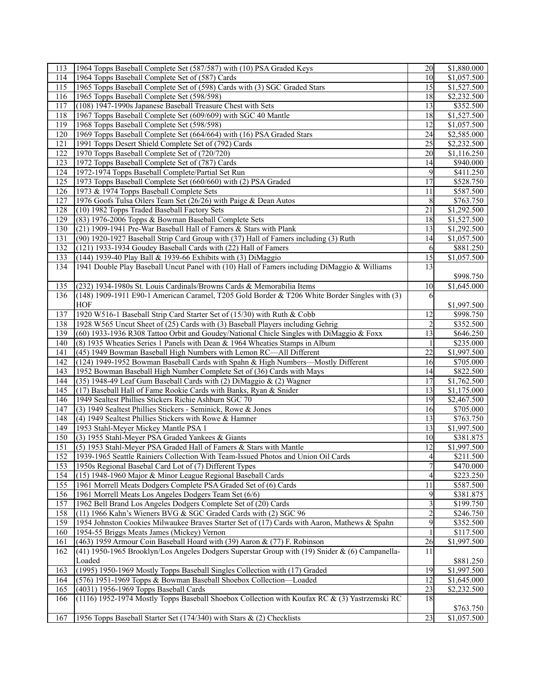| 113 | 1964 Topps Baseball Complete Set (587/587) with (10) PSA Graded Keys                           | 20       | \$1,880.000 |
|-----|------------------------------------------------------------------------------------------------|----------|-------------|
| 114 | 1964 Topps Baseball Complete Set of (587) Cards                                                | 10       | \$1,057.500 |
| 115 | 1965 Topps Baseball Complete Set of (598) Cards with (3) SGC Graded Stars                      | 15       | \$1,527.500 |
| 116 | 1965 Topps Baseball Complete Set (598/598)                                                     | 18       | \$2,232.500 |
| 117 | (108) 1947-1990s Japanese Baseball Treasure Chest with Sets                                    | 13       | \$352.500   |
| 118 | 1967 Topps Baseball Complete Set (609/609) with SGC 40 Mantle                                  | 18       | \$1,527.500 |
| 119 | 1968 Topps Baseball Complete Set (598/598)                                                     | 12       | \$1,057.500 |
| 120 | 1969 Topps Baseball Complete Set (664/664) with (16) PSA Graded Stars                          | 24       | \$2,585.000 |
| 121 | 1991 Topps Desert Shield Complete Set of (792) Cards                                           | 25       | \$2,232.500 |
| 122 | 1970 Topps Baseball Complete Set of (720/720)                                                  | 20       | \$1,116.250 |
| 123 | 1972 Topps Baseball Complete Set of (787) Cards                                                | 14       | \$940.000   |
| 124 |                                                                                                | 9        |             |
|     | 1972-1974 Topps Baseball Complete/Partial Set Run                                              |          | \$411.250   |
| 125 | 1973 Topps Baseball Complete Set (660/660) with (2) PSA Graded                                 | 17       | \$528.750   |
| 126 | 1973 & 1974 Topps Baseball Complete Sets                                                       | 11       | \$587.500   |
| 127 | 1976 Goofs Tulsa Oilers Team Set (26/26) with Paige & Dean Autos                               | 8        | \$763.750   |
| 128 | (10) 1982 Topps Traded Baseball Factory Sets                                                   | 21       | \$1,292.500 |
| 129 | (83) 1976-2006 Topps & Bowman Baseball Complete Sets                                           | 18       | \$1,527.500 |
| 130 | (21) 1909-1941 Pre-War Baseball Hall of Famers & Stars with Plank                              | 13       | \$1,292.500 |
| 131 | (90) 1920-1927 Baseball Strip Card Group with (37) Hall of Famers including (3) Ruth           | 14       | \$1,057.500 |
| 132 | (121) 1933-1934 Goudey Baseball Cards with (22) Hall of Famers                                 | 6        | \$881.250   |
| 133 | (144) 1939-40 Play Ball & 1939-66 Exhibits with (3) DiMaggio                                   | 15       | \$1,057.500 |
| 134 | 1941 Double Play Baseball Uncut Panel with (10) Hall of Famers including DiMaggio & Williams   | 13       |             |
|     |                                                                                                |          | \$998.750   |
| 135 | (232) 1934-1980s St. Louis Cardinals/Browns Cards & Memorabilia Items                          | 10       | \$1,645.000 |
| 136 | (148) 1909-1911 E90-1 American Caramel, T205 Gold Border & T206 White Border Singles with (3)  | 6        |             |
|     | <b>HOF</b>                                                                                     |          | \$1,997.500 |
| 137 | 1920 W516-1 Baseball Strip Card Starter Set of (15/30) with Ruth & Cobb                        | 12       | \$998.750   |
| 138 | 1928 W565 Uncut Sheet of (25) Cards with (3) Baseball Players including Gehrig                 |          | \$352.500   |
| 139 | (60) 1933-1936 R308 Tattoo Orbit and Goudey/National Chicle Singles with DiMaggio & Foxx       | 13       | \$646.250   |
| 140 | (8) 1935 Wheaties Series 1 Panels with Dean & 1964 Wheaties Stamps in Album                    |          | \$235.000   |
| 141 |                                                                                                | 22       | \$1,997.500 |
| 142 | (45) 1949 Bowman Baseball High Numbers with Lemon RC-All Different                             |          |             |
|     | (124) 1949-1952 Bowman Baseball Cards with Spahn & High Numbers—Mostly Different               | 16       | \$705.000   |
| 143 | 1952 Bowman Baseball High Number Complete Set of (36) Cards with Mays                          | 14       | \$822.500   |
| 144 | (35) 1948-49 Leaf Gum Baseball Cards with (2) DiMaggio & (2) Wagner                            | 17       | \$1,762.500 |
| 145 | (17) Baseball Hall of Fame Rookie Cards with Banks, Ryan & Snider                              | 13       | \$1,175.000 |
| 146 | 1949 Sealtest Phillies Stickers Richie Ashburn SGC 70                                          | 19       | \$2,467.500 |
| 147 | (3) 1949 Sealtest Phillies Stickers - Seminick, Rowe & Jones                                   | 16       | \$705.000   |
| 148 | (4) 1949 Sealtest Phillies Stickers with Rowe & Hamner                                         | 13       | \$763.750   |
| 149 | 1953 Stahl-Meyer Mickey Mantle PSA 1                                                           | 13       | \$1,997.500 |
| 150 | (3) 1955 Stahl-Meyer PSA Graded Yankees & Giants                                               | 10       | \$381.875   |
| 151 | (5) 1953 Stahl-Meyer PSA Graded Hall of Famers & Stars with Mantle                             | 12       | \$1,997.500 |
| 152 | 1939-1965 Seattle Rainiers Collection With Team-Issued Photos and Union Oil Cards              | $\Delta$ | \$211.500   |
| 153 | 1950s Regional Basebal Card Lot of (7) Different Types                                         |          | \$470.000   |
| 154 | (15) 1948-1960 Major & Minor League Regional Baseball Cards                                    | 4        | \$223.250   |
| 155 | 1961 Morrell Meats Dodgers Complete PSA Graded Set of (6) Cards                                | 11       | \$587.500   |
| 156 | 1961 Morrell Meats Los Angeles Dodgers Team Set (6/6)                                          | 9        | \$381.875   |
| 157 | 1962 Bell Brand Los Angeles Dodgers Complete Set of (20) Cards                                 | 3        | \$199.750   |
| 158 | (11) 1966 Kahn's Wieners BVG & SGC Graded Cards with (2) SGC 96                                |          | \$246.750   |
| 159 | 1954 Johnston Cookies Milwaukee Braves Starter Set of (17) Cards with Aaron, Mathews & Spahn   | 9        | \$352.500   |
| 160 | 1954-55 Briggs Meats James (Mickey) Vernon                                                     |          | \$117.500   |
| 161 | (463) 1959 Armour Coin Baseball Hoard with (39) Aaron & (77) F. Robinson                       | 26       | \$1,997.500 |
| 162 | (41) 1950-1965 Brooklyn/Los Angeles Dodgers Superstar Group with (19) Snider & (6) Campanella- | 11       |             |
|     | Loaded                                                                                         |          | \$881.250   |
| 163 |                                                                                                |          | \$1,997.500 |
|     | (1995) 1950-1969 Mostly Topps Baseball Singles Collection with (17) Graded                     | 19       |             |
| 164 | (576) 1951-1969 Topps & Bowman Baseball Shoebox Collection-Loaded                              | 12       | \$1,645.000 |
| 165 | (4031) 1956-1969 Topps Baseball Cards                                                          | 23       | \$2,232.500 |
| 166 | (1116) 1952-1974 Mostly Topps Baseball Shoebox Collection with Koufax RC & (3) Yastrzemski RC  | 18       |             |
|     |                                                                                                |          | \$763.750   |
| 167 | 1956 Topps Baseball Starter Set (174/340) with Stars & (2) Checklists                          | 23       | \$1,057.500 |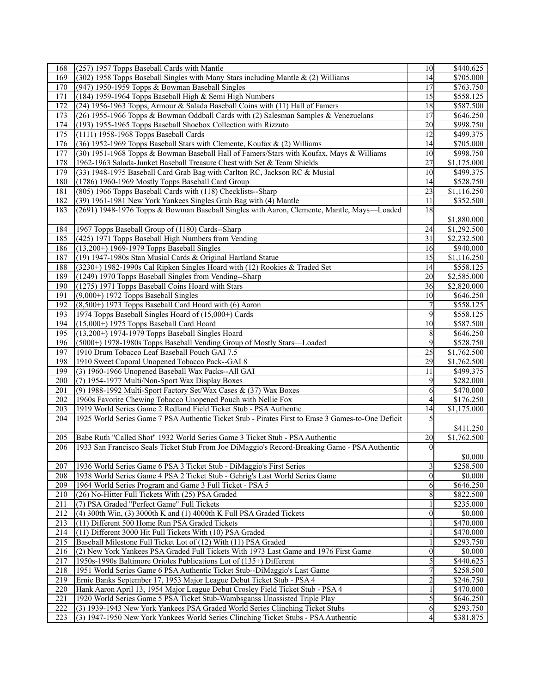| 168 | (257) 1957 Topps Baseball Cards with Mantle                                                        | 10              | \$440.625               |
|-----|----------------------------------------------------------------------------------------------------|-----------------|-------------------------|
| 169 | (302) 1958 Topps Baseball Singles with Many Stars including Mantle & (2) Williams                  | 14              | $\overline{$705.000}$   |
| 170 | (947) 1950-1959 Topps & Bowman Baseball Singles                                                    | 17              | \$763.750               |
| 171 | (184) 1959-1964 Topps Baseball High & Semi High Numbers                                            | 15              | \$558.125               |
| 172 | (24) 1956-1963 Topps, Armour & Salada Baseball Coins with (11) Hall of Famers                      | 18              | \$587.500               |
| 173 | (26) 1955-1966 Topps & Bowman Oddball Cards with (2) Salesman Samples & Venezuelans                | $\overline{17}$ | \$646.250               |
| 174 | (193) 1955-1965 Topps Baseball Shoebox Collection with Rizzuto                                     | 20              | \$998.750               |
| 175 | (1111) 1958-1968 Topps Baseball Cards                                                              | $\overline{12}$ | \$499.375               |
| 176 | (36) 1952-1969 Topps Baseball Stars with Clemente, Koufax & (2) Williams                           | 14              | \$705.000               |
| 177 | (30) 1951-1968 Topps & Bowman Baseball Hall of Famers/Stars with Koufax, Mays & Williams           | 10              |                         |
|     |                                                                                                    | $\overline{27}$ | \$998.750               |
| 178 | 1962-1963 Salada-Junket Baseball Treasure Chest with Set & Team Shields                            |                 | \$1,175.000             |
| 179 | (33) 1948-1975 Baseball Card Grab Bag with Carlton RC, Jackson RC & Musial                         | 10              | \$499.375               |
| 180 | (1786) 1960-1969 Mostly Topps Baseball Card Group                                                  | 14              | \$528.750               |
| 181 | (805) 1966 Topps Baseball Cards with (118) Checklists--Sharp                                       | 23              | \$1,116.250             |
| 182 | (39) 1961-1981 New York Yankees Singles Grab Bag with (4) Mantle                                   | 11              | \$352.500               |
| 183 | (2691) 1948-1976 Topps & Bowman Baseball Singles with Aaron, Clemente, Mantle, Mays—Loaded         | 18              |                         |
|     |                                                                                                    |                 | \$1,880.000             |
| 184 | 1967 Topps Baseball Group of (1180) Cards--Sharp                                                   | 24              | \$1,292.500             |
| 185 | (425) 1971 Topps Baseball High Numbers from Vending                                                | 31              | \$2,232.500             |
| 186 | $(13,200+)$ 1969-1979 Topps Baseball Singles                                                       | 16              | \$940.000               |
| 187 | (19) 1947-1980s Stan Musial Cards & Original Hartland Statue                                       | $\overline{15}$ | $\overline{1,}116.250$  |
| 188 | (3230+) 1982-1990s Cal Ripken Singles Hoard with (12) Rookies & Traded Set                         | 14              | \$558.125               |
| 189 | (1249) 1970 Topps Baseball Singles from Vending--Sharp                                             | 20              | \$2,585.000             |
| 190 | (1275) 1971 Topps Baseball Coins Hoard with Stars                                                  | 36              | \$2,820.000             |
| 191 | (9,000+) 1972 Topps Baseball Singles                                                               | 10              | \$646.250               |
| 192 | (8,500+) 1973 Topps Baseball Card Hoard with (6) Aaron                                             | 7               | \$558.125               |
| 193 | 1974 Topps Baseball Singles Hoard of (15,000+) Cards                                               | 9               | \$558.125               |
| 194 | (15,000+) 1975 Topps Baseball Card Hoard                                                           | 10              | \$587.500               |
| 195 | $(13,200+)$ 1974-1979 Topps Baseball Singles Hoard                                                 | 8               | \$646.250               |
| 196 | (5000+) 1978-1980s Topps Baseball Vending Group of Mostly Stars-Loaded                             | 9               | \$528.750               |
| 197 | 1910 Drum Tobacco Leaf Baseball Pouch GAI 7.5                                                      | $\overline{25}$ | \$1,762.500             |
| 198 |                                                                                                    | 29              | $\overline{$1,762.500}$ |
| 199 | 1910 Sweet Caporal Unopened Tobacco Pack--GAI 8                                                    |                 | \$499.375               |
|     | (3) 1960-1966 Unopened Baseball Wax Packs--All GAI                                                 | 11              |                         |
| 200 | (7) 1954-1977 Multi/Non-Sport Wax Display Boxes                                                    | 9               | \$282.000               |
| 201 | (9) 1988-1992 Multi-Sport Factory Set/Wax Cases & (37) Wax Boxes                                   | 6               | \$470.000               |
| 202 | 1960s Favorite Chewing Tobacco Unopened Pouch with Nellie Fox                                      | 4               | \$176.250               |
| 203 | 1919 World Series Game 2 Redland Field Ticket Stub - PSA Authentic                                 | 14              | \$1,175.000             |
| 204 | 1925 World Series Game 7 PSA Authentic Ticket Stub - Pirates First to Erase 3 Games-to-One Deficit | 5               |                         |
|     |                                                                                                    |                 | \$411.250               |
| 205 | Babe Ruth "Called Shot" 1932 World Series Game 3 Ticket Stub - PSA Authentic                       | 20              | $\overline{$1,762.500}$ |
| 206 | 1933 San Francisco Seals Ticket Stub From Joe DiMaggio's Record-Breaking Game - PSA Authentic      | $\Omega$        |                         |
|     |                                                                                                    |                 | \$0.000                 |
| 207 | 1936 World Series Game 6 PSA 3 Ticket Stub - DiMaggio's First Series                               | 3               | \$258.500               |
| 208 | 1938 World Series Game 4 PSA 2 Ticket Stub - Gehrig's Last World Series Game                       | $\theta$        | \$0.000                 |
| 209 | 1964 World Series Program and Game 3 Full Ticket - PSA 5                                           | 6               | \$646.250               |
| 210 | (26) No-Hitter Full Tickets With (25) PSA Graded                                                   | 8               | \$822.500               |
| 211 | (7) PSA Graded "Perfect Game" Full Tickets                                                         |                 | \$235.000               |
| 212 | (4) 300th Win, (3) 3000th K and (1) 4000th K Full PSA Graded Tickets                               | $\mathbf{0}$    | \$0.000                 |
| 213 | (11) Different 500 Home Run PSA Graded Tickets                                                     |                 | \$470.000               |
| 214 | (11) Different 3000 Hit Full Tickets With (10) PSA Graded                                          |                 | \$470.000               |
| 215 | Baseball Milestone Full Ticket Lot of (12) With (11) PSA Graded                                    |                 | \$293.750               |
| 216 | (2) New York Yankees PSA Graded Full Tickets With 1973 Last Game and 1976 First Game               | $\mathbf{0}$    | \$0.000                 |
| 217 | 1950s-1990s Baltimore Orioles Publications Lot of (135+) Different                                 | 5               | \$440.625               |
| 218 | 1951 World Series Game 6 PSA Authentic Ticket Stub--DiMaggio's Last Game                           | 7               | \$258.500               |
| 219 | Ernie Banks September 17, 1953 Major League Debut Ticket Stub - PSA 4                              | 2               | \$246.750               |
| 220 | Hank Aaron April 13, 1954 Major League Debut Crosley Field Ticket Stub - PSA 4                     |                 | \$470.000               |
| 221 | 1920 World Series Game 5 PSA Ticket Stub-Wambsganss Unassisted Triple Play                         | 5               | \$646.250               |
| 222 | (3) 1939-1943 New York Yankees PSA Graded World Series Clinching Ticket Stubs                      |                 | \$293.750               |
|     |                                                                                                    | 6               |                         |
| 223 | (3) 1947-1950 New York Yankees World Series Clinching Ticket Stubs - PSA Authentic                 | $\overline{4}$  | \$381.875               |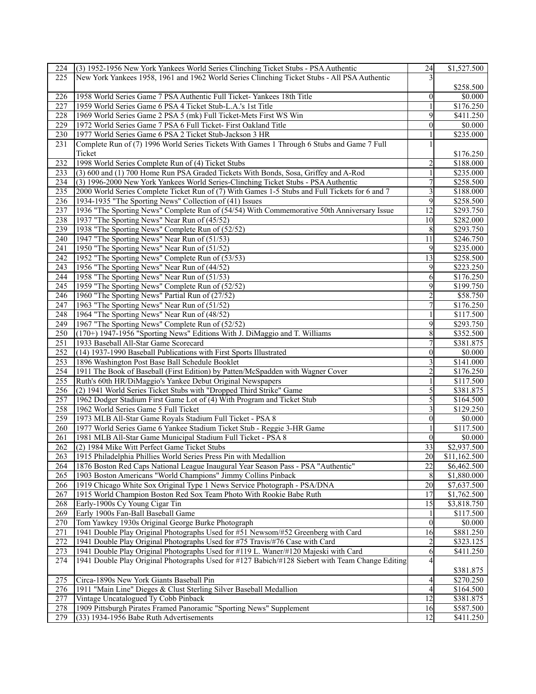| 224              | (3) 1952-1956 New York Yankees World Series Clinching Ticket Stubs - PSA Authentic               | 24             | \$1,527.500  |
|------------------|--------------------------------------------------------------------------------------------------|----------------|--------------|
| 225              | New York Yankees 1958, 1961 and 1962 World Series Clinching Ticket Stubs - All PSA Authentic     |                |              |
|                  |                                                                                                  |                | \$258.500    |
| 226              | 1958 World Series Game 7 PSA Authentic Full Ticket-Yankees 18th Title                            | $\theta$       | \$0.000      |
| 227              | 1959 World Series Game 6 PSA 4 Ticket Stub-L.A.'s 1st Title                                      |                | \$176.250    |
| 228              | 1969 World Series Game 2 PSA 5 (mk) Full Ticket-Mets First WS Win                                | 9              | \$411.250    |
| 229              | 1972 World Series Game 7 PSA 6 Full Ticket- First Oakland Title                                  | $\theta$       | \$0.000      |
| 230              |                                                                                                  |                | \$235.000    |
|                  | 1977 World Series Game 6 PSA 2 Ticket Stub-Jackson 3 HR                                          |                |              |
| 231              | Complete Run of (7) 1996 World Series Tickets With Games 1 Through 6 Stubs and Game 7 Full       |                |              |
|                  | Ticket                                                                                           |                | \$176.250    |
| 232              | 1998 World Series Complete Run of (4) Ticket Stubs                                               | 2              | \$188.000    |
| 233              | (3) 600 and (1) 700 Home Run PSA Graded Tickets With Bonds, Sosa, Griffey and A-Rod              |                | \$235.000    |
| 234              | (3) 1996-2000 New York Yankees World Series-Clinching Ticket Stubs - PSA Authentic               | $\overline{7}$ | \$258.500    |
| 235              | 2000 World Series Complete Ticket Run of (7) With Games 1-5 Stubs and Full Tickets for 6 and 7   | 3              | \$188.000    |
| 236              | 1934-1935 "The Sporting News" Collection of (41) Issues                                          | 9              | \$258.500    |
| 237              | 1936 "The Sporting News" Complete Run of (54/54) With Commemorative 50th Anniversary Issue       | 12             | \$293.750    |
| 238              | 1937 "The Sporting News" Near Run of (45/52)                                                     | 10             | \$282.000    |
| 239              | 1938 "The Sporting News" Complete Run of (52/52)                                                 | 8              | \$293.750    |
| 240              | 1947 "The Sporting News" Near Run of (51/53)                                                     | 11             | \$246.750    |
| 241              | 1950 "The Sporting News" Near Run of (51/52)                                                     | 9              | \$235.000    |
| 242              | 1952 "The Sporting News" Complete Run of (53/53)                                                 | 13             | \$258.500    |
| 243              | 1956 "The Sporting News" Near Run of (44/52)                                                     | 9              | \$223.250    |
| 244              | 1958 "The Sporting News" Near Run of (51/53)                                                     | 6              | \$176.250    |
| 245              | 1959 "The Sporting News" Complete Run of (52/52)                                                 | 9              | \$199.750    |
| 246              | 1960 "The Sporting News" Partial Run of (27/52)                                                  | 2              | \$58.750     |
| 247              | 1963 "The Sporting News" Near Run of (51/52)                                                     |                | \$176.250    |
| 248              | 1964 "The Sporting News" Near Run of (48/52)                                                     |                | \$117.500    |
| 249              | 1967 "The Sporting News" Complete Run of (52/52)                                                 | 9              | \$293.750    |
| 250              | (170+) 1947-1956 "Sporting News" Editions With J. DiMaggio and T. Williams                       | 8              | \$352.500    |
|                  |                                                                                                  |                |              |
| 251              | 1933 Baseball All-Star Game Scorecard                                                            | 7              | \$381.875    |
| 252              | (14) 1937-1990 Baseball Publications with First Sports Illustrated                               | $\theta$       | \$0.000      |
| 253              | 1896 Washington Post Base Ball Schedule Booklet                                                  | 3              | \$141.000    |
| 254              | 1911 The Book of Baseball (First Edition) by Patten/McSpadden with Wagner Cover                  | $\overline{c}$ | \$176.250    |
| 255              | Ruth's 60th HR/DiMaggio's Yankee Debut Original Newspapers                                       |                | \$117.500    |
| 256              | (2) 1941 World Series Ticket Stubs with "Dropped Third Strike" Game                              | 5              | \$381.875    |
| 257              | 1962 Dodger Stadium First Game Lot of (4) With Program and Ticket Stub                           | 5              | \$164.500    |
| 258              | 1962 World Series Game 5 Full Ticket                                                             | 3              | \$129.250    |
| 259              | 1973 MLB All-Star Game Royals Stadium Full Ticket - PSA 8                                        | $\theta$       | \$0.000      |
| 260              | 1977 World Series Game 6 Yankee Stadium Ticket Stub - Reggie 3-HR Game                           |                | \$117.500    |
| 261              | 1981 MLB All-Star Game Municipal Stadium Full Ticket - PSA 8                                     | $\overline{0}$ | \$0.000      |
| 262              | (2) 1984 Mike Witt Perfect Game Ticket Stubs                                                     | 33             | \$2,937.500  |
| $\overline{263}$ | 1915 Philadelphia Phillies World Series Press Pin with Medallion                                 | 20             | \$11,162.500 |
| 264              | 1876 Boston Red Caps National League Inaugural Year Season Pass - PSA "Authentic"                | 22             | \$6,462.500  |
| 265              | 1903 Boston Americans "World Champions" Jimmy Collins Pinback                                    | 8              | \$1,880.000  |
| 266              | 1919 Chicago White Sox Original Type 1 News Service Photograph - PSA/DNA                         | 20             | \$7,637.500  |
| 267              | 1915 World Champion Boston Red Sox Team Photo With Rookie Babe Ruth                              | 17             | \$1,762.500  |
| 268              | Early-1900s Cy Young Cigar Tin                                                                   | 15             | \$3,818.750  |
| 269              | Early 1900s Fan-Ball Baseball Game                                                               | 1              | \$117.500    |
| 270              | Tom Yawkey 1930s Original George Burke Photograph                                                | $\theta$       | \$0.000      |
| 271              | 1941 Double Play Original Photographs Used for #51 Newsom/#52 Greenberg with Card                | 16             | \$881.250    |
| 272              | 1941 Double Play Original Photographs Used for #75 Travis/#76 Case with Card                     | $\overline{c}$ | \$323.125    |
| 273              | 1941 Double Play Original Photographs Used for #119 L. Waner/#120 Majeski with Card              | 6              | \$411.250    |
| 274              | 1941 Double Play Original Photographs Used for #127 Babich/#128 Siebert with Team Change Editing | 4              |              |
|                  |                                                                                                  |                |              |
| 275              |                                                                                                  |                | \$381.875    |
|                  | Circa-1890s New York Giants Baseball Pin                                                         | 4              | \$270.250    |
| 276              | 1911 "Main Line" Dieges & Clust Sterling Silver Baseball Medallion                               | $\overline{4}$ | \$164.500    |
| 277              | Vintage Uncatalogued Ty Cobb Pinback                                                             | 12             | \$381.875    |
| 278              | 1909 Pittsburgh Pirates Framed Panoramic "Sporting News" Supplement                              | 16             | \$587.500    |
| 279              | (33) 1934-1956 Babe Ruth Advertisements                                                          | 12             | \$411.250    |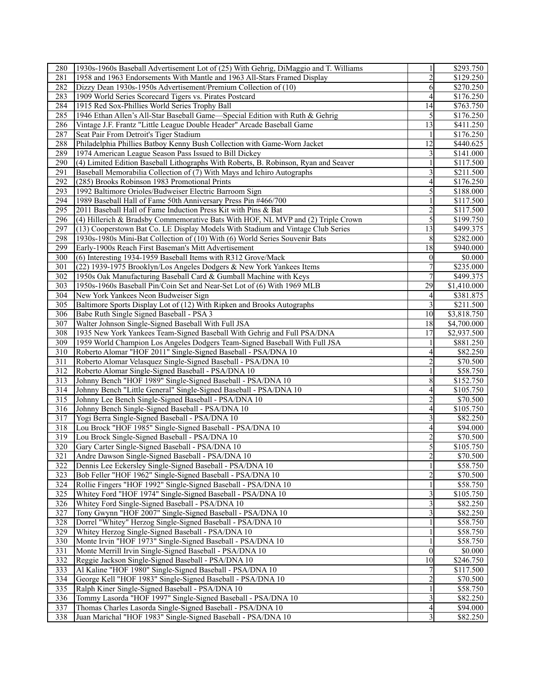| 280              | 1930s-1960s Baseball Advertisement Lot of (25) With Gehrig, DiMaggio and T. Williams | 1              | \$293.750   |
|------------------|--------------------------------------------------------------------------------------|----------------|-------------|
| 281              | 1958 and 1963 Endorsements With Mantle and 1963 All-Stars Framed Display             | $\overline{c}$ | \$129.250   |
| 282              | Dizzy Dean 1930s-1950s Advertisement/Premium Collection of (10)                      | 6              | \$270.250   |
| 283              | 1909 World Series Scorecard Tigers vs. Pirates Postcard                              | 4              | \$176.250   |
| 284              | 1915 Red Sox-Phillies World Series Trophy Ball                                       | 14             | \$763.750   |
| 285              | 1946 Ethan Allen's All-Star Baseball Game—Special Edition with Ruth & Gehrig         | 5              | \$176.250   |
| 286              | Vintage J.F. Frantz "Little League Double Header" Arcade Baseball Game               | 13             | \$411.250   |
| 287              | Seat Pair From Detroit's Tiger Stadium                                               |                | \$176.250   |
| 288              | Philadelphia Phillies Batboy Kenny Bush Collection with Game-Worn Jacket             | 12             | \$440.625   |
| 289              | 1974 American League Season Pass Issued to Bill Dickey                               |                | \$141.000   |
| 290              | (4) Limited Edition Baseball Lithographs With Roberts, B. Robinson, Ryan and Seaver  |                | \$117.500   |
| $\overline{291}$ |                                                                                      |                |             |
|                  | Baseball Memorabilia Collection of (7) With Mays and Ichiro Autographs               | 3              | \$211.500   |
| 292              | (285) Brooks Robinson 1983 Promotional Prints                                        | 4              | \$176.250   |
| 293              | 1992 Baltimore Orioles/Budweiser Electric Barroom Sign                               | 5              | \$188.000   |
| 294              | 1989 Baseball Hall of Fame 50th Anniversary Press Pin #466/700                       |                | \$117.500   |
| 295              | 2011 Baseball Hall of Fame Induction Press Kit with Pins & Bat                       | 2              | \$117.500   |
| 296              | (4) Hillerich & Bradsby Commemorative Bats With HOF, NL MVP and (2) Triple Crown     | 5              | \$199.750   |
| 297              | (13) Cooperstown Bat Co. LE Display Models With Stadium and Vintage Club Series      | 13             | \$499.375   |
| 298              | 1930s-1980s Mini-Bat Collection of (10) With (6) World Series Souvenir Bats          | 8              | \$282.000   |
| 299              | Early-1900s Reach First Baseman's Mitt Advertisement                                 | 18             | \$940.000   |
| 300              | (6) Interesting 1934-1959 Baseball Items with R312 Grove/Mack                        | 0              | \$0.000     |
| 301              | (22) 1939-1975 Brooklyn/Los Angeles Dodgers & New York Yankees Items                 |                | \$235.000   |
| 302              | 1950s Oak Manufacturing Baseball Card & Gumball Machine with Keys                    | 7              | \$499.375   |
| 303              | 1950s-1960s Baseball Pin/Coin Set and Near-Set Lot of (6) With 1969 MLB              | 29             | \$1,410.000 |
| 304              | New York Yankees Neon Budweiser Sign                                                 | 4              | \$381.875   |
| 305              | Baltimore Sports Display Lot of (12) With Ripken and Brooks Autographs               | 3              | \$211.500   |
| 306              | Babe Ruth Single Signed Baseball - PSA 3                                             | 10             | \$3,818.750 |
| 307              | Walter Johnson Single-Signed Baseball With Full JSA                                  | 18             | \$4,700.000 |
| 308              | 1935 New York Yankees Team-Signed Baseball With Gehrig and Full PSA/DNA              | 17             | \$2,937.500 |
| 309              | 1959 World Champion Los Angeles Dodgers Team-Signed Baseball With Full JSA           |                | \$881.250   |
| 310              | Roberto Alomar "HOF 2011" Single-Signed Baseball - PSA/DNA 10                        | 4              | \$82.250    |
| 311              | Roberto Alomar Velasquez Single-Signed Baseball - PSA/DNA 10                         |                | \$70.500    |
| 312              | Roberto Alomar Single-Signed Baseball - PSA/DNA 10                                   |                | \$58.750    |
| 313              |                                                                                      | 8              | \$152.750   |
|                  | Johnny Bench "HOF 1989" Single-Signed Baseball - PSA/DNA 10                          | $\overline{4}$ |             |
| 314              | Johnny Bench "Little General" Single-Signed Baseball - PSA/DNA 10                    |                | \$105.750   |
| 315              | Johnny Lee Bench Single-Signed Baseball - PSA/DNA 10                                 |                | \$70.500    |
| 316              | Johnny Bench Single-Signed Baseball - PSA/DNA 10                                     | $\overline{4}$ | \$105.750   |
| 317              | Yogi Berra Single-Signed Baseball - PSA/DNA 10                                       | 3              | \$82.250    |
| 318              | Lou Brock "HOF 1985" Single-Signed Baseball - PSA/DNA 10                             | 4              | \$94.000    |
| 319              | Lou Brock Single-Signed Baseball - PSA/DNA 10                                        |                | \$70.500    |
| 320              | Gary Carter Single-Signed Baseball - PSA/DNA 10                                      | 5              | \$105.750   |
| $\overline{321}$ | Andre Dawson Single-Signed Baseball - PSA/DNA 10                                     | $\mathfrak{D}$ | \$70.500    |
| 322              | Dennis Lee Eckersley Single-Signed Baseball - PSA/DNA 10                             |                | \$58.750    |
| 323              | Bob Feller "HOF 1962" Single-Signed Baseball - PSA/DNA 10                            | 2              | \$70.500    |
| 324              | Rollie Fingers "HOF 1992" Single-Signed Baseball - PSA/DNA 10                        |                | \$58.750    |
| 325              | Whitey Ford "HOF 1974" Single-Signed Baseball - PSA/DNA 10                           |                | \$105.750   |
| 326              | Whitey Ford Single-Signed Baseball - PSA/DNA 10                                      |                | \$82.250    |
| 327              | Tony Gwynn "HOF 2007" Single-Signed Baseball - PSA/DNA 10                            |                | \$82.250    |
| 328              | Dorrel "Whitey" Herzog Single-Signed Baseball - PSA/DNA 10                           |                | \$58.750    |
| 329              | Whitey Herzog Single-Signed Baseball - PSA/DNA 10                                    |                | \$58.750    |
| 330              | Monte Irvin "HOF 1973" Single-Signed Baseball - PSA/DNA 10                           |                | \$58.750    |
| 331              | Monte Merrill Irvin Single-Signed Baseball - PSA/DNA 10                              | $\theta$       | \$0.000     |
| 332              | Reggie Jackson Single-Signed Baseball - PSA/DNA 10                                   | 10             | \$246.750   |
| 333              | Al Kaline "HOF 1980" Single-Signed Baseball - PSA/DNA 10                             |                | \$117.500   |
| 334              | George Kell "HOF 1983" Single-Signed Baseball - PSA/DNA 10                           |                | \$70.500    |
| 335              | Ralph Kiner Single-Signed Baseball - PSA/DNA 10                                      |                | \$58.750    |
| 336              | Tommy Lasorda "HOF 1997" Single-Signed Baseball - PSA/DNA 10                         |                | \$82.250    |
| 337              | Thomas Charles Lasorda Single-Signed Baseball - PSA/DNA 10                           |                | \$94.000    |
|                  |                                                                                      | 4              |             |
| 338              | Juan Marichal "HOF 1983" Single-Signed Baseball - PSA/DNA 10                         | 3              | \$82.250    |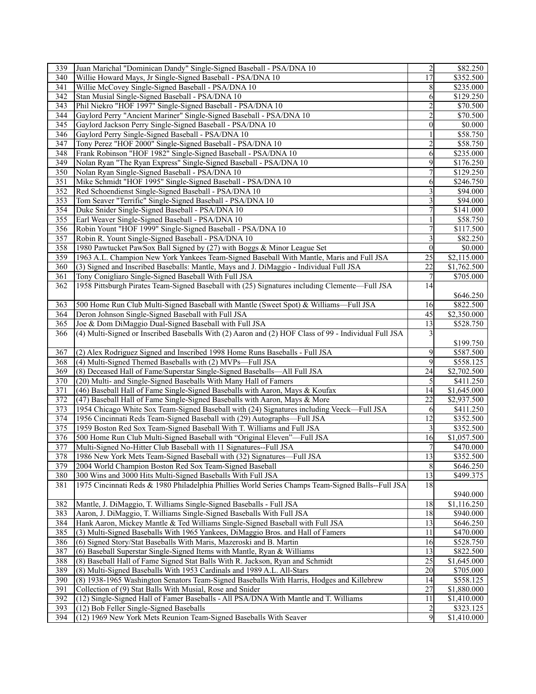| 339              | Juan Marichal "Dominican Dandy" Single-Signed Baseball - PSA/DNA 10                                  | $\overline{c}$   | \$82.250                |
|------------------|------------------------------------------------------------------------------------------------------|------------------|-------------------------|
| 340              | Willie Howard Mays, Jr Single-Signed Baseball - PSA/DNA 10                                           | 17               | \$352.500               |
| 341              | Willie McCovey Single-Signed Baseball - PSA/DNA 10                                                   | 8                | \$235.000               |
| 342              | Stan Musial Single-Signed Baseball - PSA/DNA 10                                                      | 6                | \$129.250               |
| 343              | Phil Niekro "HOF 1997" Single-Signed Baseball - PSA/DNA 10                                           | $\overline{2}$   | \$70.500                |
| 344              | Gaylord Perry "Ancient Mariner" Single-Signed Baseball - PSA/DNA 10                                  |                  | \$70.500                |
| 345              | Gaylord Jackson Perry Single-Signed Baseball - PSA/DNA 10                                            | $\theta$         | \$0.000                 |
|                  |                                                                                                      |                  |                         |
| 346              | Gaylord Perry Single-Signed Baseball - PSA/DNA 10                                                    |                  | \$58.750                |
| 347              | Tony Perez "HOF 2000" Single-Signed Baseball - PSA/DNA 10                                            | 2                | \$58.750                |
| 348              | Frank Robinson "HOF 1982" Single-Signed Baseball - PSA/DNA 10                                        | 6                | \$235.000               |
| 349              | Nolan Ryan "The Ryan Express" Single-Signed Baseball - PSA/DNA 10                                    | 9                | \$176.250               |
| 350              | Nolan Ryan Single-Signed Baseball - PSA/DNA 10                                                       |                  | \$129.250               |
| 351              | Mike Schmidt "HOF 1995" Single-Signed Baseball - PSA/DNA 10                                          | 6                | \$246.750               |
| 352              | Red Schoendienst Single-Signed Baseball - PSA/DNA 10                                                 | 3                | \$94.000                |
| 353              | Tom Seaver "Terrific" Single-Signed Baseball - PSA/DNA 10                                            |                  | \$94.000                |
| 354              | Duke Snider Single-Signed Baseball - PSA/DNA 10                                                      |                  | \$141.000               |
| 355              | Earl Weaver Single-Signed Baseball - PSA/DNA 10                                                      |                  | \$58.750                |
| 356              | Robin Yount "HOF 1999" Single-Signed Baseball - PSA/DNA 10                                           |                  | \$117.500               |
| 357              |                                                                                                      | 3                | \$82.250                |
|                  | Robin R. Yount Single-Signed Baseball - PSA/DNA 10                                                   |                  |                         |
| 358              | 1980 Pawtucket PawSox Ball Signed by (27) with Boggs & Minor League Set                              | $\boldsymbol{0}$ | \$0.000                 |
| 359              | 1963 A.L. Champion New York Yankees Team-Signed Baseball With Mantle, Maris and Full JSA             | 25               | \$2,115.000             |
| 360              | (3) Signed and Inscribed Baseballs: Mantle, Mays and J. DiMaggio - Individual Full JSA               | 22               | \$1,762.500             |
| 361              | Tony Conigliaro Single-Signed Baseball With Full JSA                                                 | 7                | \$705.000               |
| 362              | 1958 Pittsburgh Pirates Team-Signed Baseball with (25) Signatures including Clemente—Full JSA        | 14               |                         |
|                  |                                                                                                      |                  | \$646.250               |
| 363              | 500 Home Run Club Multi-Signed Baseball with Mantle (Sweet Spot) & Williams-Full JSA                 | 16               | \$822.500               |
| 364              | Deron Johnson Single-Signed Baseball with Full JSA                                                   | 45               | \$2,350.000             |
| 365              | Joe & Dom DiMaggio Dual-Signed Baseball with Full JSA                                                | 13               | \$528.750               |
| 366              | (4) Multi-Signed or Inscribed Baseballs With (2) Aaron and (2) HOF Class of 99 - Individual Full JSA |                  |                         |
|                  |                                                                                                      |                  | \$199.750               |
| 367              | (2) Alex Rodriguez Signed and Inscribed 1998 Home Runs Baseballs - Full JSA                          | 9                | \$587.500               |
|                  |                                                                                                      | 9                | \$558.125               |
| 368              | (4) Multi-Signed Themed Baseballs with (2) MVPs-Full JSA                                             |                  |                         |
| 369              | (8) Deceased Hall of Fame/Superstar Single-Signed Baseballs-All Full JSA                             | 24               | \$2,702.500             |
| 370              | (20) Multi- and Single-Signed Baseballs With Many Hall of Famers                                     | 5                | \$411.250               |
| 371              | (46) Baseball Hall of Fame Single-Signed Baseballs with Aaron, Mays & Koufax                         | 14               | \$1,645.000             |
| 372              | (47) Baseball Hall of Fame Single-Signed Baseballs with Aaron, Mays & More                           | 22               | \$2,937.500             |
| 373              | 1954 Chicago White Sox Team-Signed Baseball with (24) Signatures including Veeck—Full JSA            | 6                | \$411.250               |
| 374              | 1956 Cincinnati Reds Team-Signed Baseball with (29) Autographs-Full JSA                              | 12               | $\overline{$}352.500$   |
| $\overline{375}$ | 1959 Boston Red Sox Team-Signed Baseball With T. Williams and Full JSA                               | 3                | \$352.500               |
| 376              | 500 Home Run Club Multi-Signed Baseball with "Original Eleven"-Full JSA                              | 16               | \$1,057.500             |
| 377              | Multi-Signed No-Hitter Club Baseball with 11 Signatures--Full JSA                                    |                  | \$470.000               |
| 378              | 1986 New York Mets Team-Signed Baseball with (32) Signatures-Full JSA                                | 13               | \$352.500               |
| 379              | 2004 World Champion Boston Red Sox Team-Signed Baseball                                              | 8                | \$646.250               |
| 380              | 300 Wins and 3000 Hits Multi-Signed Baseballs With Full JSA                                          | 13               | \$499.375               |
|                  |                                                                                                      |                  |                         |
| 381              | 1975 Cincinnati Reds & 1980 Philadelphia Phillies World Series Champs Team-Signed Balls--Full JSA    | 18               |                         |
|                  |                                                                                                      |                  | \$940.000               |
| 382              | Mantle, J. DiMaggio, T. Williams Single-Signed Baseballs - Full JSA                                  | 18               | \$1,116.250             |
| 383              | Aaron, J. DiMaggio, T. Williams Single-Signed Baseballs With Full JSA                                | 18               | $\sqrt{$940.000}$       |
| 384              | Hank Aaron, Mickey Mantle & Ted Williams Single-Signed Baseball with Full JSA                        | 13               | \$646.250               |
| 385              | (3) Multi-Signed Baseballs With 1965 Yankees, DiMaggio Bros. and Hall of Famers                      | 11               | \$470.000               |
| 386              | (6) Signed Story/Stat Baseballs With Maris, Mazeroski and B. Martin                                  | 16               | \$528.750               |
| 387              | (6) Baseball Superstar Single-Signed Items with Mantle, Ryan & Williams                              | 13               | \$822.500               |
| 388              | (8) Baseball Hall of Fame Signed Stat Balls With R. Jackson, Ryan and Schmidt                        | 25               | $$1,64\overline{5.000}$ |
| 389              | (8) Multi-Signed Baseballs With 1953 Cardinals and 1989 A.L. All-Stars                               | 20               | \$705.000               |
| 390              | (8) 1938-1965 Washington Senators Team-Signed Baseballs With Harris, Hodges and Killebrew            | 14               | \$558.125               |
| 391              | Collection of (9) Stat Balls With Musial, Rose and Snider                                            | 27               | \$1,880.000             |
|                  |                                                                                                      |                  |                         |
| 392              | (12) Single-Signed Hall of Famer Baseballs - All PSA/DNA With Mantle and T. Williams                 | 11               | \$1,410.000             |
| 393              | (12) Bob Feller Single-Signed Baseballs                                                              |                  | \$323.125               |
| 394              | (12) 1969 New York Mets Reunion Team-Signed Baseballs With Seaver                                    | 9                | \$1,410.000             |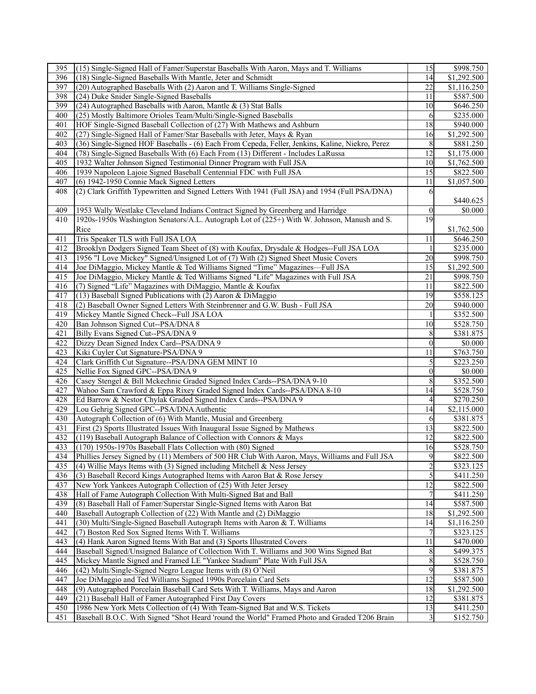| 395 | (15) Single-Signed Hall of Famer/Superstar Baseballs With Aaron, Mays and T. Williams           | 15              | \$998.750   |
|-----|-------------------------------------------------------------------------------------------------|-----------------|-------------|
| 396 | (18) Single-Signed Baseballs With Mantle, Jeter and Schmidt                                     | 14              | \$1,292.500 |
| 397 | (20) Autographed Baseballs With (2) Aaron and T. Williams Single-Signed                         | 22              | \$1,116.250 |
| 398 | (24) Duke Snider Single-Signed Baseballs                                                        | 11              | \$587.500   |
| 399 | (24) Autographed Baseballs with Aaron, Mantle $\&$ (3) Stat Balls                               | 10              | \$646.250   |
| 400 | (25) Mostly Baltimore Orioles Team/Multi/Single-Signed Baseballs                                | 6               | \$235.000   |
| 401 | HOF Single-Signed Baseball Collection of (27) With Mathews and Ashburn                          | $\overline{18}$ | \$940.000   |
| 402 | (27) Single-Signed Hall of Famer/Star Baseballs with Jeter, Mays & Ryan                         | 16              | \$1,292.500 |
| 403 | (36) Single-Signed HOF Baseballs - (6) Each From Cepeda, Feller, Jenkins, Kaline, Niekro, Perez | 8               | \$881.250   |
| 404 | (78) Single-Signed Baseballs With (6) Each From (13) Different - Includes LaRussa               | 12              | \$1,175.000 |
|     |                                                                                                 |                 | \$1,762.500 |
| 405 | 1932 Walter Johnson Signed Testimonial Dinner Program with Full JSA                             | 10              |             |
| 406 | 1939 Napoleon Lajoie Signed Baseball Centennial FDC with Full JSA                               | 15              | \$822.500   |
| 407 | (6) 1942-1950 Connie Mack Signed Letters                                                        | 11              | \$1,057.500 |
| 408 | (2) Clark Griffith Typewritten and Signed Letters With 1941 (Full JSA) and 1954 (Full PSA/DNA)  | 6               |             |
|     |                                                                                                 |                 | \$440.625   |
| 409 | 1953 Wally Westlake Cleveland Indians Contract Signed by Greenberg and Harridge                 | $\theta$        | \$0.000     |
| 410 | 1920s-1950s Washington Senators/A.L. Autograph Lot of (225+) With W. Johnson, Manush and S.     | 19              |             |
|     | Rice                                                                                            |                 | \$1,762.500 |
| 411 | Tris Speaker TLS with Full JSA LOA                                                              | 11              | \$646.250   |
| 412 | Brooklyn Dodgers Signed Team Sheet of (8) with Koufax, Drysdale & Hodges--Full JSA LOA          | 1               | \$235.000   |
| 413 | 1956 "I Love Mickey" Signed/Unsigned Lot of (7) With (2) Signed Sheet Music Covers              | 20              | \$998.750   |
| 414 | Joe DiMaggio, Mickey Mantle & Ted Williams Signed "Time" Magazines-Full JSA                     | 15              | \$1,292.500 |
| 415 | Joe DiMaggio, Mickey Mantle & Ted Williams Signed "Life" Magazines with Full JSA                | 21              | \$998.750   |
| 416 | (7) Signed "Life" Magazines with DiMaggio, Mantle & Koufax                                      | 11              | \$822.500   |
| 417 | (13) Baseball Signed Publications with $(2)$ Aaron & DiMaggio                                   | 19              | \$558.125   |
| 418 | (2) Baseball Owner Signed Letters With Steinbrenner and G.W. Bush - Full JSA                    | 20              | \$940.000   |
| 419 | Mickey Mantle Signed Check--Full JSA LOA                                                        |                 | \$352.500   |
|     |                                                                                                 |                 |             |
| 420 | Ban Johnson Signed Cut--PSA/DNA 8                                                               | 10              | \$528.750   |
| 421 | Billy Evans Signed Cut--PSA/DNA 9                                                               | 8               | \$381.875   |
| 422 | Dizzy Dean Signed Index Card--PSA/DNA 9                                                         | $\mathbf{0}$    | \$0.000     |
| 423 | Kiki Cuyler Cut Signature-PSA/DNA 9                                                             | 11              | \$763.750   |
| 424 | Clark Griffith Cut Signature--PSA/DNA GEM MINT 10                                               | 5               | \$223.250   |
| 425 | Nellie Fox Signed GPC--PSA/DNA 9                                                                | $\mathbf{0}$    | \$0.000     |
| 426 | Casey Stengel & Bill Mckechnie Graded Signed Index Cards--PSA/DNA 9-10                          | 8               | \$352.500   |
| 427 | Wahoo Sam Crawford & Eppa Rixey Graded Signed Index Cards--PSA/DNA 8-10                         | 14              | \$528.750   |
| 428 | Ed Barrow & Nestor Chylak Graded Signed Index Cards--PSA/DNA 9                                  | 4               | \$270.250   |
| 429 | Lou Gehrig Signed GPC--PSA/DNA Authentic                                                        | 14              | \$2,115.000 |
| 430 | Autograph Collection of (6) With Mantle, Musial and Greenberg                                   | 6               | \$381.875   |
| 431 | First (2) Sports Illustrated Issues With Inaugural Issue Signed by Mathews                      | 13              | \$822.500   |
| 432 | (119) Baseball Autograph Balance of Collection with Connors & Mays                              | 12              | \$822.500   |
| 433 | (170) 1950s-1970s Baseball Flats Collection with (80) Signed                                    | 16              | \$528.750   |
| 434 | Phillies Jersey Signed by (11) Members of 500 HR Club With Aaron, Mays, Williams and Full JSA   | $\overline{9}$  | \$822.500   |
| 435 | (4) Willie Mays Items with (3) Signed including Mitchell $&$ Ness Jersey                        | $\overline{2}$  | \$323.125   |
| 436 | (3) Baseball Record Kings Autographed Items with Aaron Bat & Rose Jersey                        | 5               | \$411.250   |
| 437 | New York Yankees Autograph Collection of (25) With Jeter Jersey                                 | 12              | \$822.500   |
| 438 | Hall of Fame Autograph Collection With Multi-Signed Bat and Ball                                |                 | \$411.250   |
| 439 | (8) Baseball Hall of Famer/Superstar Single-Signed Items with Aaron Bat                         | 14              | \$587.500   |
| 440 | Baseball Autograph Collection of (22) With Mantle and (2) DiMaggio                              | 18              | \$1,292.500 |
| 441 | (30) Multi/Single-Signed Baseball Autograph Items with Aaron & T. Williams                      | 14              |             |
| 442 |                                                                                                 |                 | \$1,116.250 |
|     | (7) Boston Red Sox Signed Items With T. Williams                                                | 7<br>11         | \$323.125   |
| 443 | (4) Hank Aaron Signed Items With Bat and (3) Sports Illustrated Covers                          |                 | \$470.000   |
| 444 | Baseball Signed/Unsigned Balance of Collection With T. Williams and 300 Wins Signed Bat         | 8               | \$499.375   |
| 445 | Mickey Mantle Signed and Framed LE "Yankee Stadium" Plate With Full JSA                         | 8               | \$528.750   |
| 446 | (42) Multi/Single-Signed Negro League Items with (8) O'Neil                                     | 9               | \$381.875   |
| 447 | Joe DiMaggio and Ted Williams Signed 1990s Porcelain Card Sets                                  | 12              | \$587.500   |
| 448 | (9) Autographed Porcelain Baseball Card Sets With T. Williams, Mays and Aaron                   | 18              | \$1,292.500 |
| 449 | (21) Baseball Hall of Famer Autographed First Day Covers                                        | 12              | \$381.875   |
| 450 | 1986 New York Mets Collection of (4) With Team-Signed Bat and W.S. Tickets                      | 13              | \$411.250   |
| 451 | Baseball B.O.C. With Signed "Shot Heard 'round the World" Framed Photo and Graded T206 Brain    | 3               | \$152.750   |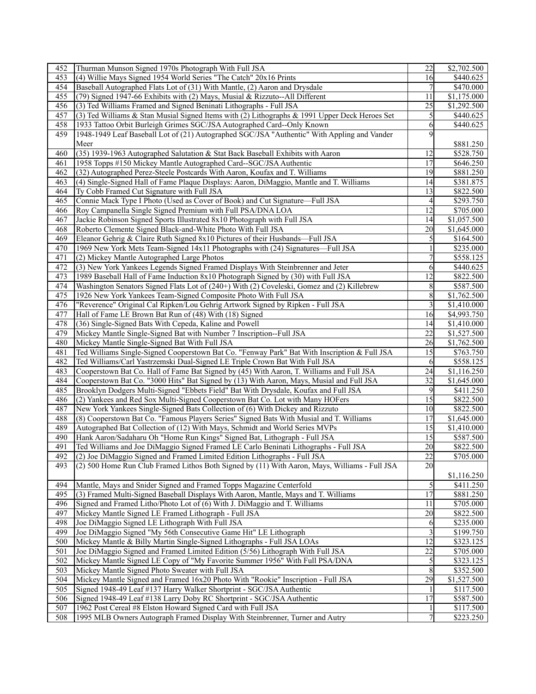| 452              | Thurman Munson Signed 1970s Photograph With Full JSA                                          | 22              | \$2,702.500           |
|------------------|-----------------------------------------------------------------------------------------------|-----------------|-----------------------|
| 453              | (4) Willie Mays Signed 1954 World Series "The Catch" 20x16 Prints                             | 16              | \$440.625             |
| 454              | Baseball Autographed Flats Lot of (31) With Mantle, (2) Aaron and Drysdale                    | 7               | \$470.000             |
| 455              | (79) Signed 1947-66 Exhibits with (2) Mays, Musial & Rizzuto--All Different                   | 11              | \$1,175.000           |
| 456              | (3) Ted Williams Framed and Signed Beninati Lithographs - Full JSA                            | 25              | \$1,292.500           |
| 457              | (3) Ted Williams & Stan Musial Signed Items with (2) Lithographs & 1991 Upper Deck Heroes Set | 5               | \$440.625             |
| 458              | 1933 Tattoo Orbit Burleigh Grimes SGC/JSA Autographed Card--Only Known                        | 6               | \$440.625             |
| 459              | 1948-1949 Leaf Baseball Lot of (21) Autographed SGC/JSA "Authentic" With Appling and Vander   | 9               |                       |
|                  |                                                                                               |                 |                       |
|                  | Meer                                                                                          |                 | \$881.250             |
| 460              | (35) 1939-1963 Autographed Salutation & Stat Back Baseball Exhibits with Aaron                | 12              | \$528.750             |
| 461              | 1958 Topps #150 Mickey Mantle Autographed Card--SGC/JSA Authentic                             | 17              | \$646.250             |
| 462              | (32) Autographed Perez-Steele Postcards With Aaron, Koufax and T. Williams                    | 19              | \$881.250             |
| 463              | (4) Single-Signed Hall of Fame Plaque Displays: Aaron, DiMaggio, Mantle and T. Williams       | 14              | \$381.875             |
| 464              | Ty Cobb Framed Cut Signature with Full JSA                                                    | 13              | \$822.500             |
| 465              | Connie Mack Type I Photo (Used as Cover of Book) and Cut Signature-Full JSA                   | 4               | \$293.750             |
| 466              | Roy Campanella Single Signed Premium with Full PSA/DNA LOA                                    | $\overline{12}$ | \$705.000             |
| 467              | Jackie Robinson Signed Sports Illustrated 8x10 Photograph with Full JSA                       | 14              | \$1,057.500           |
| 468              | Roberto Clemente Signed Black-and-White Photo With Full JSA                                   | 20              | \$1,645.000           |
| 469              | Eleanor Gehrig & Claire Ruth Signed 8x10 Pictures of their Husbands—Full JSA                  | 5               | \$164.500             |
| 470              | 1969 New York Mets Team-Signed 14x11 Photographs with (24) Signatures-Full JSA                |                 | \$235.000             |
| 471              | (2) Mickey Mantle Autographed Large Photos                                                    |                 | \$558.125             |
| 472              | (3) New York Yankees Legends Signed Framed Displays With Steinbrenner and Jeter               | 6               | \$440.625             |
| 473              | 1989 Baseball Hall of Fame Induction 8x10 Photograph Signed by (30) with Full JSA             | 12              | \$822.500             |
| 474              | Washington Senators Signed Flats Lot of (240+) With (2) Coveleski, Gomez and (2) Killebrew    | 8               | \$587.500             |
| 475              | 1926 New York Yankees Team-Signed Composite Photo With Full JSA                               | 8               | \$1,762.500           |
| 476              | "Reverence" Original Cal Ripken/Lou Gehrig Artwork Signed by Ripken - Full JSA                | $\mathfrak{Z}$  | \$1,410.000           |
| 477              | Hall of Fame LE Brown Bat Run of (48) With (18) Signed                                        | 16              | \$4,993.750           |
| 478              | (36) Single-Signed Bats With Cepeda, Kaline and Powell                                        | 14              | \$1,410.000           |
| 479              | Mickey Mantle Single-Signed Bat with Number 7 Inscription--Full JSA                           | 22              | \$1,527.500           |
|                  |                                                                                               |                 |                       |
| 480<br>481       | Mickey Mantle Single-Signed Bat With Full JSA                                                 | 26<br>15        | \$1,762.500           |
|                  | Ted Williams Single-Signed Cooperstown Bat Co. "Fenway Park" Bat With Inscription & Full JSA  |                 | \$763.750             |
| 482              | Ted Williams/Carl Yastrzemski Dual-Signed LE Triple Crown Bat With Full JSA                   | 6               | \$558.125             |
| 483              | Cooperstown Bat Co. Hall of Fame Bat Signed by (45) With Aaron, T. Williams and Full JSA      | 24              | \$1,116.250           |
| 484              | Cooperstown Bat Co. "3000 Hits" Bat Signed by (13) With Aaron, Mays, Musial and Full JSA      | 32              | \$1,645.000           |
| 485              | Brooklyn Dodgers Multi-Signed "Ebbets Field" Bat With Drysdale, Koufax and Full JSA           | 9               | \$411.250             |
| 486              | (2) Yankees and Red Sox Multi-Signed Cooperstown Bat Co. Lot with Many HOFers                 | 15              | \$822.500             |
| 487              | New York Yankees Single-Signed Bats Collection of (6) With Dickey and Rizzuto                 | 10              | \$822.500             |
| 488              | (8) Cooperstown Bat Co. "Famous Players Series" Signed Bats With Musial and T. Williams       | 17              | \$1,645.000           |
| 489              | Autographed Bat Collection of (12) With Mays, Schmidt and World Series MVPs                   | 15              | \$1,410.000           |
| 490              | Hank Aaron/Sadaharu Oh "Home Run Kings" Signed Bat, Lithograph - Full JSA                     | 15              | \$587.500             |
| 491              | Ted Williams and Joe DiMaggio Signed Framed LE Carlo Beninati Lithographs - Full JSA          | 20              | \$822.500             |
| 492              | (2) Joe DiMaggio Signed and Framed Limited Edition Lithographs - Full JSA                     | $\overline{22}$ | \$705.000             |
| 493              | (2) 500 Home Run Club Framed Lithos Both Signed by (11) With Aaron, Mays, Williams - Full JSA | 20              |                       |
|                  |                                                                                               |                 | \$1,116.250           |
| 494              | Mantle, Mays and Snider Signed and Framed Topps Magazine Centerfold                           | 5               | \$411.250             |
| 495              | (3) Framed Multi-Signed Baseball Displays With Aaron, Mantle, Mays and T. Williams            | 17              | \$881.250             |
| 496              | Signed and Framed Litho/Photo Lot of (6) With J. DiMaggio and T. Williams                     | 11              | \$705.000             |
| 497              | Mickey Mantle Signed LE Framed Lithograph - Full JSA                                          | 20              | \$822.500             |
| 498              | Joe DiMaggio Signed LE Lithograph With Full JSA                                               | 6               | \$235.000             |
| 499              | Joe DiMaggio Signed "My 56th Consecutive Game Hit" LE Lithograph                              | 3               | \$199.750             |
| 500              | Mickey Mantle & Billy Martin Single-Signed Lithographs - Full JSA LOAs                        | 12              | \$323.125             |
| 501              | Joe DiMaggio Signed and Framed Limited Edition (5/56) Lithograph With Full JSA                | 22              | \$705.000             |
| 502              | Mickey Mantle Signed LE Copy of "My Favorite Summer 1956" With Full PSA/DNA                   | 5               | \$323.125             |
| $\overline{503}$ | Mickey Mantle Signed Photo Sweater with Full JSA                                              | 8               | \$352.500             |
| 504              | Mickey Mantle Signed and Framed 16x20 Photo With "Rookie" Inscription - Full JSA              | 29              | \$1,527.500           |
| 505              |                                                                                               |                 |                       |
|                  | Signed 1948-49 Leaf #137 Harry Walker Shortprint - SGC/JSA Authentic                          |                 | \$117.500             |
| 506              | Signed 1948-49 Leaf #138 Larry Doby RC Shortprint - SGC/JSA Authentic                         | 17              | \$587.500             |
| 507              | 1962 Post Cereal #8 Elston Howard Signed Card with Full JSA                                   |                 | $\overline{$117.500}$ |
| 508              | 1995 MLB Owners Autograph Framed Display With Steinbrenner, Turner and Autry                  | 7               | \$223.250             |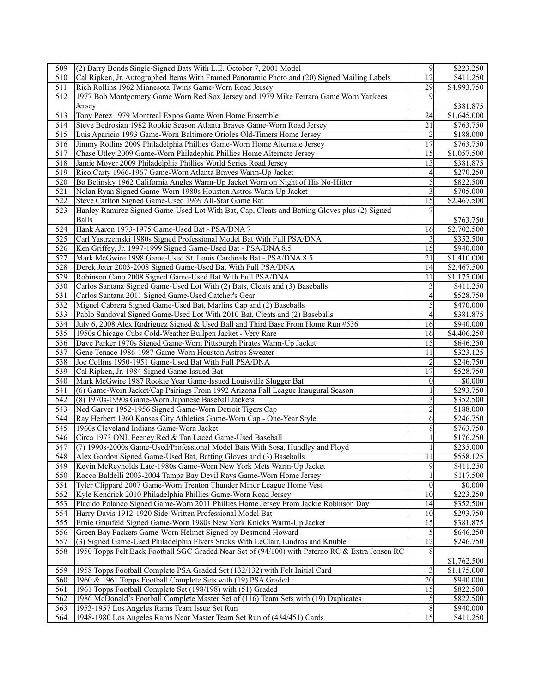| 509              | (2) Barry Bonds Single-Signed Bats With L.E. October 7, 2001 Model                              | $\overline{9}$  | \$223.250               |
|------------------|-------------------------------------------------------------------------------------------------|-----------------|-------------------------|
| 510              | Cal Ripken, Jr. Autographed Items With Framed Panoramic Photo and (20) Signed Mailing Labels    | 12              | \$411.250               |
| $\overline{511}$ | Rich Rollins 1962 Minnesota Twins Game-Worn Road Jersey                                         | 29              | \$4,993.750             |
| 512              | 1977 Bob Montgomery Game Worn Red Sox Jersey and 1979 Mike Ferraro Game Worn Yankees            | 9               |                         |
|                  | Jersey                                                                                          |                 | \$381.875               |
| 513              | Tony Perez 1979 Montreal Expos Game Worn Home Ensemble                                          | 24              | \$1,645.000             |
| 514              | Steve Bedrosian 1982 Rookie Season Atlanta Braves Game-Worn Road Jersey                         | $\overline{21}$ | \$763.750               |
| 515              | Luis Aparicio 1993 Game-Worn Baltimore Orioles Old-Timers Home Jersey                           | $\overline{c}$  | \$188.000               |
| 516              | Jimmy Rollins 2009 Philadelphia Phillies Game-Worn Home Alternate Jersey                        | 17              | \$763.750               |
| 517              | Chase Utley 2009 Game-Worn Philadephia Phillies Home Alternate Jersey                           | 15              | \$1,057.500             |
| 518              | Jamie Moyer 2009 Philadelphia Phillies World Series Road Jersey                                 | 13              | \$381.875               |
| 519              | Rico Carty 1966-1967 Game-Worn Atlanta Braves Warm-Up Jacket                                    | 4               | \$270.250               |
| 520              | Bo Belinsky 1962 California Angles Warm-Up Jacket Worn on Night of His No-Hitter                | 5               | \$822.500               |
| 521              |                                                                                                 |                 | \$705.000               |
|                  | Nolan Ryan Signed Game-Worn 1980s Houston Astros Warm-Up Jacket                                 | 3               |                         |
| 522              | Steve Carlton Signed Game-Used 1969 All-Star Game Bat                                           | 15              | \$2,467.500             |
| 523              | Hanley Ramirez Signed Game-Used Lot With Bat, Cap, Cleats and Batting Gloves plus (2) Signed    |                 |                         |
|                  | Balls                                                                                           |                 | \$763.750               |
| 524              | Hank Aaron 1973-1975 Game-Used Bat - PSA/DNA 7                                                  | 16              | \$2,702.500             |
| 525              | Carl Yastrzemski 1980s Signed Professional Model Bat With Full PSA/DNA                          | 3               | \$352.500               |
| 526              | Ken Griffey, Jr. 1997-1999 Signed Game-Used Bat - PSA/DNA 8.5                                   | 15              | \$940.000               |
| 527              | Mark McGwire 1998 Game-Used St. Louis Cardinals Bat - PSA/DNA 8.5                               | 21              | \$1,410.000             |
| 528              | Derek Jeter 2003-2008 Signed Game-Used Bat With Full PSA/DNA                                    | 14              | \$2,467.500             |
| 529              | Robinson Cano 2008 Signed Game-Used Bat With Full PSA/DNA                                       | 11              | \$1,175.000             |
| 530              | Carlos Santana Signed Game-Used Lot With (2) Bats, Cleats and (3) Baseballs                     | 3               | \$411.250               |
| 531              | Carlos Santana 2011 Signed Game-Used Catcher's Gear                                             | 4               | \$528.750               |
| 532              | Miguel Cabrera Signed Game-Used Bat, Marlins Cap and (2) Baseballs                              | 5               | \$470.000               |
| 533              | Pablo Sandoval Signed Game-Used Lot With 2010 Bat, Cleats and (2) Baseballs                     | $\overline{4}$  | $\overline{$}381.875$   |
| 534              | July 6, 2008 Alex Rodriguez Signed & Used Ball and Third Base From Home Run #536                | 16              | \$940.000               |
| 535              | 1950s Chicago Cubs Cold-Weather Bullpen Jacket - Very Rare                                      | 16              | $\overline{$4,406.250}$ |
| 536              | Dave Parker 1970s Signed Game-Worn Pittsburgh Pirates Warm-Up Jacket                            | 15              | \$646.250               |
| 537              | Gene Tenace 1986-1987 Game-Worn Houston Astros Sweater                                          | 11              | \$323.125               |
| 538              | Joe Collins 1950-1951 Game-Used Bat With Full PSA/DNA                                           | $\overline{c}$  | \$246.750               |
| 539              | Cal Ripken, Jr. 1984 Signed Game-Issued Bat                                                     | 17              | \$528.750               |
| 540              | Mark McGwire 1987 Rookie Year Game-Issued Louisville Slugger Bat                                | $\theta$        | \$0.000                 |
| 541              | (6) Game-Worn Jacket/Cap Pairings From 1992 Arizona Fall League Inaugural Season                |                 | \$293.750               |
| 542              | (8) 1970s-1990s Game-Worn Japanese Baseball Jackets                                             | 3               | \$352.500               |
| 543              | Ned Garver 1952-1956 Signed Game-Worn Detroit Tigers Cap                                        | $\overline{c}$  | \$188.000               |
| 544              | Ray Herbert 1960 Kansas City Athletics Game-Worn Cap - One-Year Style                           | 6               | \$246.750               |
| 545              | 1960s Cleveland Indians Game-Worn Jacket                                                        | 8               | \$763.750               |
| 546              | Circa 1973 ONL Feeney Red & Tan Laced Game-Used Baseball                                        |                 | \$176.250               |
| 547              | (7) 1990s-2000s Game-Used/Professional Model Bats With Sosa, Hundley and Floyd                  |                 | \$235.000               |
| 548              | Alex Gordon Signed Game-Used Bat, Batting Gloves and (3) Baseballs                              | 11              | \$558.125               |
| 549              | Kevin McReynolds Late-1980s Game-Worn New York Mets Warm-Up Jacket                              | 9               | \$411.250               |
| 550              | Rocco Baldelli 2003-2004 Tampa Bay Devil Rays Game-Worn Home Jersey                             |                 | \$117.500               |
| 551              | Tyler Clippard 2007 Game-Worn Trenton Thunder Minor League Home Vest                            | $\theta$        | \$0.000                 |
| 552              | Kyle Kendrick 2010 Philadelphia Phillies Game-Worn Road Jersey                                  | 10              | \$223.250               |
| 553              | Placido Polanco Signed Game-Worn 2011 Phillies Home Jersey From Jackie Robinson Day             | 14              | \$352.500               |
| 554              | Harry Davis 1912-1920 Side-Written Professional Model Bat                                       | 10              | \$293.750               |
| 555              | Ernie Grunfeld Signed Game-Worn 1980s New York Knicks Warm-Up Jacket                            | 15              | \$381.875               |
| 556              | Green Bay Packers Game-Worn Helmet Signed by Desmond Howard                                     | 5               | \$646.250               |
| 557              | (3) Signed Game-Used Philadelphia Flyers Sticks With LeClair, Lindros and Knuble                | 12              | \$246.750               |
| 558              | 1950 Topps Felt Back Football SGC Graded Near Set of (94/100) with Paterno RC & Extra Jensen RC | 8               |                         |
|                  |                                                                                                 |                 | \$1,762.500             |
| 559              | 1958 Topps Football Complete PSA Graded Set (132/132) with Felt Initial Card                    | 3               | \$1,175.000             |
| 560              | 1960 & 1961 Topps Football Complete Sets with (19) PSA Graded                                   | 20              | \$940.000               |
| 561              | 1961 Topps Football Complete Set (198/198) with (51) Graded                                     | 15              | \$822.500               |
| 562              | 1986 McDonald's Football Complete Master Set of (116) Team Sets with (19) Duplicates            | 5               | $\overline{$822.500}$   |
| 563              | 1953-1957 Los Angeles Rams Team Issue Set Run                                                   | 8               | \$940.000               |
| 564              | 1948-1980 Los Angeles Rams Near Master Team Set Run of (434/451) Cards                          | 15              | \$411.250               |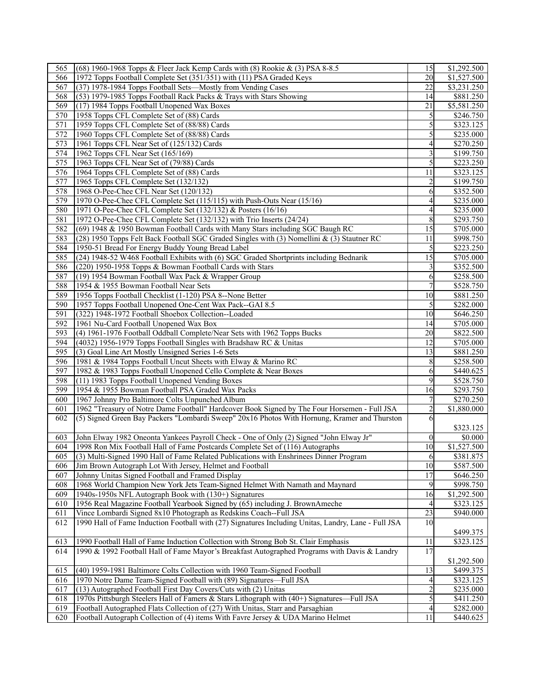| 565              | (68) 1960-1968 Topps & Fleer Jack Kemp Cards with (8) Rookie & (3) PSA 8-8.5                        | 15               | \$1,292.500           |
|------------------|-----------------------------------------------------------------------------------------------------|------------------|-----------------------|
| 566              | 1972 Topps Football Complete Set (351/351) with (11) PSA Graded Keys                                | 20               | \$1,527.500           |
| 567              | (37) 1978-1984 Topps Football Sets-Mostly from Vending Cases                                        | 22               | \$3,231.250           |
| 568              | (53) 1979-1985 Topps Football Rack Packs & Trays with Stars Showing                                 | 14               | \$881.250             |
| 569              | (17) 1984 Topps Football Unopened Wax Boxes                                                         | 21               | \$5,581.250           |
| 570              | 1958 Topps CFL Complete Set of (88) Cards                                                           | 5                | \$246.750             |
| $\overline{571}$ | 1959 Topps CFL Complete Set of (88/88) Cards                                                        | 5                | \$323.125             |
| 572              | 1960 Topps CFL Complete Set of (88/88) Cards                                                        | 5                | \$235.000             |
| 573              | 1961 Topps CFL Near Set of (125/132) Cards                                                          | 4                | \$270.250             |
| 574              | 1962 Topps CFL Near Set (165/169)                                                                   | 3                | \$199.750             |
| 575              | 1963 Topps CFL Near Set of (79/88) Cards                                                            | 5                | \$223.250             |
| 576              |                                                                                                     | 11               | $\overline{$323.125}$ |
|                  | 1964 Topps CFL Complete Set of (88) Cards                                                           |                  |                       |
| 577              | 1965 Topps CFL Complete Set (132/132)                                                               |                  | \$199.750             |
| 578              | 1968 O-Pee-Chee CFL Near Set (120/132)                                                              | 6                | \$352.500             |
| 579              | 1970 O-Pee-Chee CFL Complete Set (115/115) with Push-Outs Near (15/16)                              | $\overline{4}$   | \$235.000             |
| 580              | 1971 O-Pee-Chee CFL Complete Set (132/132) & Posters (16/16)                                        | 4                | \$235.000             |
| 581              | 1972 O-Pee-Chee CFL Complete Set (132/132) with Trio Inserts (24/24)                                | 8                | \$293.750             |
| 582              | (69) 1948 & 1950 Bowman Football Cards with Many Stars including SGC Baugh RC                       | $\overline{15}$  | \$705.000             |
| 583              | (28) 1950 Topps Felt Back Football SGC Graded Singles with (3) Nomellini & (3) Stautner RC          | 11               | \$998.750             |
| 584              | 1950-51 Bread For Energy Buddy Young Bread Label                                                    | $\overline{5}$   | \$223.250             |
| 585              | (24) 1948-52 W468 Football Exhibits with (6) SGC Graded Shortprints including Bednarik              | $\overline{15}$  | \$705.000             |
| 586              | (220) 1950-1958 Topps & Bowman Football Cards with Stars                                            | 3                | \$352.500             |
| 587              | (19) 1954 Bowman Football Wax Pack & Wrapper Group                                                  | 6                | \$258.500             |
| 588              | 1954 & 1955 Bowman Football Near Sets                                                               |                  | \$528.750             |
| 589              | 1956 Topps Football Checklist (1-120) PSA 8--None Better                                            | 10               | \$881.250             |
| 590              | 1957 Topps Football Unopened One-Cent Wax Pack--GAI 8.5                                             | 5                | \$282.000             |
| $\overline{591}$ | (322) 1948-1972 Football Shoebox Collection--Loaded                                                 | 10               | \$646.250             |
| 592              | 1961 Nu-Card Football Unopened Wax Box                                                              | 14               | \$705.000             |
| 593              | (4) 1961-1976 Football Oddball Complete/Near Sets with 1962 Topps Bucks                             | 20               | \$822.500             |
| 594              | (4032) 1956-1979 Topps Football Singles with Bradshaw RC & Unitas                                   | 12               | \$705.000             |
| 595              | (3) Goal Line Art Mostly Unsigned Series 1-6 Sets                                                   | 13               | \$881.250             |
| 596              | 1981 & 1984 Topps Football Uncut Sheets with Elway & Marino RC                                      | 8                | \$258.500             |
| 597              |                                                                                                     |                  | \$440.625             |
|                  | 1982 & 1983 Topps Football Unopened Cello Complete & Near Boxes                                     | 6                |                       |
| 598              | (11) 1983 Topps Football Unopened Vending Boxes                                                     | 9                | \$528.750             |
| 599              | 1954 & 1955 Bowman Football PSA Graded Wax Packs                                                    | 16               | \$293.750             |
| 600              | 1967 Johnny Pro Baltimore Colts Unpunched Album                                                     |                  | \$270.250             |
| 601              | 1962 "Treasury of Notre Dame Football" Hardcover Book Signed by The Four Horsemen - Full JSA        | $\overline{c}$   | \$1,880.000           |
| 602              | (5) Signed Green Bay Packers "Lombardi Sweep" 20x16 Photos With Hornung, Kramer and Thurston        | 6                |                       |
|                  |                                                                                                     |                  | \$323.125             |
| 603              | John Elway 1982 Oneonta Yankees Payroll Check - One of Only (2) Signed "John Elway Jr"              | $\boldsymbol{0}$ | \$0.000               |
| 604              | 1998 Ron Mix Football Hall of Fame Postcards Complete Set of (116) Autographs                       | $\overline{10}$  | \$1,527.500           |
| 605              | (3) Multi-Signed 1990 Hall of Fame Related Publications with Enshrinees Dinner Program              | 6                | \$381.875             |
| 606              | Jim Brown Autograph Lot With Jersey, Helmet and Football                                            | 10               | \$587.500             |
| 607              | Johnny Unitas Signed Football and Framed Display                                                    | 17               | \$646.250             |
| 608              | 1968 World Champion New York Jets Team-Signed Helmet With Namath and Maynard                        | 9                | \$998.750             |
| 609              | 1940s-1950s NFL Autograph Book with (130+) Signatures                                               | 16               | \$1,292.500           |
| 610              | 1956 Real Magazine Football Yearbook Signed by (65) including J. BrownAmeche                        | $\overline{4}$   | \$323.125             |
| 611              | Vince Lombardi Signed 8x10 Photograph as Redskins Coach--Full JSA                                   | 23               | \$940.000             |
| 612              | 1990 Hall of Fame Induction Football with (27) Signatures Including Unitas, Landry, Lane - Full JSA | 10               |                       |
|                  |                                                                                                     |                  | \$499.375             |
| 613              | 1990 Football Hall of Fame Induction Collection with Strong Bob St. Clair Emphasis                  | 11               | \$323.125             |
| 614              | 1990 & 1992 Football Hall of Fame Mayor's Breakfast Autographed Programs with Davis & Landry        | 17               |                       |
|                  |                                                                                                     |                  | \$1,292.500           |
| 615              | (40) 1959-1981 Baltimore Colts Collection with 1960 Team-Signed Football                            | 13               | \$499.375             |
| 616              | 1970 Notre Dame Team-Signed Football with (89) Signatures—Full JSA                                  | 4                | \$323.125             |
|                  |                                                                                                     | $\overline{c}$   |                       |
| 617              | (13) Autographed Football First Day Covers/Cuts with (2) Unitas                                     |                  | \$235.000             |
| 618              | 1970s Pittsburgh Steelers Hall of Famers & Stars Lithograph with (40+) Signatures—Full JSA          |                  | \$411.250             |
| 619              | Football Autographed Flats Collection of (27) With Unitas, Starr and Parsaghian                     | 4                | \$282.000             |
| 620              | Football Autograph Collection of (4) items With Favre Jersey & UDA Marino Helmet                    | 11               | \$440.625             |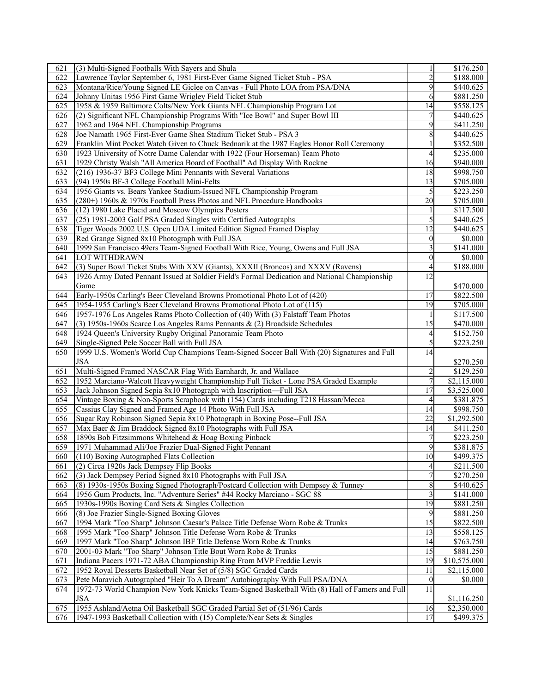| 621 | (3) Multi-Signed Footballs With Sayers and Shula                                               |                 | \$176.250             |
|-----|------------------------------------------------------------------------------------------------|-----------------|-----------------------|
| 622 | Lawrence Taylor September 6, 1981 First-Ever Game Signed Ticket Stub - PSA                     | $\overline{2}$  | \$188.000             |
| 623 | Montana/Rice/Young Signed LE Giclee on Canvas - Full Photo LOA from PSA/DNA                    | 9               | \$440.625             |
| 624 | Johnny Unitas 1956 First Game Wrigley Field Ticket Stub                                        | 6               | \$881.250             |
| 625 | 1958 & 1959 Baltimore Colts/New York Giants NFL Championship Program Lot                       | 14              | \$558.125             |
| 626 | (2) Significant NFL Championship Programs With "Ice Bowl" and Super Bowl III                   |                 | \$440.625             |
| 627 | 1962 and 1964 NFL Championship Programs                                                        | 9               | \$411.250             |
| 628 | Joe Namath 1965 First-Ever Game Shea Stadium Ticket Stub - PSA 3                               | 8               | \$440.625             |
| 629 | Franklin Mint Pocket Watch Given to Chuck Bednarik at the 1987 Eagles Honor Roll Ceremony      |                 | \$352.500             |
|     |                                                                                                |                 |                       |
| 630 | 1923 University of Notre Dame Calendar with 1922 (Four Horseman) Team Photo                    | $\overline{4}$  | \$235.000             |
| 631 | 1929 Christy Walsh "All America Board of Football" Ad Display With Rockne                      | 16              | \$940.000             |
| 632 | (216) 1936-37 BF3 College Mini Pennants with Several Variations                                | 18              | \$998.750             |
| 633 | (94) 1950s BF-3 College Football Mini-Felts                                                    | 13              | \$705.000             |
| 634 | 1956 Giants vs. Bears Yankee Stadium-Issued NFL Championship Program                           | 5               | \$223.250             |
| 635 | (280+) 1960s & 1970s Football Press Photos and NFL Procedure Handbooks                         | 20              | \$705.000             |
| 636 | (12) 1980 Lake Placid and Moscow Olympics Posters                                              |                 | \$117.500             |
| 637 | (25) 1981-2003 Golf PSA Graded Singles with Certified Autographs                               | 5               | \$440.625             |
| 638 | Tiger Woods 2002 U.S. Open UDA Limited Edition Signed Framed Display                           | 12              | \$440.625             |
| 639 | Red Grange Signed 8x10 Photograph with Full JSA                                                | $\theta$        | \$0.000               |
| 640 | 1999 San Francisco 49ers Team-Signed Football With Rice, Young, Owens and Full JSA             |                 | \$141.000             |
| 641 | <b>LOT WITHDRAWN</b>                                                                           | $\theta$        | \$0.000               |
| 642 | (3) Super Bowl Ticket Stubs With XXV (Giants), XXXII (Broncos) and XXXV (Ravens)               | 4               | \$188.000             |
| 643 | 1926 Army Dated Pennant Issued at Soldier Field's Formal Dedication and National Championship  | 12              |                       |
|     | Game                                                                                           |                 | \$470.000             |
| 644 | Early-1950s Carling's Beer Cleveland Browns Promotional Photo Lot of (420)                     | 17              | \$822.500             |
| 645 | 1954-1955 Carling's Beer Cleveland Browns Promotional Photo Lot of (115)                       | $\overline{19}$ | \$705.000             |
| 646 | 1957-1976 Los Angeles Rams Photo Collection of (40) With (3) Falstaff Team Photos              |                 | \$117.500             |
| 647 | $(3)$ 1950s-1960s Scarce Los Angeles Rams Pennants & (2) Broadside Schedules                   | 15              | \$470.000             |
| 648 | 1924 Queen's University Rugby Original Panoramic Team Photo                                    | $\overline{4}$  | \$152.750             |
| 649 | Single-Signed Pele Soccer Ball with Full JSA                                                   | 5               | \$223.250             |
| 650 | 1999 U.S. Women's World Cup Champions Team-Signed Soccer Ball With (20) Signatures and Full    | 14              |                       |
|     | <b>JSA</b>                                                                                     |                 |                       |
|     |                                                                                                |                 | \$270.250             |
| 651 | Multi-Signed Framed NASCAR Flag With Earnhardt, Jr. and Wallace                                | $\overline{2}$  | \$129.250             |
| 652 | 1952 Marciano-Walcott Heavyweight Championship Full Ticket - Lone PSA Graded Example           | 7               | \$2,115.000           |
| 653 | Jack Johnson Signed Sepia 8x10 Photograph with Inscription-Full JSA                            | 17              | \$3,525.000           |
| 654 | Vintage Boxing & Non-Sports Scrapbook with (154) Cards including T218 Hassan/Mecca             | 4               | \$381.875             |
| 655 | Cassius Clay Signed and Framed Age 14 Photo With Full JSA                                      | 14              | $\overline{$998.750}$ |
| 656 | Sugar Ray Robinson Signed Sepia 8x10 Photograph in Boxing Pose--Full JSA                       | 22              | \$1,292.500           |
| 657 | Max Baer & Jim Braddock Signed 8x10 Photographs with Full JSA                                  | 14              | \$411.250             |
| 658 | 1890s Bob Fitzsimmons Whitehead & Hoag Boxing Pinback                                          |                 | \$223.250             |
| 659 | 1971 Muhammad Ali/Joe Frazier Dual-Signed Fight Pennant                                        | 9               | \$381.875             |
| 660 | (110) Boxing Autographed Flats Collection                                                      | 10              | \$499.375             |
| 661 | (2) Circa 1920s Jack Dempsey Flip Books                                                        | 4               | \$211.500             |
| 662 | (3) Jack Dempsey Period Signed 8x10 Photographs with Full JSA                                  |                 | \$270.250             |
| 663 | (8) 1930s-1950s Boxing Signed Photograph/Postcard Collection with Dempsey & Tunney             | 8               | \$440.625             |
| 664 | 1956 Gum Products, Inc. "Adventure Series" #44 Rocky Marciano - SGC 88                         | 3               | \$141.000             |
| 665 | 1930s-1990s Boxing Card Sets & Singles Collection                                              | 19              | $\overline{$881.250}$ |
| 666 | (8) Joe Frazier Single-Signed Boxing Gloves                                                    | 9               | $\overline{$881.250}$ |
| 667 | 1994 Mark "Too Sharp" Johnson Caesar's Palace Title Defense Worn Robe & Trunks                 | 15              | \$822.500             |
| 668 | 1995 Mark "Too Sharp" Johnson Title Defense Worn Robe & Trunks                                 | 13              | \$558.125             |
| 669 | 1997 Mark "Too Sharp" Johnson IBF Title Defense Worn Robe & Trunks                             | 14              | \$763.750             |
| 670 | 2001-03 Mark "Too Sharp" Johnson Title Bout Worn Robe & Trunks                                 | 15              | \$881.250             |
| 671 | Indiana Pacers 1971-72 ABA Championship Ring From MVP Freddie Lewis                            | 19              | \$10,575.000          |
| 672 | 1952 Royal Desserts Basketball Near Set of (5/8) SGC Graded Cards                              | 11              | \$2,115.000           |
| 673 | Pete Maravich Autographed "Heir To A Dream" Autobiography With Full PSA/DNA                    | $\overline{0}$  | \$0.000               |
| 674 | 1972-73 World Champion New York Knicks Team-Signed Basketball With (8) Hall of Famers and Full | 11              |                       |
|     | <b>JSA</b>                                                                                     |                 |                       |
|     |                                                                                                |                 | \$1,116.250           |
| 675 | 1955 Ashland/Aetna Oil Basketball SGC Graded Partial Set of (51/96) Cards                      | 16              | \$2,350.000           |
| 676 | 1947-1993 Basketball Collection with (15) Complete/Near Sets & Singles                         | 17              | \$499.375             |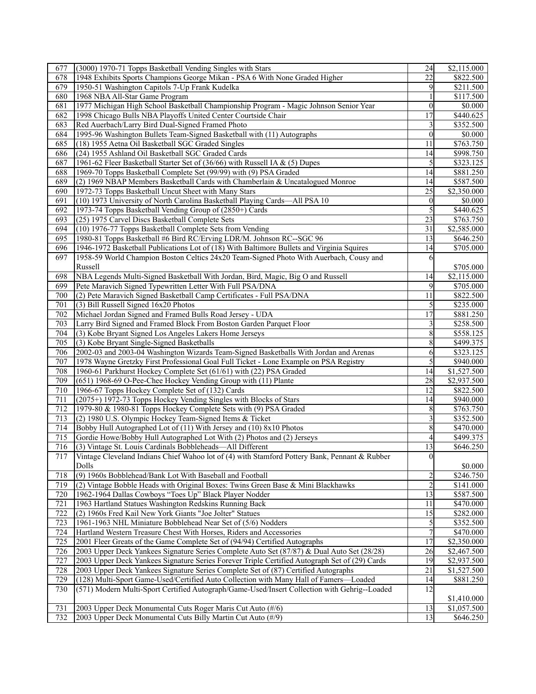| 677 | (3000) 1970-71 Topps Basketball Vending Singles with Stars                                    | 24              | \$2,115.000     |
|-----|-----------------------------------------------------------------------------------------------|-----------------|-----------------|
| 678 | 1948 Exhibits Sports Champions George Mikan - PSA 6 With None Graded Higher                   | 22              | \$822.500       |
| 679 | 1950-51 Washington Capitols 7-Up Frank Kudelka                                                | 9               | \$211.500       |
| 680 | 1968 NBA All-Star Game Program                                                                |                 | \$117.500       |
| 681 | 1977 Michigan High School Basketball Championship Program - Magic Johnson Senior Year         | $\theta$        | \$0.000         |
| 682 | 1998 Chicago Bulls NBA Playoffs United Center Courtside Chair                                 | 17              | \$440.625       |
| 683 | Red Auerbach/Larry Bird Dual-Signed Framed Photo                                              |                 | \$352.500       |
| 684 | 1995-96 Washington Bullets Team-Signed Basketball with (11) Autographs                        | $\theta$        | $\sqrt{$0.000}$ |
| 685 | (18) 1955 Aetna Oil Basketball SGC Graded Singles                                             | 11              | \$763.750       |
| 686 | (24) 1955 Ashland Oil Basketball SGC Graded Cards                                             | 14              | \$998.750       |
| 687 |                                                                                               |                 | \$323.125       |
|     | 1961-62 Fleer Basketball Starter Set of (36/66) with Russell IA & (5) Dupes                   | 5<br>14         |                 |
| 688 | 1969-70 Topps Basketball Complete Set (99/99) with (9) PSA Graded                             |                 | 881.250         |
| 689 | (2) 1969 NBAP Members Basketball Cards with Chamberlain & Uncatalogued Monroe                 | 14              | \$587.500       |
| 690 | 1972-73 Topps Basketball Uncut Sheet with Many Stars                                          | 25              | \$2,350.000     |
| 691 | (10) 1973 University of North Carolina Basketball Playing Cards-All PSA 10                    | $\mathbf{0}$    | \$0.000         |
| 692 | 1973-74 Topps Basketball Vending Group of (2850+) Cards                                       | 5               | \$440.625       |
| 693 | (25) 1975 Carvel Discs Basketball Complete Sets                                               | 23              | \$763.750       |
| 694 | (10) 1976-77 Topps Basketball Complete Sets from Vending                                      | 31              | \$2,585.000     |
| 695 | 1980-81 Topps Basketball #6 Bird RC/Erving LDR/M. Johnson RC--SGC 96                          | 13              | \$646.250       |
| 696 | 1946-1972 Basketball Publications Lot of (18) With Baltimore Bullets and Virginia Squires     | 14              | \$705.000       |
| 697 | 1958-59 World Champion Boston Celtics 24x20 Team-Signed Photo With Auerbach, Cousy and        | 6               |                 |
|     | Russell                                                                                       |                 | \$705.000       |
| 698 | NBA Legends Multi-Signed Basketball With Jordan, Bird, Magic, Big O and Russell               | 14              | \$2,115.000     |
| 699 | Pete Maravich Signed Typewritten Letter With Full PSA/DNA                                     | 9               | \$705.000       |
| 700 | (2) Pete Maravich Signed Basketball Camp Certificates - Full PSA/DNA                          | 11              | \$822.500       |
| 701 | (3) Bill Russell Signed 16x20 Photos                                                          | 5               | \$235.000       |
| 702 | Michael Jordan Signed and Framed Bulls Road Jersey - UDA                                      | 17              | \$881.250       |
| 703 | Larry Bird Signed and Framed Block From Boston Garden Parquet Floor                           | 3               | \$258.500       |
| 704 | (3) Kobe Bryant Signed Los Angeles Lakers Home Jerseys                                        | 8               | \$558.125       |
| 705 | (3) Kobe Bryant Single-Signed Basketballs                                                     | 8               | \$499.375       |
| 706 | 2002-03 and 2003-04 Washington Wizards Team-Signed Basketballs With Jordan and Arenas         | 6               | \$323.125       |
| 707 | 1978 Wayne Gretzky First Professional Goal Full Ticket - Lone Example on PSA Registry         | 5               | \$940.000       |
| 708 | 1960-61 Parkhurst Hockey Complete Set (61/61) with (22) PSA Graded                            | 14              | \$1,527.500     |
| 709 | (651) 1968-69 O-Pee-Chee Hockey Vending Group with (11) Plante                                | 28              | \$2,937.500     |
| 710 | 1966-67 Topps Hockey Complete Set of (132) Cards                                              | 12              | \$822.500       |
| 711 | (2075+) 1972-73 Topps Hockey Vending Singles with Blocks of Stars                             | 14              | \$940.000       |
| 712 | 1979-80 & 1980-81 Topps Hockey Complete Sets with (9) PSA Graded                              | 8               | \$763.750       |
| 713 |                                                                                               | 3               |                 |
|     | (2) 1980 U.S. Olympic Hockey Team-Signed Items & Ticket                                       |                 | \$352.500       |
| 714 | Bobby Hull Autographed Lot of (11) With Jersey and (10) 8x10 Photos                           | 8               | \$470.000       |
| 715 | Gordie Howe/Bobby Hull Autographed Lot With (2) Photos and (2) Jerseys                        | 4               | \$499.375       |
| 716 | (3) Vintage St. Louis Cardinals Bobbleheads-All Different                                     | 13              | \$646.250       |
| 717 | Vintage Cleveland Indians Chief Wahoo lot of (4) with Stamford Pottery Bank, Pennant & Rubber | $\overline{0}$  |                 |
|     | Dolls                                                                                         |                 | \$0.000         |
| 718 | (9) 1960s Bobblehead/Bank Lot With Baseball and Football                                      | $\overline{c}$  | \$246.750       |
| 719 | (2) Vintage Bobble Heads with Original Boxes: Twins Green Base & Mini Blackhawks              | $\overline{c}$  | \$141.000       |
| 720 | 1962-1964 Dallas Cowboys "Toes Up" Black Player Nodder                                        | 13              | \$587.500       |
| 721 | 1963 Hartland Statues Washington Redskins Running Back                                        | 11              | \$470.000       |
| 722 | (2) 1960s Fred Kail New York Giants "Joe Jolter" Statues                                      | 15              | \$282.000       |
| 723 | 1961-1963 NHL Miniature Bobblehead Near Set of (5/6) Nodders                                  | 5               | \$352.500       |
| 724 | Hartland Western Treasure Chest With Horses, Riders and Accessories                           | 7               | \$470.000       |
| 725 | 2001 Fleer Greats of the Game Complete Set of (94/94) Certified Autographs                    | 17              | \$2,350.000     |
| 726 | 2003 Upper Deck Yankees Signature Series Complete Auto Set (87/87) & Dual Auto Set (28/28)    | 26              | \$2,467.500     |
| 727 | 2003 Upper Deck Yankees Signature Series Forever Triple Certified Autograph Set of (29) Cards | 19              | \$2,937.500     |
| 728 | 2003 Upper Deck Yankees Signature Series Complete Set of (87) Certified Autographs            | 21              | \$1,527.500     |
| 729 | (128) Multi-Sport Game-Used/Certified Auto Collection with Many Hall of Famers-Loaded         | 14              | \$881.250       |
| 730 | (571) Modern Multi-Sport Certified Autograph/Game-Used/Insert Collection with Gehrig--Loaded  | $\overline{12}$ |                 |
|     |                                                                                               |                 | \$1,410.000     |
| 731 | 2003 Upper Deck Monumental Cuts Roger Maris Cut Auto (#/6)                                    | 13              | \$1,057.500     |
| 732 | 2003 Upper Deck Monumental Cuts Billy Martin Cut Auto (#/9)                                   | 13              | \$646.250       |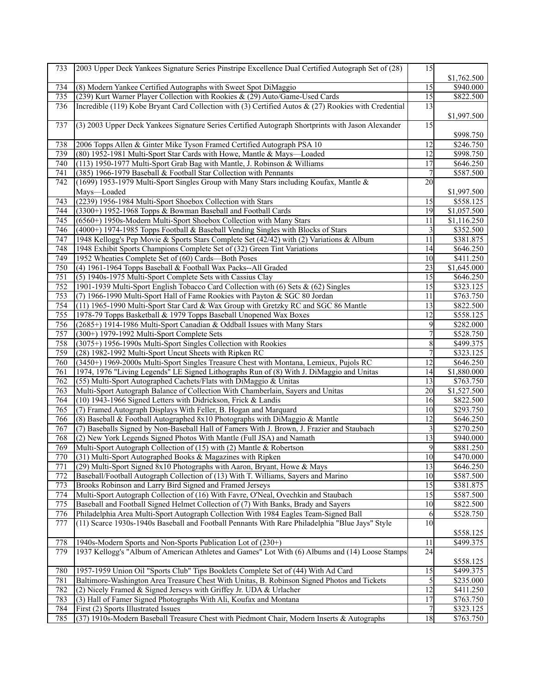| \$1,762.500<br>734<br>(8) Modern Yankee Certified Autographs with Sweet Spot DiMaggio<br>15<br>\$940.000<br>\$822.500<br>(239) Kurt Warner Player Collection with Rookies & (29) Auto/Game-Used Cards<br>15<br>735<br>Incredible (119) Kobe Bryant Card Collection with (3) Certified Autos & (27) Rookies with Credential<br>13<br>736<br>\$1,997.500<br>(3) 2003 Upper Deck Yankees Signature Series Certified Autograph Shortprints with Jason Alexander<br>15<br>737<br>\$998.750<br>738<br>2006 Topps Allen & Ginter Mike Tyson Framed Certified Autograph PSA 10<br>\$246.750<br>12<br>739<br>\$998.750<br>(80) 1952-1981 Multi-Sport Star Cards with Howe, Mantle & Mays—Loaded<br>12<br>17<br>740<br>(113) 1950-1977 Multi-Sport Grab Bag with Mantle, J. Robinson & Williams<br>\$646.250<br>$\overline{7}$<br>\$587.500<br>(385) 1966-1979 Baseball & Football Star Collection with Pennants<br>741<br>742<br>20<br>(1699) 1953-1979 Multi-Sport Singles Group with Many Stars including Koufax, Mantle &<br>Mays-Loaded<br>\$1,997.500<br>(2239) 1956-1984 Multi-Sport Shoebox Collection with Stars<br>\$558.125<br>743<br>15<br>744<br>19<br>(3300+) 1952-1968 Topps & Bowman Baseball and Football Cards<br>\$1,057.500<br>11<br>745<br>(6560+) 1950s-Modern Multi-Sport Shoebox Collection with Many Stars<br>\$1,116.250<br>(4000+) 1974-1985 Topps Football & Baseball Vending Singles with Blocks of Stars<br>3<br>\$352.500<br>746<br>747<br>1948 Kellogg's Pep Movie & Sports Stars Complete Set (42/42) with (2) Variations & Album<br>11<br>\$381.875<br>748<br>1948 Exhibit Sports Champions Complete Set of (32) Green Tint Variations<br>\$646.250<br>14<br>749<br>10<br>1952 Wheaties Complete Set of (60) Cards-Both Poses<br>\$411.250<br>$\overline{23}$<br>750<br>(4) 1961-1964 Topps Baseball & Football Wax Packs--All Graded<br>\$1,645.000<br>751<br>(5) 1940s-1975 Multi-Sport Complete Sets with Cassius Clay<br>15<br>\$646.250<br>752<br>\$323.125<br>1901-1939 Multi-Sport English Tobacco Card Collection with (6) Sets & (62) Singles<br>15<br>753<br>(7) 1966-1990 Multi-Sport Hall of Fame Rookies with Payton & SGC 80 Jordan<br>11<br>\$763.750<br>754<br>13<br>\$822.500<br>(11) 1965-1990 Multi-Sport Star Card & Wax Group with Gretzky RC and SGC 86 Mantle<br>12<br>755<br>1978-79 Topps Basketball & 1979 Topps Baseball Unopened Wax Boxes<br>\$558.125<br>756<br>(2685+) 1914-1986 Multi-Sport Canadian & Oddball Issues with Many Stars<br>9<br>\$282.000<br>7<br>757<br>\$528.750<br>(300+) 1979-1992 Multi-Sport Complete Sets<br>758<br>(3075+) 1956-1990s Multi-Sport Singles Collection with Rookies<br>8<br>\$499.375<br>759<br>$\boldsymbol{7}$<br>\$323.125<br>(28) 1982-1992 Multi-Sport Uncut Sheets with Ripken RC<br>760<br>12<br>(3450+) 1969-2000s Multi-Sport Singles Treasure Chest with Montana, Lemieux, Pujols RC<br>\$646.250<br>761<br>1974, 1976 "Living Legends" LE Signed Lithographs Run of (8) With J. DiMaggio and Unitas<br>\$1,880.000<br>14<br>762<br>\$763.750<br>(55) Multi-Sport Autographed Cachets/Flats with DiMaggio & Unitas<br>13<br>Multi-Sport Autograph Balance of Collection With Chamberlain, Sayers and Unitas<br>\$1,527.500<br>763<br>20<br>764<br>16<br>\$822.500<br>(10) 1943-1966 Signed Letters with Didrickson, Frick & Landis<br>765<br>(7) Framed Autograph Displays With Feller, B. Hogan and Marquard<br>10<br>\$293.750<br>(8) Baseball & Football Autographed 8x10 Photographs with DiMaggio & Mantle<br>12<br>\$646.250<br>766<br>\$270.250<br>767<br>(7) Baseballs Signed by Non-Baseball Hall of Famers With J. Brown, J. Frazier and Staubach<br>3<br>(2) New York Legends Signed Photos With Mantle (Full JSA) and Namath<br>13<br>\$940.000<br>768<br>769<br>Multi-Sport Autograph Collection of (15) with (2) Mantle & Robertson<br>9<br>\$881.250<br>770<br>(31) Multi-Sport Autographed Books & Magazines with Ripken<br>10<br>\$470.000<br>13<br>771<br>(29) Multi-Sport Signed 8x10 Photographs with Aaron, Bryant, Howe & Mays<br>\$646.250<br>772<br>Baseball/Football Autograph Collection of (13) With T. Williams, Sayers and Marino<br>10<br>\$587.500<br>Brooks Robinson and Larry Bird Signed and Framed Jerseys<br>\$381.875<br>773<br>15<br>774<br>Multi-Sport Autograph Collection of (16) With Favre, O'Neal, Ovechkin and Staubach<br>15<br>\$587.500<br>775<br>Baseball and Football Signed Helmet Collection of (7) With Banks, Brady and Sayers<br>10<br>\$822.500<br>\$528.750<br>776<br>Philadelphia Area Multi-Sport Autograph Collection With 1984 Eagles Team-Signed Ball<br>6<br>777<br>(11) Scarce 1930s-1940s Baseball and Football Pennants With Rare Philadelphia "Blue Jays" Style<br>10<br>\$558.125<br>778<br>1940s-Modern Sports and Non-Sports Publication Lot of (230+)<br>\$499.375<br>11<br>1937 Kellogg's "Album of American Athletes and Games" Lot With (6) Albums and (14) Loose Stamps<br>24<br>779<br>\$558.125<br>780<br>1957-1959 Union Oil "Sports Club" Tips Booklets Complete Set of (44) With Ad Card<br>\$499.375<br>15<br>781<br>Baltimore-Washington Area Treasure Chest With Unitas, B. Robinson Signed Photos and Tickets<br>5<br>\$235.000<br>(2) Nicely Framed & Signed Jerseys with Griffey Jr. UDA & Urlacher<br>782<br>12<br>\$411.250<br>$\overline{17}$<br>783<br>(3) Hall of Famer Signed Photographs With Ali, Koufax and Montana<br>\$763.750<br>\$323.125<br>784<br>First (2) Sports Illustrated Issues<br>785<br>(37) 1910s-Modern Baseball Treasure Chest with Piedmont Chair, Modern Inserts & Autographs<br>18<br>\$763.750 | 733 | 2003 Upper Deck Yankees Signature Series Pinstripe Excellence Dual Certified Autograph Set of (28) | 15 |  |
|--------------------------------------------------------------------------------------------------------------------------------------------------------------------------------------------------------------------------------------------------------------------------------------------------------------------------------------------------------------------------------------------------------------------------------------------------------------------------------------------------------------------------------------------------------------------------------------------------------------------------------------------------------------------------------------------------------------------------------------------------------------------------------------------------------------------------------------------------------------------------------------------------------------------------------------------------------------------------------------------------------------------------------------------------------------------------------------------------------------------------------------------------------------------------------------------------------------------------------------------------------------------------------------------------------------------------------------------------------------------------------------------------------------------------------------------------------------------------------------------------------------------------------------------------------------------------------------------------------------------------------------------------------------------------------------------------------------------------------------------------------------------------------------------------------------------------------------------------------------------------------------------------------------------------------------------------------------------------------------------------------------------------------------------------------------------------------------------------------------------------------------------------------------------------------------------------------------------------------------------------------------------------------------------------------------------------------------------------------------------------------------------------------------------------------------------------------------------------------------------------------------------------------------------------------------------------------------------------------------------------------------------------------------------------------------------------------------------------------------------------------------------------------------------------------------------------------------------------------------------------------------------------------------------------------------------------------------------------------------------------------------------------------------------------------------------------------------------------------------------------------------------------------------------------------------------------------------------------------------------------------------------------------------------------------------------------------------------------------------------------------------------------------------------------------------------------------------------------------------------------------------------------------------------------------------------------------------------------------------------------------------------------------------------------------------------------------------------------------------------------------------------------------------------------------------------------------------------------------------------------------------------------------------------------------------------------------------------------------------------------------------------------------------------------------------------------------------------------------------------------------------------------------------------------------------------------------------------------------------------------------------------------------------------------------------------------------------------------------------------------------------------------------------------------------------------------------------------------------------------------------------------------------------------------------------------------------------------------------------------------------------------------------------------------------------------------------------------------------------------------------------------------------------------------------------------------------------------------------------------------------------------------------------------------------------------------------------------------------------------------------------------------------------------------------------------------------------------------------------------------------------------------------------------------------------------------------------------------------------------------------------------------------------------------------------------------------------------------------------------------------------------------------------------------------------------------------------------------------------------------------------------------------------------------------------------------------------------------------------------------|-----|----------------------------------------------------------------------------------------------------|----|--|
|                                                                                                                                                                                                                                                                                                                                                                                                                                                                                                                                                                                                                                                                                                                                                                                                                                                                                                                                                                                                                                                                                                                                                                                                                                                                                                                                                                                                                                                                                                                                                                                                                                                                                                                                                                                                                                                                                                                                                                                                                                                                                                                                                                                                                                                                                                                                                                                                                                                                                                                                                                                                                                                                                                                                                                                                                                                                                                                                                                                                                                                                                                                                                                                                                                                                                                                                                                                                                                                                                                                                                                                                                                                                                                                                                                                                                                                                                                                                                                                                                                                                                                                                                                                                                                                                                                                                                                                                                                                                                                                                                                                                                                                                                                                                                                                                                                                                                                                                                                                                                                                                                                                                                                                                                                                                                                                                                                                                                                                                                                                                                                                                                          |     |                                                                                                    |    |  |
|                                                                                                                                                                                                                                                                                                                                                                                                                                                                                                                                                                                                                                                                                                                                                                                                                                                                                                                                                                                                                                                                                                                                                                                                                                                                                                                                                                                                                                                                                                                                                                                                                                                                                                                                                                                                                                                                                                                                                                                                                                                                                                                                                                                                                                                                                                                                                                                                                                                                                                                                                                                                                                                                                                                                                                                                                                                                                                                                                                                                                                                                                                                                                                                                                                                                                                                                                                                                                                                                                                                                                                                                                                                                                                                                                                                                                                                                                                                                                                                                                                                                                                                                                                                                                                                                                                                                                                                                                                                                                                                                                                                                                                                                                                                                                                                                                                                                                                                                                                                                                                                                                                                                                                                                                                                                                                                                                                                                                                                                                                                                                                                                                          |     |                                                                                                    |    |  |
|                                                                                                                                                                                                                                                                                                                                                                                                                                                                                                                                                                                                                                                                                                                                                                                                                                                                                                                                                                                                                                                                                                                                                                                                                                                                                                                                                                                                                                                                                                                                                                                                                                                                                                                                                                                                                                                                                                                                                                                                                                                                                                                                                                                                                                                                                                                                                                                                                                                                                                                                                                                                                                                                                                                                                                                                                                                                                                                                                                                                                                                                                                                                                                                                                                                                                                                                                                                                                                                                                                                                                                                                                                                                                                                                                                                                                                                                                                                                                                                                                                                                                                                                                                                                                                                                                                                                                                                                                                                                                                                                                                                                                                                                                                                                                                                                                                                                                                                                                                                                                                                                                                                                                                                                                                                                                                                                                                                                                                                                                                                                                                                                                          |     |                                                                                                    |    |  |
|                                                                                                                                                                                                                                                                                                                                                                                                                                                                                                                                                                                                                                                                                                                                                                                                                                                                                                                                                                                                                                                                                                                                                                                                                                                                                                                                                                                                                                                                                                                                                                                                                                                                                                                                                                                                                                                                                                                                                                                                                                                                                                                                                                                                                                                                                                                                                                                                                                                                                                                                                                                                                                                                                                                                                                                                                                                                                                                                                                                                                                                                                                                                                                                                                                                                                                                                                                                                                                                                                                                                                                                                                                                                                                                                                                                                                                                                                                                                                                                                                                                                                                                                                                                                                                                                                                                                                                                                                                                                                                                                                                                                                                                                                                                                                                                                                                                                                                                                                                                                                                                                                                                                                                                                                                                                                                                                                                                                                                                                                                                                                                                                                          |     |                                                                                                    |    |  |
|                                                                                                                                                                                                                                                                                                                                                                                                                                                                                                                                                                                                                                                                                                                                                                                                                                                                                                                                                                                                                                                                                                                                                                                                                                                                                                                                                                                                                                                                                                                                                                                                                                                                                                                                                                                                                                                                                                                                                                                                                                                                                                                                                                                                                                                                                                                                                                                                                                                                                                                                                                                                                                                                                                                                                                                                                                                                                                                                                                                                                                                                                                                                                                                                                                                                                                                                                                                                                                                                                                                                                                                                                                                                                                                                                                                                                                                                                                                                                                                                                                                                                                                                                                                                                                                                                                                                                                                                                                                                                                                                                                                                                                                                                                                                                                                                                                                                                                                                                                                                                                                                                                                                                                                                                                                                                                                                                                                                                                                                                                                                                                                                                          |     |                                                                                                    |    |  |
|                                                                                                                                                                                                                                                                                                                                                                                                                                                                                                                                                                                                                                                                                                                                                                                                                                                                                                                                                                                                                                                                                                                                                                                                                                                                                                                                                                                                                                                                                                                                                                                                                                                                                                                                                                                                                                                                                                                                                                                                                                                                                                                                                                                                                                                                                                                                                                                                                                                                                                                                                                                                                                                                                                                                                                                                                                                                                                                                                                                                                                                                                                                                                                                                                                                                                                                                                                                                                                                                                                                                                                                                                                                                                                                                                                                                                                                                                                                                                                                                                                                                                                                                                                                                                                                                                                                                                                                                                                                                                                                                                                                                                                                                                                                                                                                                                                                                                                                                                                                                                                                                                                                                                                                                                                                                                                                                                                                                                                                                                                                                                                                                                          |     |                                                                                                    |    |  |
|                                                                                                                                                                                                                                                                                                                                                                                                                                                                                                                                                                                                                                                                                                                                                                                                                                                                                                                                                                                                                                                                                                                                                                                                                                                                                                                                                                                                                                                                                                                                                                                                                                                                                                                                                                                                                                                                                                                                                                                                                                                                                                                                                                                                                                                                                                                                                                                                                                                                                                                                                                                                                                                                                                                                                                                                                                                                                                                                                                                                                                                                                                                                                                                                                                                                                                                                                                                                                                                                                                                                                                                                                                                                                                                                                                                                                                                                                                                                                                                                                                                                                                                                                                                                                                                                                                                                                                                                                                                                                                                                                                                                                                                                                                                                                                                                                                                                                                                                                                                                                                                                                                                                                                                                                                                                                                                                                                                                                                                                                                                                                                                                                          |     |                                                                                                    |    |  |
|                                                                                                                                                                                                                                                                                                                                                                                                                                                                                                                                                                                                                                                                                                                                                                                                                                                                                                                                                                                                                                                                                                                                                                                                                                                                                                                                                                                                                                                                                                                                                                                                                                                                                                                                                                                                                                                                                                                                                                                                                                                                                                                                                                                                                                                                                                                                                                                                                                                                                                                                                                                                                                                                                                                                                                                                                                                                                                                                                                                                                                                                                                                                                                                                                                                                                                                                                                                                                                                                                                                                                                                                                                                                                                                                                                                                                                                                                                                                                                                                                                                                                                                                                                                                                                                                                                                                                                                                                                                                                                                                                                                                                                                                                                                                                                                                                                                                                                                                                                                                                                                                                                                                                                                                                                                                                                                                                                                                                                                                                                                                                                                                                          |     |                                                                                                    |    |  |
|                                                                                                                                                                                                                                                                                                                                                                                                                                                                                                                                                                                                                                                                                                                                                                                                                                                                                                                                                                                                                                                                                                                                                                                                                                                                                                                                                                                                                                                                                                                                                                                                                                                                                                                                                                                                                                                                                                                                                                                                                                                                                                                                                                                                                                                                                                                                                                                                                                                                                                                                                                                                                                                                                                                                                                                                                                                                                                                                                                                                                                                                                                                                                                                                                                                                                                                                                                                                                                                                                                                                                                                                                                                                                                                                                                                                                                                                                                                                                                                                                                                                                                                                                                                                                                                                                                                                                                                                                                                                                                                                                                                                                                                                                                                                                                                                                                                                                                                                                                                                                                                                                                                                                                                                                                                                                                                                                                                                                                                                                                                                                                                                                          |     |                                                                                                    |    |  |
|                                                                                                                                                                                                                                                                                                                                                                                                                                                                                                                                                                                                                                                                                                                                                                                                                                                                                                                                                                                                                                                                                                                                                                                                                                                                                                                                                                                                                                                                                                                                                                                                                                                                                                                                                                                                                                                                                                                                                                                                                                                                                                                                                                                                                                                                                                                                                                                                                                                                                                                                                                                                                                                                                                                                                                                                                                                                                                                                                                                                                                                                                                                                                                                                                                                                                                                                                                                                                                                                                                                                                                                                                                                                                                                                                                                                                                                                                                                                                                                                                                                                                                                                                                                                                                                                                                                                                                                                                                                                                                                                                                                                                                                                                                                                                                                                                                                                                                                                                                                                                                                                                                                                                                                                                                                                                                                                                                                                                                                                                                                                                                                                                          |     |                                                                                                    |    |  |
|                                                                                                                                                                                                                                                                                                                                                                                                                                                                                                                                                                                                                                                                                                                                                                                                                                                                                                                                                                                                                                                                                                                                                                                                                                                                                                                                                                                                                                                                                                                                                                                                                                                                                                                                                                                                                                                                                                                                                                                                                                                                                                                                                                                                                                                                                                                                                                                                                                                                                                                                                                                                                                                                                                                                                                                                                                                                                                                                                                                                                                                                                                                                                                                                                                                                                                                                                                                                                                                                                                                                                                                                                                                                                                                                                                                                                                                                                                                                                                                                                                                                                                                                                                                                                                                                                                                                                                                                                                                                                                                                                                                                                                                                                                                                                                                                                                                                                                                                                                                                                                                                                                                                                                                                                                                                                                                                                                                                                                                                                                                                                                                                                          |     |                                                                                                    |    |  |
|                                                                                                                                                                                                                                                                                                                                                                                                                                                                                                                                                                                                                                                                                                                                                                                                                                                                                                                                                                                                                                                                                                                                                                                                                                                                                                                                                                                                                                                                                                                                                                                                                                                                                                                                                                                                                                                                                                                                                                                                                                                                                                                                                                                                                                                                                                                                                                                                                                                                                                                                                                                                                                                                                                                                                                                                                                                                                                                                                                                                                                                                                                                                                                                                                                                                                                                                                                                                                                                                                                                                                                                                                                                                                                                                                                                                                                                                                                                                                                                                                                                                                                                                                                                                                                                                                                                                                                                                                                                                                                                                                                                                                                                                                                                                                                                                                                                                                                                                                                                                                                                                                                                                                                                                                                                                                                                                                                                                                                                                                                                                                                                                                          |     |                                                                                                    |    |  |
|                                                                                                                                                                                                                                                                                                                                                                                                                                                                                                                                                                                                                                                                                                                                                                                                                                                                                                                                                                                                                                                                                                                                                                                                                                                                                                                                                                                                                                                                                                                                                                                                                                                                                                                                                                                                                                                                                                                                                                                                                                                                                                                                                                                                                                                                                                                                                                                                                                                                                                                                                                                                                                                                                                                                                                                                                                                                                                                                                                                                                                                                                                                                                                                                                                                                                                                                                                                                                                                                                                                                                                                                                                                                                                                                                                                                                                                                                                                                                                                                                                                                                                                                                                                                                                                                                                                                                                                                                                                                                                                                                                                                                                                                                                                                                                                                                                                                                                                                                                                                                                                                                                                                                                                                                                                                                                                                                                                                                                                                                                                                                                                                                          |     |                                                                                                    |    |  |
|                                                                                                                                                                                                                                                                                                                                                                                                                                                                                                                                                                                                                                                                                                                                                                                                                                                                                                                                                                                                                                                                                                                                                                                                                                                                                                                                                                                                                                                                                                                                                                                                                                                                                                                                                                                                                                                                                                                                                                                                                                                                                                                                                                                                                                                                                                                                                                                                                                                                                                                                                                                                                                                                                                                                                                                                                                                                                                                                                                                                                                                                                                                                                                                                                                                                                                                                                                                                                                                                                                                                                                                                                                                                                                                                                                                                                                                                                                                                                                                                                                                                                                                                                                                                                                                                                                                                                                                                                                                                                                                                                                                                                                                                                                                                                                                                                                                                                                                                                                                                                                                                                                                                                                                                                                                                                                                                                                                                                                                                                                                                                                                                                          |     |                                                                                                    |    |  |
|                                                                                                                                                                                                                                                                                                                                                                                                                                                                                                                                                                                                                                                                                                                                                                                                                                                                                                                                                                                                                                                                                                                                                                                                                                                                                                                                                                                                                                                                                                                                                                                                                                                                                                                                                                                                                                                                                                                                                                                                                                                                                                                                                                                                                                                                                                                                                                                                                                                                                                                                                                                                                                                                                                                                                                                                                                                                                                                                                                                                                                                                                                                                                                                                                                                                                                                                                                                                                                                                                                                                                                                                                                                                                                                                                                                                                                                                                                                                                                                                                                                                                                                                                                                                                                                                                                                                                                                                                                                                                                                                                                                                                                                                                                                                                                                                                                                                                                                                                                                                                                                                                                                                                                                                                                                                                                                                                                                                                                                                                                                                                                                                                          |     |                                                                                                    |    |  |
|                                                                                                                                                                                                                                                                                                                                                                                                                                                                                                                                                                                                                                                                                                                                                                                                                                                                                                                                                                                                                                                                                                                                                                                                                                                                                                                                                                                                                                                                                                                                                                                                                                                                                                                                                                                                                                                                                                                                                                                                                                                                                                                                                                                                                                                                                                                                                                                                                                                                                                                                                                                                                                                                                                                                                                                                                                                                                                                                                                                                                                                                                                                                                                                                                                                                                                                                                                                                                                                                                                                                                                                                                                                                                                                                                                                                                                                                                                                                                                                                                                                                                                                                                                                                                                                                                                                                                                                                                                                                                                                                                                                                                                                                                                                                                                                                                                                                                                                                                                                                                                                                                                                                                                                                                                                                                                                                                                                                                                                                                                                                                                                                                          |     |                                                                                                    |    |  |
|                                                                                                                                                                                                                                                                                                                                                                                                                                                                                                                                                                                                                                                                                                                                                                                                                                                                                                                                                                                                                                                                                                                                                                                                                                                                                                                                                                                                                                                                                                                                                                                                                                                                                                                                                                                                                                                                                                                                                                                                                                                                                                                                                                                                                                                                                                                                                                                                                                                                                                                                                                                                                                                                                                                                                                                                                                                                                                                                                                                                                                                                                                                                                                                                                                                                                                                                                                                                                                                                                                                                                                                                                                                                                                                                                                                                                                                                                                                                                                                                                                                                                                                                                                                                                                                                                                                                                                                                                                                                                                                                                                                                                                                                                                                                                                                                                                                                                                                                                                                                                                                                                                                                                                                                                                                                                                                                                                                                                                                                                                                                                                                                                          |     |                                                                                                    |    |  |
|                                                                                                                                                                                                                                                                                                                                                                                                                                                                                                                                                                                                                                                                                                                                                                                                                                                                                                                                                                                                                                                                                                                                                                                                                                                                                                                                                                                                                                                                                                                                                                                                                                                                                                                                                                                                                                                                                                                                                                                                                                                                                                                                                                                                                                                                                                                                                                                                                                                                                                                                                                                                                                                                                                                                                                                                                                                                                                                                                                                                                                                                                                                                                                                                                                                                                                                                                                                                                                                                                                                                                                                                                                                                                                                                                                                                                                                                                                                                                                                                                                                                                                                                                                                                                                                                                                                                                                                                                                                                                                                                                                                                                                                                                                                                                                                                                                                                                                                                                                                                                                                                                                                                                                                                                                                                                                                                                                                                                                                                                                                                                                                                                          |     |                                                                                                    |    |  |
|                                                                                                                                                                                                                                                                                                                                                                                                                                                                                                                                                                                                                                                                                                                                                                                                                                                                                                                                                                                                                                                                                                                                                                                                                                                                                                                                                                                                                                                                                                                                                                                                                                                                                                                                                                                                                                                                                                                                                                                                                                                                                                                                                                                                                                                                                                                                                                                                                                                                                                                                                                                                                                                                                                                                                                                                                                                                                                                                                                                                                                                                                                                                                                                                                                                                                                                                                                                                                                                                                                                                                                                                                                                                                                                                                                                                                                                                                                                                                                                                                                                                                                                                                                                                                                                                                                                                                                                                                                                                                                                                                                                                                                                                                                                                                                                                                                                                                                                                                                                                                                                                                                                                                                                                                                                                                                                                                                                                                                                                                                                                                                                                                          |     |                                                                                                    |    |  |
|                                                                                                                                                                                                                                                                                                                                                                                                                                                                                                                                                                                                                                                                                                                                                                                                                                                                                                                                                                                                                                                                                                                                                                                                                                                                                                                                                                                                                                                                                                                                                                                                                                                                                                                                                                                                                                                                                                                                                                                                                                                                                                                                                                                                                                                                                                                                                                                                                                                                                                                                                                                                                                                                                                                                                                                                                                                                                                                                                                                                                                                                                                                                                                                                                                                                                                                                                                                                                                                                                                                                                                                                                                                                                                                                                                                                                                                                                                                                                                                                                                                                                                                                                                                                                                                                                                                                                                                                                                                                                                                                                                                                                                                                                                                                                                                                                                                                                                                                                                                                                                                                                                                                                                                                                                                                                                                                                                                                                                                                                                                                                                                                                          |     |                                                                                                    |    |  |
|                                                                                                                                                                                                                                                                                                                                                                                                                                                                                                                                                                                                                                                                                                                                                                                                                                                                                                                                                                                                                                                                                                                                                                                                                                                                                                                                                                                                                                                                                                                                                                                                                                                                                                                                                                                                                                                                                                                                                                                                                                                                                                                                                                                                                                                                                                                                                                                                                                                                                                                                                                                                                                                                                                                                                                                                                                                                                                                                                                                                                                                                                                                                                                                                                                                                                                                                                                                                                                                                                                                                                                                                                                                                                                                                                                                                                                                                                                                                                                                                                                                                                                                                                                                                                                                                                                                                                                                                                                                                                                                                                                                                                                                                                                                                                                                                                                                                                                                                                                                                                                                                                                                                                                                                                                                                                                                                                                                                                                                                                                                                                                                                                          |     |                                                                                                    |    |  |
|                                                                                                                                                                                                                                                                                                                                                                                                                                                                                                                                                                                                                                                                                                                                                                                                                                                                                                                                                                                                                                                                                                                                                                                                                                                                                                                                                                                                                                                                                                                                                                                                                                                                                                                                                                                                                                                                                                                                                                                                                                                                                                                                                                                                                                                                                                                                                                                                                                                                                                                                                                                                                                                                                                                                                                                                                                                                                                                                                                                                                                                                                                                                                                                                                                                                                                                                                                                                                                                                                                                                                                                                                                                                                                                                                                                                                                                                                                                                                                                                                                                                                                                                                                                                                                                                                                                                                                                                                                                                                                                                                                                                                                                                                                                                                                                                                                                                                                                                                                                                                                                                                                                                                                                                                                                                                                                                                                                                                                                                                                                                                                                                                          |     |                                                                                                    |    |  |
|                                                                                                                                                                                                                                                                                                                                                                                                                                                                                                                                                                                                                                                                                                                                                                                                                                                                                                                                                                                                                                                                                                                                                                                                                                                                                                                                                                                                                                                                                                                                                                                                                                                                                                                                                                                                                                                                                                                                                                                                                                                                                                                                                                                                                                                                                                                                                                                                                                                                                                                                                                                                                                                                                                                                                                                                                                                                                                                                                                                                                                                                                                                                                                                                                                                                                                                                                                                                                                                                                                                                                                                                                                                                                                                                                                                                                                                                                                                                                                                                                                                                                                                                                                                                                                                                                                                                                                                                                                                                                                                                                                                                                                                                                                                                                                                                                                                                                                                                                                                                                                                                                                                                                                                                                                                                                                                                                                                                                                                                                                                                                                                                                          |     |                                                                                                    |    |  |
|                                                                                                                                                                                                                                                                                                                                                                                                                                                                                                                                                                                                                                                                                                                                                                                                                                                                                                                                                                                                                                                                                                                                                                                                                                                                                                                                                                                                                                                                                                                                                                                                                                                                                                                                                                                                                                                                                                                                                                                                                                                                                                                                                                                                                                                                                                                                                                                                                                                                                                                                                                                                                                                                                                                                                                                                                                                                                                                                                                                                                                                                                                                                                                                                                                                                                                                                                                                                                                                                                                                                                                                                                                                                                                                                                                                                                                                                                                                                                                                                                                                                                                                                                                                                                                                                                                                                                                                                                                                                                                                                                                                                                                                                                                                                                                                                                                                                                                                                                                                                                                                                                                                                                                                                                                                                                                                                                                                                                                                                                                                                                                                                                          |     |                                                                                                    |    |  |
|                                                                                                                                                                                                                                                                                                                                                                                                                                                                                                                                                                                                                                                                                                                                                                                                                                                                                                                                                                                                                                                                                                                                                                                                                                                                                                                                                                                                                                                                                                                                                                                                                                                                                                                                                                                                                                                                                                                                                                                                                                                                                                                                                                                                                                                                                                                                                                                                                                                                                                                                                                                                                                                                                                                                                                                                                                                                                                                                                                                                                                                                                                                                                                                                                                                                                                                                                                                                                                                                                                                                                                                                                                                                                                                                                                                                                                                                                                                                                                                                                                                                                                                                                                                                                                                                                                                                                                                                                                                                                                                                                                                                                                                                                                                                                                                                                                                                                                                                                                                                                                                                                                                                                                                                                                                                                                                                                                                                                                                                                                                                                                                                                          |     |                                                                                                    |    |  |
|                                                                                                                                                                                                                                                                                                                                                                                                                                                                                                                                                                                                                                                                                                                                                                                                                                                                                                                                                                                                                                                                                                                                                                                                                                                                                                                                                                                                                                                                                                                                                                                                                                                                                                                                                                                                                                                                                                                                                                                                                                                                                                                                                                                                                                                                                                                                                                                                                                                                                                                                                                                                                                                                                                                                                                                                                                                                                                                                                                                                                                                                                                                                                                                                                                                                                                                                                                                                                                                                                                                                                                                                                                                                                                                                                                                                                                                                                                                                                                                                                                                                                                                                                                                                                                                                                                                                                                                                                                                                                                                                                                                                                                                                                                                                                                                                                                                                                                                                                                                                                                                                                                                                                                                                                                                                                                                                                                                                                                                                                                                                                                                                                          |     |                                                                                                    |    |  |
|                                                                                                                                                                                                                                                                                                                                                                                                                                                                                                                                                                                                                                                                                                                                                                                                                                                                                                                                                                                                                                                                                                                                                                                                                                                                                                                                                                                                                                                                                                                                                                                                                                                                                                                                                                                                                                                                                                                                                                                                                                                                                                                                                                                                                                                                                                                                                                                                                                                                                                                                                                                                                                                                                                                                                                                                                                                                                                                                                                                                                                                                                                                                                                                                                                                                                                                                                                                                                                                                                                                                                                                                                                                                                                                                                                                                                                                                                                                                                                                                                                                                                                                                                                                                                                                                                                                                                                                                                                                                                                                                                                                                                                                                                                                                                                                                                                                                                                                                                                                                                                                                                                                                                                                                                                                                                                                                                                                                                                                                                                                                                                                                                          |     |                                                                                                    |    |  |
|                                                                                                                                                                                                                                                                                                                                                                                                                                                                                                                                                                                                                                                                                                                                                                                                                                                                                                                                                                                                                                                                                                                                                                                                                                                                                                                                                                                                                                                                                                                                                                                                                                                                                                                                                                                                                                                                                                                                                                                                                                                                                                                                                                                                                                                                                                                                                                                                                                                                                                                                                                                                                                                                                                                                                                                                                                                                                                                                                                                                                                                                                                                                                                                                                                                                                                                                                                                                                                                                                                                                                                                                                                                                                                                                                                                                                                                                                                                                                                                                                                                                                                                                                                                                                                                                                                                                                                                                                                                                                                                                                                                                                                                                                                                                                                                                                                                                                                                                                                                                                                                                                                                                                                                                                                                                                                                                                                                                                                                                                                                                                                                                                          |     |                                                                                                    |    |  |
|                                                                                                                                                                                                                                                                                                                                                                                                                                                                                                                                                                                                                                                                                                                                                                                                                                                                                                                                                                                                                                                                                                                                                                                                                                                                                                                                                                                                                                                                                                                                                                                                                                                                                                                                                                                                                                                                                                                                                                                                                                                                                                                                                                                                                                                                                                                                                                                                                                                                                                                                                                                                                                                                                                                                                                                                                                                                                                                                                                                                                                                                                                                                                                                                                                                                                                                                                                                                                                                                                                                                                                                                                                                                                                                                                                                                                                                                                                                                                                                                                                                                                                                                                                                                                                                                                                                                                                                                                                                                                                                                                                                                                                                                                                                                                                                                                                                                                                                                                                                                                                                                                                                                                                                                                                                                                                                                                                                                                                                                                                                                                                                                                          |     |                                                                                                    |    |  |
|                                                                                                                                                                                                                                                                                                                                                                                                                                                                                                                                                                                                                                                                                                                                                                                                                                                                                                                                                                                                                                                                                                                                                                                                                                                                                                                                                                                                                                                                                                                                                                                                                                                                                                                                                                                                                                                                                                                                                                                                                                                                                                                                                                                                                                                                                                                                                                                                                                                                                                                                                                                                                                                                                                                                                                                                                                                                                                                                                                                                                                                                                                                                                                                                                                                                                                                                                                                                                                                                                                                                                                                                                                                                                                                                                                                                                                                                                                                                                                                                                                                                                                                                                                                                                                                                                                                                                                                                                                                                                                                                                                                                                                                                                                                                                                                                                                                                                                                                                                                                                                                                                                                                                                                                                                                                                                                                                                                                                                                                                                                                                                                                                          |     |                                                                                                    |    |  |
|                                                                                                                                                                                                                                                                                                                                                                                                                                                                                                                                                                                                                                                                                                                                                                                                                                                                                                                                                                                                                                                                                                                                                                                                                                                                                                                                                                                                                                                                                                                                                                                                                                                                                                                                                                                                                                                                                                                                                                                                                                                                                                                                                                                                                                                                                                                                                                                                                                                                                                                                                                                                                                                                                                                                                                                                                                                                                                                                                                                                                                                                                                                                                                                                                                                                                                                                                                                                                                                                                                                                                                                                                                                                                                                                                                                                                                                                                                                                                                                                                                                                                                                                                                                                                                                                                                                                                                                                                                                                                                                                                                                                                                                                                                                                                                                                                                                                                                                                                                                                                                                                                                                                                                                                                                                                                                                                                                                                                                                                                                                                                                                                                          |     |                                                                                                    |    |  |
|                                                                                                                                                                                                                                                                                                                                                                                                                                                                                                                                                                                                                                                                                                                                                                                                                                                                                                                                                                                                                                                                                                                                                                                                                                                                                                                                                                                                                                                                                                                                                                                                                                                                                                                                                                                                                                                                                                                                                                                                                                                                                                                                                                                                                                                                                                                                                                                                                                                                                                                                                                                                                                                                                                                                                                                                                                                                                                                                                                                                                                                                                                                                                                                                                                                                                                                                                                                                                                                                                                                                                                                                                                                                                                                                                                                                                                                                                                                                                                                                                                                                                                                                                                                                                                                                                                                                                                                                                                                                                                                                                                                                                                                                                                                                                                                                                                                                                                                                                                                                                                                                                                                                                                                                                                                                                                                                                                                                                                                                                                                                                                                                                          |     |                                                                                                    |    |  |
|                                                                                                                                                                                                                                                                                                                                                                                                                                                                                                                                                                                                                                                                                                                                                                                                                                                                                                                                                                                                                                                                                                                                                                                                                                                                                                                                                                                                                                                                                                                                                                                                                                                                                                                                                                                                                                                                                                                                                                                                                                                                                                                                                                                                                                                                                                                                                                                                                                                                                                                                                                                                                                                                                                                                                                                                                                                                                                                                                                                                                                                                                                                                                                                                                                                                                                                                                                                                                                                                                                                                                                                                                                                                                                                                                                                                                                                                                                                                                                                                                                                                                                                                                                                                                                                                                                                                                                                                                                                                                                                                                                                                                                                                                                                                                                                                                                                                                                                                                                                                                                                                                                                                                                                                                                                                                                                                                                                                                                                                                                                                                                                                                          |     |                                                                                                    |    |  |
|                                                                                                                                                                                                                                                                                                                                                                                                                                                                                                                                                                                                                                                                                                                                                                                                                                                                                                                                                                                                                                                                                                                                                                                                                                                                                                                                                                                                                                                                                                                                                                                                                                                                                                                                                                                                                                                                                                                                                                                                                                                                                                                                                                                                                                                                                                                                                                                                                                                                                                                                                                                                                                                                                                                                                                                                                                                                                                                                                                                                                                                                                                                                                                                                                                                                                                                                                                                                                                                                                                                                                                                                                                                                                                                                                                                                                                                                                                                                                                                                                                                                                                                                                                                                                                                                                                                                                                                                                                                                                                                                                                                                                                                                                                                                                                                                                                                                                                                                                                                                                                                                                                                                                                                                                                                                                                                                                                                                                                                                                                                                                                                                                          |     |                                                                                                    |    |  |
|                                                                                                                                                                                                                                                                                                                                                                                                                                                                                                                                                                                                                                                                                                                                                                                                                                                                                                                                                                                                                                                                                                                                                                                                                                                                                                                                                                                                                                                                                                                                                                                                                                                                                                                                                                                                                                                                                                                                                                                                                                                                                                                                                                                                                                                                                                                                                                                                                                                                                                                                                                                                                                                                                                                                                                                                                                                                                                                                                                                                                                                                                                                                                                                                                                                                                                                                                                                                                                                                                                                                                                                                                                                                                                                                                                                                                                                                                                                                                                                                                                                                                                                                                                                                                                                                                                                                                                                                                                                                                                                                                                                                                                                                                                                                                                                                                                                                                                                                                                                                                                                                                                                                                                                                                                                                                                                                                                                                                                                                                                                                                                                                                          |     |                                                                                                    |    |  |
|                                                                                                                                                                                                                                                                                                                                                                                                                                                                                                                                                                                                                                                                                                                                                                                                                                                                                                                                                                                                                                                                                                                                                                                                                                                                                                                                                                                                                                                                                                                                                                                                                                                                                                                                                                                                                                                                                                                                                                                                                                                                                                                                                                                                                                                                                                                                                                                                                                                                                                                                                                                                                                                                                                                                                                                                                                                                                                                                                                                                                                                                                                                                                                                                                                                                                                                                                                                                                                                                                                                                                                                                                                                                                                                                                                                                                                                                                                                                                                                                                                                                                                                                                                                                                                                                                                                                                                                                                                                                                                                                                                                                                                                                                                                                                                                                                                                                                                                                                                                                                                                                                                                                                                                                                                                                                                                                                                                                                                                                                                                                                                                                                          |     |                                                                                                    |    |  |
|                                                                                                                                                                                                                                                                                                                                                                                                                                                                                                                                                                                                                                                                                                                                                                                                                                                                                                                                                                                                                                                                                                                                                                                                                                                                                                                                                                                                                                                                                                                                                                                                                                                                                                                                                                                                                                                                                                                                                                                                                                                                                                                                                                                                                                                                                                                                                                                                                                                                                                                                                                                                                                                                                                                                                                                                                                                                                                                                                                                                                                                                                                                                                                                                                                                                                                                                                                                                                                                                                                                                                                                                                                                                                                                                                                                                                                                                                                                                                                                                                                                                                                                                                                                                                                                                                                                                                                                                                                                                                                                                                                                                                                                                                                                                                                                                                                                                                                                                                                                                                                                                                                                                                                                                                                                                                                                                                                                                                                                                                                                                                                                                                          |     |                                                                                                    |    |  |
|                                                                                                                                                                                                                                                                                                                                                                                                                                                                                                                                                                                                                                                                                                                                                                                                                                                                                                                                                                                                                                                                                                                                                                                                                                                                                                                                                                                                                                                                                                                                                                                                                                                                                                                                                                                                                                                                                                                                                                                                                                                                                                                                                                                                                                                                                                                                                                                                                                                                                                                                                                                                                                                                                                                                                                                                                                                                                                                                                                                                                                                                                                                                                                                                                                                                                                                                                                                                                                                                                                                                                                                                                                                                                                                                                                                                                                                                                                                                                                                                                                                                                                                                                                                                                                                                                                                                                                                                                                                                                                                                                                                                                                                                                                                                                                                                                                                                                                                                                                                                                                                                                                                                                                                                                                                                                                                                                                                                                                                                                                                                                                                                                          |     |                                                                                                    |    |  |
|                                                                                                                                                                                                                                                                                                                                                                                                                                                                                                                                                                                                                                                                                                                                                                                                                                                                                                                                                                                                                                                                                                                                                                                                                                                                                                                                                                                                                                                                                                                                                                                                                                                                                                                                                                                                                                                                                                                                                                                                                                                                                                                                                                                                                                                                                                                                                                                                                                                                                                                                                                                                                                                                                                                                                                                                                                                                                                                                                                                                                                                                                                                                                                                                                                                                                                                                                                                                                                                                                                                                                                                                                                                                                                                                                                                                                                                                                                                                                                                                                                                                                                                                                                                                                                                                                                                                                                                                                                                                                                                                                                                                                                                                                                                                                                                                                                                                                                                                                                                                                                                                                                                                                                                                                                                                                                                                                                                                                                                                                                                                                                                                                          |     |                                                                                                    |    |  |
|                                                                                                                                                                                                                                                                                                                                                                                                                                                                                                                                                                                                                                                                                                                                                                                                                                                                                                                                                                                                                                                                                                                                                                                                                                                                                                                                                                                                                                                                                                                                                                                                                                                                                                                                                                                                                                                                                                                                                                                                                                                                                                                                                                                                                                                                                                                                                                                                                                                                                                                                                                                                                                                                                                                                                                                                                                                                                                                                                                                                                                                                                                                                                                                                                                                                                                                                                                                                                                                                                                                                                                                                                                                                                                                                                                                                                                                                                                                                                                                                                                                                                                                                                                                                                                                                                                                                                                                                                                                                                                                                                                                                                                                                                                                                                                                                                                                                                                                                                                                                                                                                                                                                                                                                                                                                                                                                                                                                                                                                                                                                                                                                                          |     |                                                                                                    |    |  |
|                                                                                                                                                                                                                                                                                                                                                                                                                                                                                                                                                                                                                                                                                                                                                                                                                                                                                                                                                                                                                                                                                                                                                                                                                                                                                                                                                                                                                                                                                                                                                                                                                                                                                                                                                                                                                                                                                                                                                                                                                                                                                                                                                                                                                                                                                                                                                                                                                                                                                                                                                                                                                                                                                                                                                                                                                                                                                                                                                                                                                                                                                                                                                                                                                                                                                                                                                                                                                                                                                                                                                                                                                                                                                                                                                                                                                                                                                                                                                                                                                                                                                                                                                                                                                                                                                                                                                                                                                                                                                                                                                                                                                                                                                                                                                                                                                                                                                                                                                                                                                                                                                                                                                                                                                                                                                                                                                                                                                                                                                                                                                                                                                          |     |                                                                                                    |    |  |
|                                                                                                                                                                                                                                                                                                                                                                                                                                                                                                                                                                                                                                                                                                                                                                                                                                                                                                                                                                                                                                                                                                                                                                                                                                                                                                                                                                                                                                                                                                                                                                                                                                                                                                                                                                                                                                                                                                                                                                                                                                                                                                                                                                                                                                                                                                                                                                                                                                                                                                                                                                                                                                                                                                                                                                                                                                                                                                                                                                                                                                                                                                                                                                                                                                                                                                                                                                                                                                                                                                                                                                                                                                                                                                                                                                                                                                                                                                                                                                                                                                                                                                                                                                                                                                                                                                                                                                                                                                                                                                                                                                                                                                                                                                                                                                                                                                                                                                                                                                                                                                                                                                                                                                                                                                                                                                                                                                                                                                                                                                                                                                                                                          |     |                                                                                                    |    |  |
|                                                                                                                                                                                                                                                                                                                                                                                                                                                                                                                                                                                                                                                                                                                                                                                                                                                                                                                                                                                                                                                                                                                                                                                                                                                                                                                                                                                                                                                                                                                                                                                                                                                                                                                                                                                                                                                                                                                                                                                                                                                                                                                                                                                                                                                                                                                                                                                                                                                                                                                                                                                                                                                                                                                                                                                                                                                                                                                                                                                                                                                                                                                                                                                                                                                                                                                                                                                                                                                                                                                                                                                                                                                                                                                                                                                                                                                                                                                                                                                                                                                                                                                                                                                                                                                                                                                                                                                                                                                                                                                                                                                                                                                                                                                                                                                                                                                                                                                                                                                                                                                                                                                                                                                                                                                                                                                                                                                                                                                                                                                                                                                                                          |     |                                                                                                    |    |  |
|                                                                                                                                                                                                                                                                                                                                                                                                                                                                                                                                                                                                                                                                                                                                                                                                                                                                                                                                                                                                                                                                                                                                                                                                                                                                                                                                                                                                                                                                                                                                                                                                                                                                                                                                                                                                                                                                                                                                                                                                                                                                                                                                                                                                                                                                                                                                                                                                                                                                                                                                                                                                                                                                                                                                                                                                                                                                                                                                                                                                                                                                                                                                                                                                                                                                                                                                                                                                                                                                                                                                                                                                                                                                                                                                                                                                                                                                                                                                                                                                                                                                                                                                                                                                                                                                                                                                                                                                                                                                                                                                                                                                                                                                                                                                                                                                                                                                                                                                                                                                                                                                                                                                                                                                                                                                                                                                                                                                                                                                                                                                                                                                                          |     |                                                                                                    |    |  |
|                                                                                                                                                                                                                                                                                                                                                                                                                                                                                                                                                                                                                                                                                                                                                                                                                                                                                                                                                                                                                                                                                                                                                                                                                                                                                                                                                                                                                                                                                                                                                                                                                                                                                                                                                                                                                                                                                                                                                                                                                                                                                                                                                                                                                                                                                                                                                                                                                                                                                                                                                                                                                                                                                                                                                                                                                                                                                                                                                                                                                                                                                                                                                                                                                                                                                                                                                                                                                                                                                                                                                                                                                                                                                                                                                                                                                                                                                                                                                                                                                                                                                                                                                                                                                                                                                                                                                                                                                                                                                                                                                                                                                                                                                                                                                                                                                                                                                                                                                                                                                                                                                                                                                                                                                                                                                                                                                                                                                                                                                                                                                                                                                          |     |                                                                                                    |    |  |
|                                                                                                                                                                                                                                                                                                                                                                                                                                                                                                                                                                                                                                                                                                                                                                                                                                                                                                                                                                                                                                                                                                                                                                                                                                                                                                                                                                                                                                                                                                                                                                                                                                                                                                                                                                                                                                                                                                                                                                                                                                                                                                                                                                                                                                                                                                                                                                                                                                                                                                                                                                                                                                                                                                                                                                                                                                                                                                                                                                                                                                                                                                                                                                                                                                                                                                                                                                                                                                                                                                                                                                                                                                                                                                                                                                                                                                                                                                                                                                                                                                                                                                                                                                                                                                                                                                                                                                                                                                                                                                                                                                                                                                                                                                                                                                                                                                                                                                                                                                                                                                                                                                                                                                                                                                                                                                                                                                                                                                                                                                                                                                                                                          |     |                                                                                                    |    |  |
|                                                                                                                                                                                                                                                                                                                                                                                                                                                                                                                                                                                                                                                                                                                                                                                                                                                                                                                                                                                                                                                                                                                                                                                                                                                                                                                                                                                                                                                                                                                                                                                                                                                                                                                                                                                                                                                                                                                                                                                                                                                                                                                                                                                                                                                                                                                                                                                                                                                                                                                                                                                                                                                                                                                                                                                                                                                                                                                                                                                                                                                                                                                                                                                                                                                                                                                                                                                                                                                                                                                                                                                                                                                                                                                                                                                                                                                                                                                                                                                                                                                                                                                                                                                                                                                                                                                                                                                                                                                                                                                                                                                                                                                                                                                                                                                                                                                                                                                                                                                                                                                                                                                                                                                                                                                                                                                                                                                                                                                                                                                                                                                                                          |     |                                                                                                    |    |  |
|                                                                                                                                                                                                                                                                                                                                                                                                                                                                                                                                                                                                                                                                                                                                                                                                                                                                                                                                                                                                                                                                                                                                                                                                                                                                                                                                                                                                                                                                                                                                                                                                                                                                                                                                                                                                                                                                                                                                                                                                                                                                                                                                                                                                                                                                                                                                                                                                                                                                                                                                                                                                                                                                                                                                                                                                                                                                                                                                                                                                                                                                                                                                                                                                                                                                                                                                                                                                                                                                                                                                                                                                                                                                                                                                                                                                                                                                                                                                                                                                                                                                                                                                                                                                                                                                                                                                                                                                                                                                                                                                                                                                                                                                                                                                                                                                                                                                                                                                                                                                                                                                                                                                                                                                                                                                                                                                                                                                                                                                                                                                                                                                                          |     |                                                                                                    |    |  |
|                                                                                                                                                                                                                                                                                                                                                                                                                                                                                                                                                                                                                                                                                                                                                                                                                                                                                                                                                                                                                                                                                                                                                                                                                                                                                                                                                                                                                                                                                                                                                                                                                                                                                                                                                                                                                                                                                                                                                                                                                                                                                                                                                                                                                                                                                                                                                                                                                                                                                                                                                                                                                                                                                                                                                                                                                                                                                                                                                                                                                                                                                                                                                                                                                                                                                                                                                                                                                                                                                                                                                                                                                                                                                                                                                                                                                                                                                                                                                                                                                                                                                                                                                                                                                                                                                                                                                                                                                                                                                                                                                                                                                                                                                                                                                                                                                                                                                                                                                                                                                                                                                                                                                                                                                                                                                                                                                                                                                                                                                                                                                                                                                          |     |                                                                                                    |    |  |
|                                                                                                                                                                                                                                                                                                                                                                                                                                                                                                                                                                                                                                                                                                                                                                                                                                                                                                                                                                                                                                                                                                                                                                                                                                                                                                                                                                                                                                                                                                                                                                                                                                                                                                                                                                                                                                                                                                                                                                                                                                                                                                                                                                                                                                                                                                                                                                                                                                                                                                                                                                                                                                                                                                                                                                                                                                                                                                                                                                                                                                                                                                                                                                                                                                                                                                                                                                                                                                                                                                                                                                                                                                                                                                                                                                                                                                                                                                                                                                                                                                                                                                                                                                                                                                                                                                                                                                                                                                                                                                                                                                                                                                                                                                                                                                                                                                                                                                                                                                                                                                                                                                                                                                                                                                                                                                                                                                                                                                                                                                                                                                                                                          |     |                                                                                                    |    |  |
|                                                                                                                                                                                                                                                                                                                                                                                                                                                                                                                                                                                                                                                                                                                                                                                                                                                                                                                                                                                                                                                                                                                                                                                                                                                                                                                                                                                                                                                                                                                                                                                                                                                                                                                                                                                                                                                                                                                                                                                                                                                                                                                                                                                                                                                                                                                                                                                                                                                                                                                                                                                                                                                                                                                                                                                                                                                                                                                                                                                                                                                                                                                                                                                                                                                                                                                                                                                                                                                                                                                                                                                                                                                                                                                                                                                                                                                                                                                                                                                                                                                                                                                                                                                                                                                                                                                                                                                                                                                                                                                                                                                                                                                                                                                                                                                                                                                                                                                                                                                                                                                                                                                                                                                                                                                                                                                                                                                                                                                                                                                                                                                                                          |     |                                                                                                    |    |  |
|                                                                                                                                                                                                                                                                                                                                                                                                                                                                                                                                                                                                                                                                                                                                                                                                                                                                                                                                                                                                                                                                                                                                                                                                                                                                                                                                                                                                                                                                                                                                                                                                                                                                                                                                                                                                                                                                                                                                                                                                                                                                                                                                                                                                                                                                                                                                                                                                                                                                                                                                                                                                                                                                                                                                                                                                                                                                                                                                                                                                                                                                                                                                                                                                                                                                                                                                                                                                                                                                                                                                                                                                                                                                                                                                                                                                                                                                                                                                                                                                                                                                                                                                                                                                                                                                                                                                                                                                                                                                                                                                                                                                                                                                                                                                                                                                                                                                                                                                                                                                                                                                                                                                                                                                                                                                                                                                                                                                                                                                                                                                                                                                                          |     |                                                                                                    |    |  |
|                                                                                                                                                                                                                                                                                                                                                                                                                                                                                                                                                                                                                                                                                                                                                                                                                                                                                                                                                                                                                                                                                                                                                                                                                                                                                                                                                                                                                                                                                                                                                                                                                                                                                                                                                                                                                                                                                                                                                                                                                                                                                                                                                                                                                                                                                                                                                                                                                                                                                                                                                                                                                                                                                                                                                                                                                                                                                                                                                                                                                                                                                                                                                                                                                                                                                                                                                                                                                                                                                                                                                                                                                                                                                                                                                                                                                                                                                                                                                                                                                                                                                                                                                                                                                                                                                                                                                                                                                                                                                                                                                                                                                                                                                                                                                                                                                                                                                                                                                                                                                                                                                                                                                                                                                                                                                                                                                                                                                                                                                                                                                                                                                          |     |                                                                                                    |    |  |
|                                                                                                                                                                                                                                                                                                                                                                                                                                                                                                                                                                                                                                                                                                                                                                                                                                                                                                                                                                                                                                                                                                                                                                                                                                                                                                                                                                                                                                                                                                                                                                                                                                                                                                                                                                                                                                                                                                                                                                                                                                                                                                                                                                                                                                                                                                                                                                                                                                                                                                                                                                                                                                                                                                                                                                                                                                                                                                                                                                                                                                                                                                                                                                                                                                                                                                                                                                                                                                                                                                                                                                                                                                                                                                                                                                                                                                                                                                                                                                                                                                                                                                                                                                                                                                                                                                                                                                                                                                                                                                                                                                                                                                                                                                                                                                                                                                                                                                                                                                                                                                                                                                                                                                                                                                                                                                                                                                                                                                                                                                                                                                                                                          |     |                                                                                                    |    |  |
|                                                                                                                                                                                                                                                                                                                                                                                                                                                                                                                                                                                                                                                                                                                                                                                                                                                                                                                                                                                                                                                                                                                                                                                                                                                                                                                                                                                                                                                                                                                                                                                                                                                                                                                                                                                                                                                                                                                                                                                                                                                                                                                                                                                                                                                                                                                                                                                                                                                                                                                                                                                                                                                                                                                                                                                                                                                                                                                                                                                                                                                                                                                                                                                                                                                                                                                                                                                                                                                                                                                                                                                                                                                                                                                                                                                                                                                                                                                                                                                                                                                                                                                                                                                                                                                                                                                                                                                                                                                                                                                                                                                                                                                                                                                                                                                                                                                                                                                                                                                                                                                                                                                                                                                                                                                                                                                                                                                                                                                                                                                                                                                                                          |     |                                                                                                    |    |  |
|                                                                                                                                                                                                                                                                                                                                                                                                                                                                                                                                                                                                                                                                                                                                                                                                                                                                                                                                                                                                                                                                                                                                                                                                                                                                                                                                                                                                                                                                                                                                                                                                                                                                                                                                                                                                                                                                                                                                                                                                                                                                                                                                                                                                                                                                                                                                                                                                                                                                                                                                                                                                                                                                                                                                                                                                                                                                                                                                                                                                                                                                                                                                                                                                                                                                                                                                                                                                                                                                                                                                                                                                                                                                                                                                                                                                                                                                                                                                                                                                                                                                                                                                                                                                                                                                                                                                                                                                                                                                                                                                                                                                                                                                                                                                                                                                                                                                                                                                                                                                                                                                                                                                                                                                                                                                                                                                                                                                                                                                                                                                                                                                                          |     |                                                                                                    |    |  |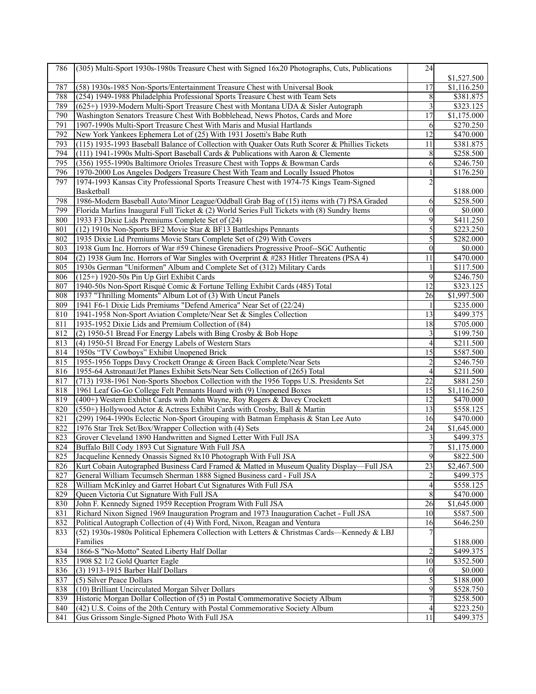| 786        | (305) Multi-Sport 1930s-1980s Treasure Chest with Signed 16x20 Photographs, Cuts, Publications | 24               |                        |
|------------|------------------------------------------------------------------------------------------------|------------------|------------------------|
|            |                                                                                                |                  | \$1,527.500            |
| 787        | (58) 1930s-1985 Non-Sports/Entertainment Treasure Chest with Universal Book                    | 17               | \$1,116.250            |
| 788        | (254) 1949-1988 Philadelphia Professional Sports Treasure Chest with Team Sets                 | 8                | \$381.875              |
| 789        | (625+) 1939-Modern Multi-Sport Treasure Chest with Montana UDA & Sisler Autograph              | 3                | \$323.125              |
| 790        | Washington Senators Treasure Chest With Bobblehead, News Photos, Cards and More                | $\overline{17}$  | \$1,175.000            |
| 791        | 1907-1990s Multi-Sport Treasure Chest With Maris and Musial Hartlands                          | 6                | \$270.250              |
| 792        | New York Yankees Ephemera Lot of (25) With 1931 Josetti's Babe Ruth                            | 12               | \$470.000              |
| 793        | (115) 1935-1993 Baseball Balance of Collection with Quaker Oats Ruth Scorer & Phillies Tickets | 11               | \$381.875              |
| 794        | (111) 1941-1990s Multi-Sport Baseball Cards & Publications with Aaron & Clemente               | 8                | \$258.500              |
| 795        | (356) 1955-1990s Baltimore Orioles Treasure Chest with Topps & Bowman Cards                    | 6                | \$246.750              |
| 796        | 1970-2000 Los Angeles Dodgers Treasure Chest With Team and Locally Issued Photos               |                  | \$176.250              |
| 797        | 1974-1993 Kansas City Professional Sports Treasure Chest with 1974-75 Kings Team-Signed        | 2                |                        |
|            | Basketball                                                                                     |                  | \$188.000              |
| 798        | 1986-Modern Baseball Auto/Minor League/Oddball Grab Bag of (15) items with (7) PSA Graded      | 6                | \$258.500              |
| 799        | Florida Marlins Inaugural Full Ticket $\& (2)$ World Series Full Tickets with (8) Sundry Items | $\theta$         | \$0.000                |
| 800        | 1933 F3 Dixie Lids Premiums Complete Set of (24)                                               | 9                | \$411.250              |
| 801        | (12) 1910s Non-Sports BF2 Movie Star & BF13 Battleships Pennants                               | 5                | \$223.250              |
| 802        | 1935 Dixie Lid Premiums Movie Stars Complete Set of (29) With Covers                           | 5                | \$282.000              |
| 803        | 1938 Gum Inc. Horrors of War #59 Chinese Grenadiers Progressive Proof--SGC Authentic           | $\theta$         | \$0.000                |
| 804        | (2) 1938 Gum Inc. Horrors of War Singles with Overprint & #283 Hitler Threatens (PSA 4)        | 11               | \$470.000              |
| 805        | 1930s German "Uniformen" Album and Complete Set of (312) Military Cards                        |                  | \$117.500              |
| 806        | (125+) 1920-50s Pin Up Girl Exhibit Cards                                                      | 9                | \$246.750              |
| 807        | 1940-50s Non-Sport Risqué Comic & Fortune Telling Exhibit Cards (485) Total                    | $\overline{12}$  | \$323.125              |
| 808        | 1937 "Thrilling Moments" Album Lot of (3) With Uncut Panels                                    | 26               | \$1,997.500            |
| 809        | 1941 F6-1 Dixie Lids Premiums "Defend America" Near Set of (22/24)                             | 1                | \$235.000              |
| 810        | 1941-1958 Non-Sport Aviation Complete/Near Set & Singles Collection                            | 13               | \$499.375              |
| 811        | 1935-1952 Dixie Lids and Premium Collection of (84)                                            | 18               | \$705.000              |
| 812        | (2) 1950-51 Bread For Energy Labels with Bing Crosby & Bob Hope                                | 3                | \$199.750              |
| 813        | (4) 1950-51 Bread For Energy Labels of Western Stars                                           | 4                | \$211.500              |
| 814        | 1950s "TV Cowboys" Exhibit Unopened Brick                                                      | 15               | \$587.500              |
| 815        | 1955-1956 Topps Davy Crockett Orange & Green Back Complete/Near Sets                           |                  | \$246.750              |
| 816        | 1955-64 Astronaut/Jet Planes Exhibit Sets/Near Sets Collection of (265) Total                  | 4                | \$211.500              |
| 817        | (713) 1938-1961 Non-Sports Shoebox Collection with the 1956 Topps U.S. Presidents Set          | $\overline{22}$  | \$881.250              |
| 818        | 1961 Leaf Go-Go College Felt Pennants Hoard with (9) Unopened Boxes                            | 15               | \$1,116.250            |
| 819        | (400+) Western Exhibit Cards with John Wayne, Roy Rogers & Davey Crockett                      | 12               | \$470.000              |
| 820        | (550+) Hollywood Actor & Actress Exhibit Cards with Crosby, Ball & Martin                      | 13               | \$558.125              |
| 821        | (299) 1964-1990s Eclectic Non-Sport Grouping with Batman Emphasis & Stan Lee Auto              | 16               | \$470.000              |
| 822        | 1976 Star Trek Set/Box/Wrapper Collection with (4) Sets                                        | 24               | \$1,645.000            |
| 823        | Grover Cleveland 1890 Handwritten and Signed Letter With Full JSA                              | 3                | \$499.375              |
| 824        | Buffalo Bill Cody 1893 Cut Signature With Full JSA                                             | 7                | \$1,175.000            |
| 825        | Jacqueline Kennedy Onassis Signed 8x10 Photograph With Full JSA                                | У                | \$822.500              |
| 826        | Kurt Cobain Autographed Business Card Framed & Matted in Museum Quality Display—Full JSA       | 23               | \$2,467.500            |
| 827        | General William Tecumseh Sherman 1888 Signed Business card - Full JSA                          |                  | \$499.375              |
| 828        | William McKinley and Garret Hobart Cut Signatures With Full JSA                                | 4                | \$558.125              |
| 829        | Queen Victoria Cut Signature With Full JSA                                                     | $\,$ $\,$        | \$470.000              |
| 830        | John F. Kennedy Signed 1959 Reception Program With Full JSA                                    | 26               | \$1,645.000            |
| 831        | Richard Nixon Signed 1969 Inauguration Program and 1973 Inauguration Cachet - Full JSA         | 10               | \$587.500              |
| 832        | Political Autograph Collection of (4) With Ford, Nixon, Reagan and Ventura                     | 16               | \$646.250              |
| 833        | (52) 1930s-1980s Political Ephemera Collection with Letters & Christmas Cards—Kennedy & LBJ    |                  |                        |
|            | Families                                                                                       |                  | \$188.000              |
| 834        | 1866-S "No-Motto" Seated Liberty Half Dollar                                                   |                  | \$499.375              |
| 835        | 1908 \$2 1/2 Gold Quarter Eagle                                                                | 10               | \$352.500              |
| 836        | $(3)$ 1913-1915 Barber Half Dollars                                                            | $\boldsymbol{0}$ | \$0.000<br>\$188.000   |
| 837        | (5) Silver Peace Dollars<br>(10) Brilliant Uncirculated Morgan Silver Dollars                  | 5                |                        |
| 838        | Historic Morgan Dollar Collection of (5) in Postal Commemorative Society Album                 | 9                | \$528.750              |
| 839<br>840 | (42) U.S. Coins of the 20th Century with Postal Commemorative Society Album                    | 4                | \$258.500<br>\$223.250 |
| 841        | Gus Grissom Single-Signed Photo With Full JSA                                                  | 11               |                        |
|            |                                                                                                |                  | \$499.375              |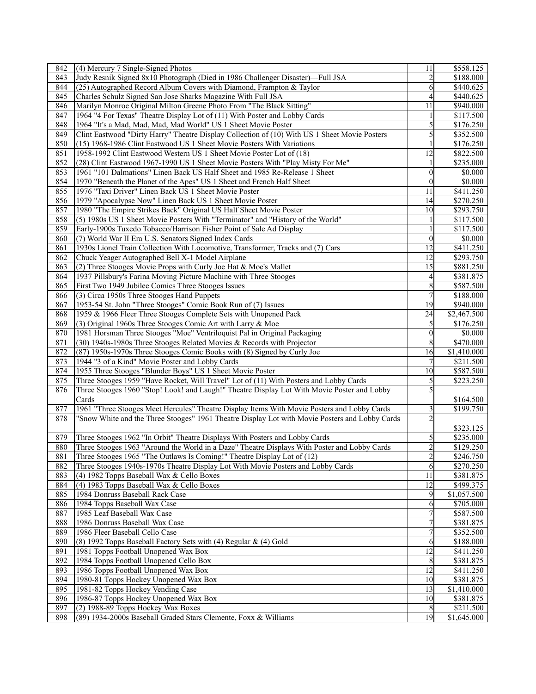| 842 | (4) Mercury 7 Single-Signed Photos                                                             | 11                      | \$558.125             |
|-----|------------------------------------------------------------------------------------------------|-------------------------|-----------------------|
| 843 | Judy Resnik Signed 8x10 Photograph (Died in 1986 Challenger Disaster)—Full JSA                 | $\overline{2}$          | $\overline{$}188.000$ |
| 844 | (25) Autographed Record Album Covers with Diamond, Frampton & Taylor                           | 6                       | \$440.625             |
| 845 | Charles Schulz Signed San Jose Sharks Magazine With Full JSA                                   | 4                       | \$440.625             |
| 846 | Marilyn Monroe Original Milton Greene Photo From "The Black Sitting"                           | 11                      | \$940.000             |
| 847 | 1964 "4 For Texas" Theatre Display Lot of (11) With Poster and Lobby Cards                     |                         | \$117.500             |
| 848 | 1964 "It's a Mad, Mad, Mad, Mad World" US 1 Sheet Movie Poster                                 | 5                       | \$176.250             |
| 849 | Clint Eastwood "Dirty Harry" Theatre Display Collection of (10) With US 1 Sheet Movie Posters  | 5                       | \$352.500             |
| 850 | (15) 1968-1986 Clint Eastwood US 1 Sheet Movie Posters With Variations                         |                         | \$176.250             |
| 851 | 1958-1992 Clint Eastwood Western US 1 Sheet Movie Poster Lot of (18)                           | 12                      | \$822.500             |
| 852 | (28) Clint Eastwood 1967-1990 US 1 Sheet Movie Posters With "Play Misty For Me"                |                         | \$235.000             |
| 853 | 1961 "101 Dalmations" Linen Back US Half Sheet and 1985 Re-Release 1 Sheet                     | $\mathbf{0}$            | \$0.000               |
| 854 | 1970 "Beneath the Planet of the Apes" US 1 Sheet and French Half Sheet                         | $\theta$                | \$0.000               |
| 855 | 1976 "Taxi Driver" Linen Back US 1 Sheet Movie Poster                                          | 11                      | \$411.250             |
| 856 | 1979 "Apocalypse Now" Linen Back US 1 Sheet Movie Poster                                       | 14                      | \$270.250             |
|     | 1980 "The Empire Strikes Back" Original US Half Sheet Movie Poster                             |                         |                       |
| 857 |                                                                                                | 10                      | \$293.750             |
| 858 | (5) 1980s US 1 Sheet Movie Posters With "Terminator" and "History of the World"                |                         | \$117.500             |
| 859 | Early-1900s Tuxedo Tobacco/Harrison Fisher Point of Sale Ad Display                            |                         | \$117.500             |
| 860 | (7) World War II Era U.S. Senators Signed Index Cards                                          | $\overline{0}$          | \$0.000               |
| 861 | 1930s Lionel Train Collection With Locomotive, Transformer, Tracks and (7) Cars                | 12                      | \$411.250             |
| 862 | Chuck Yeager Autographed Bell X-1 Model Airplane                                               | 12                      | \$293.750             |
| 863 | (2) Three Stooges Movie Props with Curly Joe Hat & Moe's Mallet                                | 15                      | \$881.250             |
| 864 | 1937 Pillsbury's Farina Moving Picture Machine with Three Stooges                              | 4                       | \$381.875             |
| 865 | First Two 1949 Jubilee Comics Three Stooges Issues                                             | 8                       | \$587.500             |
| 866 | (3) Circa 1950s Three Stooges Hand Puppets                                                     |                         | \$188.000             |
| 867 | 1953-54 St. John "Three Stooges" Comic Book Run of (7) Issues                                  | 19                      | \$940.000             |
| 868 | 1959 & 1966 Fleer Three Stooges Complete Sets with Unopened Pack                               | 24                      | \$2,467.500           |
| 869 | (3) Original 1960s Three Stooges Comic Art with Larry & Moe                                    | 5                       | \$176.250             |
| 870 | 1981 Horsman Three Stooges "Moe" Ventriloquist Pal in Original Packaging                       | $\overline{0}$          | \$0.000               |
| 871 | (30) 1940s-1980s Three Stooges Related Movies & Records with Projector                         | 8                       | \$470.000             |
| 872 | (87) 1950s-1970s Three Stooges Comic Books with (8) Signed by Curly Joe                        | 16                      | \$1,410.000           |
| 873 | 1944 "3 of a Kind" Movie Poster and Lobby Cards                                                | 7                       | \$211.500             |
| 874 | 1955 Three Stooges "Blunder Boys" US 1 Sheet Movie Poster                                      | 10                      | \$587.500             |
| 875 | Three Stooges 1959 "Have Rocket, Will Travel" Lot of (11) With Posters and Lobby Cards         | 5                       | \$223.250             |
| 876 | Three Stooges 1960 "Stop! Look! and Laugh!" Theatre Display Lot With Movie Poster and Lobby    | 5                       |                       |
|     | Cards                                                                                          |                         | \$164.500             |
| 877 | 1961 "Three Stooges Meet Hercules" Theatre Display Items With Movie Posters and Lobby Cards    | 3                       | \$199.750             |
| 878 | "Snow White and the Three Stooges" 1961 Theatre Display Lot with Movie Posters and Lobby Cards |                         |                       |
|     |                                                                                                |                         | \$323.125             |
| 879 | Three Stooges 1962 "In Orbit" Theatre Displays With Posters and Lobby Cards                    | 5                       | \$235.000             |
| 880 | Three Stooges 1963 "Around the World in a Daze" Theatre Displays With Poster and Lobby Cards   | $\overline{2}$          | \$129.250             |
| 881 | Three Stooges 1965 "The Outlaws Is Coming!" Theatre Display Lot of (12)                        | $\overline{\mathbf{c}}$ | \$246.750             |
| 882 | Three Stooges 1940s-1970s Theatre Display Lot With Movie Posters and Lobby Cards               | 6                       | \$270.250             |
| 883 | (4) 1982 Topps Baseball Wax & Cello Boxes                                                      | 11                      | \$381.875             |
| 884 | (4) 1983 Topps Baseball Wax & Cello Boxes                                                      | 12                      | \$499.375             |
| 885 | 1984 Donruss Baseball Rack Case                                                                | 9                       | \$1,057.500           |
| 886 | 1984 Topps Baseball Wax Case                                                                   | 6                       | \$705.000             |
| 887 | 1985 Leaf Baseball Wax Case                                                                    |                         | \$587.500             |
| 888 | 1986 Donruss Baseball Wax Case                                                                 |                         | \$381.875             |
| 889 | 1986 Fleer Baseball Cello Case                                                                 | 7                       | \$352.500             |
| 890 | (8) 1992 Topps Baseball Factory Sets with (4) Regular $\&$ (4) Gold                            | 6                       | \$188.000             |
| 891 | 1981 Topps Football Unopened Wax Box                                                           | 12                      | \$411.250             |
| 892 | 1984 Topps Football Unopened Cello Box                                                         | 8                       | \$381.875             |
| 893 | 1986 Topps Football Unopened Wax Box                                                           | 12                      | \$411.250             |
| 894 | 1980-81 Topps Hockey Unopened Wax Box                                                          | 10                      | \$381.875             |
| 895 | 1981-82 Topps Hockey Vending Case                                                              | 13                      | \$1,410.000           |
| 896 | 1986-87 Topps Hockey Unopened Wax Box                                                          | 10                      | \$381.875             |
| 897 | (2) 1988-89 Topps Hockey Wax Boxes                                                             | 8                       | $\overline{$}211.500$ |
| 898 | (89) 1934-2000s Baseball Graded Stars Clemente, Foxx & Williams                                | 19                      | \$1,645.000           |
|     |                                                                                                |                         |                       |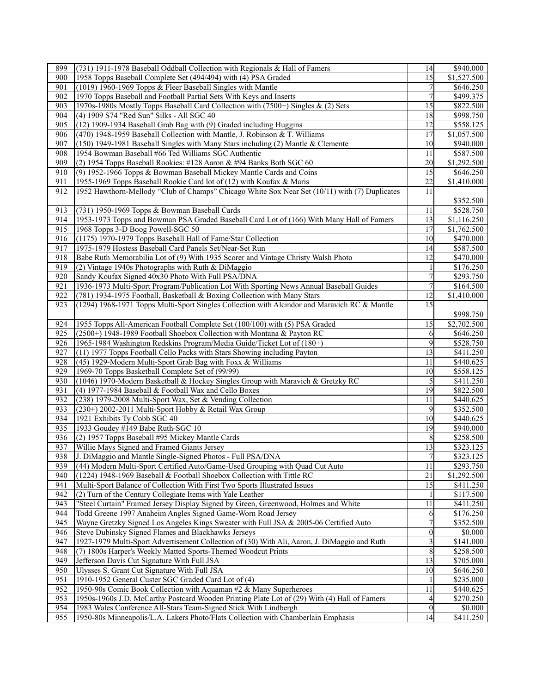| 899 | (731) 1911-1978 Baseball Oddball Collection with Regionals & Hall of Famers                   | 14               | \$940.000               |
|-----|-----------------------------------------------------------------------------------------------|------------------|-------------------------|
| 900 | 1958 Topps Baseball Complete Set (494/494) with (4) PSA Graded                                | $\overline{15}$  | \$1,527.500             |
| 901 | (1019) 1960-1969 Topps & Fleer Baseball Singles with Mantle                                   | 7                | \$646.250               |
| 902 | 1970 Topps Baseball and Football Partial Sets With Keys and Inserts                           | 7                | \$499.375               |
| 903 | 1970s-1980s Mostly Topps Baseball Card Collection with (7500+) Singles & (2) Sets             | 15               | \$822.500               |
| 904 | (4) 1909 S74 "Red Sun" Silks - All SGC 40                                                     | 18               | $\overline{$}998.750$   |
| 905 | (12) 1909-1934 Baseball Grab Bag with (9) Graded including Huggins                            | 12               | \$558.125               |
| 906 | (470) 1948-1959 Baseball Collection with Mantle, J. Robinson & T. Williams                    | 17               | \$1,057.500             |
| 907 | (150) 1949-1981 Baseball Singles with Many Stars including (2) Mantle & Clemente              | 10               | \$940.000               |
| 908 | 1954 Bowman Baseball #66 Ted Williams SGC Authentic                                           | 11               | \$587.500               |
| 909 | (2) 1954 Topps Baseball Rookies: #128 Aaron & #94 Banks Both SGC 60                           | 20               | $\overline{$1,292.500}$ |
| 910 | (9) 1952-1966 Topps & Bowman Baseball Mickey Mantle Cards and Coins                           | 15               | \$646.250               |
| 911 | 1955-1969 Topps Baseball Rookie Card lot of (12) with Koufax & Maris                          | 22               | \$1,410.000             |
| 912 | 1952 Hawthorn-Mellody "Club of Champs" Chicago White Sox Near Set (10/11) with (7) Duplicates | 11               |                         |
|     |                                                                                               |                  | \$352.500               |
| 913 | (731) 1950-1969 Topps & Bowman Baseball Cards                                                 | 11               | \$528.750               |
| 914 | 1953-1973 Topps and Bowman PSA Graded Baseball Card Lot of (166) With Many Hall of Famers     | 13               | $\overline{1,116.250}$  |
| 915 | 1968 Topps 3-D Boog Powell-SGC 50                                                             | 17               | \$1,762.500             |
| 916 | (1175) 1970-1979 Topps Baseball Hall of Fame/Star Collection                                  | 10               | \$470.000               |
| 917 | 1975-1979 Hostess Baseball Card Panels Set/Near-Set Run                                       | 14               | \$587.500               |
| 918 | Babe Ruth Memorabilia Lot of (9) With 1935 Scorer and Vintage Christy Walsh Photo             | $\overline{12}$  | \$470.000               |
| 919 | (2) Vintage 1940s Photographs with Ruth & DiMaggio                                            |                  | \$176.250               |
| 920 | Sandy Koufax Signed 40x30 Photo With Full PSA/DNA                                             | 7                | \$293.750               |
| 921 | 1936-1973 Multi-Sport Program/Publication Lot With Sporting News Annual Baseball Guides       | 7                | \$164.500               |
| 922 | (781) 1934-1975 Football, Basketball & Boxing Collection with Many Stars                      | 12               | \$1,410.000             |
| 923 | (1294) 1968-1971 Topps Multi-Sport Singles Collection with Alcindor and Maravich RC & Mantle  | 15               |                         |
|     |                                                                                               |                  | \$998.750               |
| 924 | 1955 Topps All-American Football Complete Set (100/100) with (5) PSA Graded                   | 15               | $\overline{2,}702.500$  |
| 925 | (2500+) 1948-1989 Football Shoebox Collection with Montana & Payton RC                        | 6                | \$646.250               |
| 926 | 1965-1984 Washington Redskins Program/Media Guide/Ticket Lot of (180+)                        | 9                | \$528.750               |
| 927 | (11) 1977 Topps Football Cello Packs with Stars Showing including Payton                      | 13               | \$411.250               |
| 928 | (45) 1929-Modern Multi-Sport Grab Bag with Foxx & Williams                                    | 11               | \$440.625               |
| 929 | 1969-70 Topps Basketball Complete Set of (99/99)                                              | 10               | \$558.125               |
| 930 | (1046) 1970-Modern Basketball & Hockey Singles Group with Maravich & Gretzky RC               | 5                | \$411.250               |
| 931 | (4) 1977-1984 Baseball & Football Wax and Cello Boxes                                         | 19               | \$822.500               |
| 932 | (238) 1979-2008 Multi-Sport Wax, Set & Vending Collection                                     | 11               | \$440.625               |
| 933 | (230+) 2002-2011 Multi-Sport Hobby & Retail Wax Group                                         | 9                | \$352.500               |
| 934 | 1921 Exhibits Ty Cobb SGC 40                                                                  | 10               | \$440.625               |
| 935 | 1933 Goudey #149 Babe Ruth-SGC 10                                                             | 19               | \$940.000               |
| 936 | (2) 1957 Topps Baseball #95 Mickey Mantle Cards                                               | 8                | \$258.500               |
| 937 | Willie Mays Signed and Framed Giants Jersey                                                   | 13               | \$323.125               |
| 938 | J. DiMaggio and Mantle Single-Signed Photos - Full PSA/DNA                                    | $\boldsymbol{7}$ | \$323.125               |
| 939 | (44) Modern Multi-Sport Certified Auto/Game-Used Grouping with Quad Cut Auto                  | 11               | \$293.750               |
| 940 | (1224) 1948-1969 Baseball & Football Shoebox Collection with Tittle RC                        | 21               | \$1,292.500             |
| 941 | Multi-Sport Balance of Collection With First Two Sports Illustrated Issues                    | 15               | \$411.250               |
| 942 | (2) Turn of the Century Collegiate Items with Yale Leather                                    |                  | \$117.500               |
| 943 | "Steel Curtain" Framed Jersey Display Signed by Green, Greenwood, Holmes and White            | 11               | \$411.250               |
| 944 | Todd Greene 1997 Anaheim Angles Signed Game-Worn Road Jersey                                  | 6                | \$176.250               |
| 945 | Wayne Gretzky Signed Los Angeles Kings Sweater with Full JSA & 2005-06 Certified Auto         | 7                | \$352.500               |
| 946 | Steve Dubinsky Signed Flames and Blackhawks Jerseys                                           | $\theta$         | \$0.000                 |
| 947 | 1927-1979 Multi-Sport Advertisement Collection of (30) With Ali, Aaron, J. DiMaggio and Ruth  | 3                | \$141.000               |
| 948 | (7) 1800s Harper's Weekly Matted Sports-Themed Woodcut Prints                                 | 8                | \$258.500               |
| 949 | Jefferson Davis Cut Signature With Full JSA                                                   | 13               | \$705.000               |
| 950 | Ulysses S. Grant Cut Signature With Full JSA                                                  | 10               | \$646.250               |
| 951 | 1910-1952 General Custer SGC Graded Card Lot of (4)                                           |                  | \$235.000               |
| 952 | 1950-90s Comic Book Collection with Aquaman #2 & Many Superheroes                             | 11               | \$440.625               |
| 953 | 1950s-1960s J.D. McCarthy Postcard Wooden Printing Plate Lot of (29) With (4) Hall of Famers  | 4                | \$270.250               |
| 954 | 1983 Wales Conference All-Stars Team-Signed Stick With Lindbergh                              | $\theta$         | \$0.000                 |
| 955 | 1950-80s Minneapolis/L.A. Lakers Photo/Flats Collection with Chamberlain Emphasis             | 14               | \$411.250               |